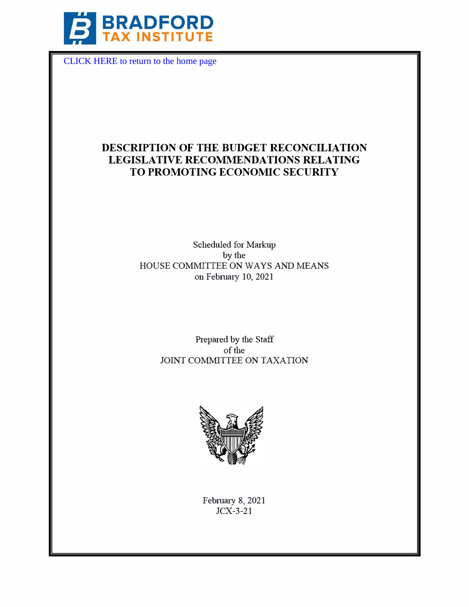

[CLICK HERE to return to the home page](https://www.bradfordtaxinstitute.com) 

# **DESCRIPTION OF THE BUDGET RECONCILIATION LEGISLATIVE RECOMMENDATIONS RELATING TO PROMOTING ECONOMIC SECURITY**

Scheduled for Markup by the HOUSE COMMITTEE ON WAYS AND MEANS on February 10, 2021

> Prepared by the Staff of the JOINT COMMITTEE ON TAXATION



February 8, 2021 JCX-3-21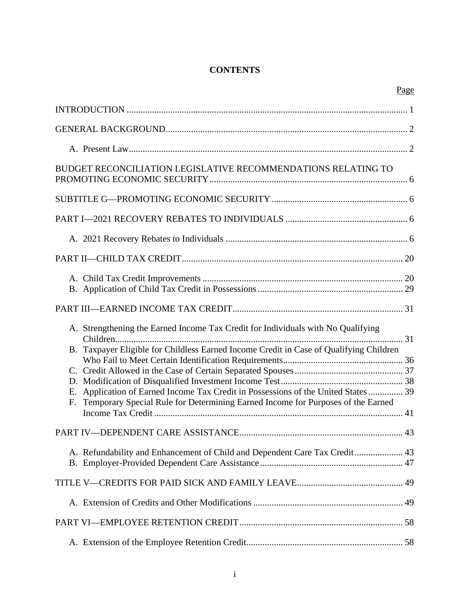# **CONTENTS**

| Page                                                                                                                                                                           |
|--------------------------------------------------------------------------------------------------------------------------------------------------------------------------------|
|                                                                                                                                                                                |
|                                                                                                                                                                                |
|                                                                                                                                                                                |
| BUDGET RECONCILIATION LEGISLATIVE RECOMMENDATIONS RELATING TO                                                                                                                  |
|                                                                                                                                                                                |
|                                                                                                                                                                                |
|                                                                                                                                                                                |
|                                                                                                                                                                                |
|                                                                                                                                                                                |
|                                                                                                                                                                                |
| A. Strengthening the Earned Income Tax Credit for Individuals with No Qualifying                                                                                               |
| B. Taxpayer Eligible for Childless Earned Income Credit in Case of Qualifying Children                                                                                         |
|                                                                                                                                                                                |
|                                                                                                                                                                                |
| Application of Earned Income Tax Credit in Possessions of the United States  39<br>Е.<br>Temporary Special Rule for Determining Earned Income for Purposes of the Earned<br>F. |
|                                                                                                                                                                                |
| A. Refundability and Enhancement of Child and Dependent Care Tax Credit 43                                                                                                     |
|                                                                                                                                                                                |
|                                                                                                                                                                                |
|                                                                                                                                                                                |
|                                                                                                                                                                                |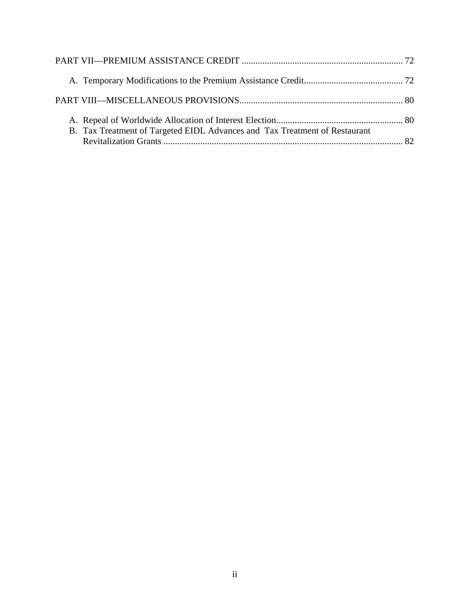| B. Tax Treatment of Targeted EIDL Advances and Tax Treatment of Restaurant |  |
|----------------------------------------------------------------------------|--|
|                                                                            |  |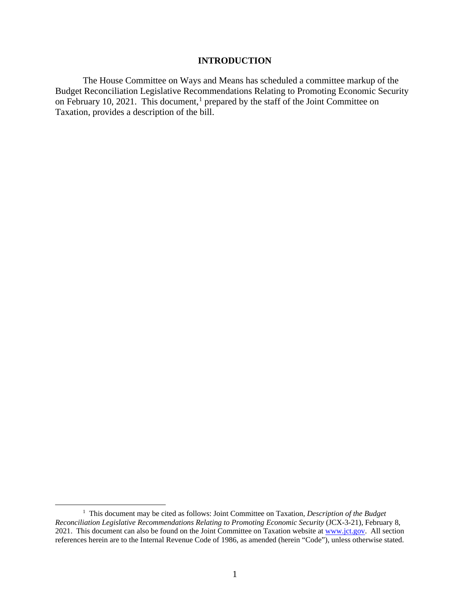# **INTRODUCTION**

The House Committee on Ways and Means has scheduled a committee markup of the Budget Reconciliation Legislative Recommendations Relating to Promoting Economic Security on February 10, 2021. This document,<sup>1</sup> prepared by the staff of the Joint Committee on Taxation, provides a description of the bill.

<sup>&</sup>lt;sup>1</sup> This document may be cited as follows: Joint Committee on Taxation, *Description of the Budget Reconciliation Legislative Recommendations Relating to Promoting Economic Security* (JCX-3-21), February 8, 2021. This document can also be found on the Joint Committee on Taxation website at www.jct.gov. All section references herein are to the Internal Revenue Code of 1986, as amended (herein "Code"), unless otherwise stated.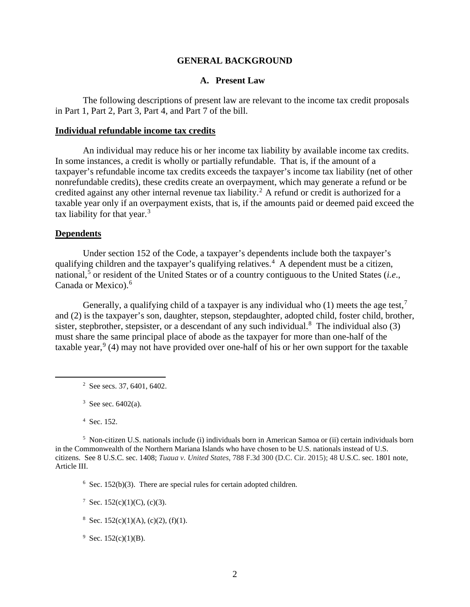### **GENERAL BACKGROUND**

# **A. Present Law**

The following descriptions of present law are relevant to the income tax credit proposals in Part 1, Part 2, Part 3, Part 4, and Part 7 of the bill.

#### **Individual refundable income tax credits**

An individual may reduce his or her income tax liability by available income tax credits. In some instances, a credit is wholly or partially refundable. That is, if the amount of a taxpayer's refundable income tax credits exceeds the taxpayer's income tax liability (net of other nonrefundable credits), these credits create an overpayment, which may generate a refund or be credited against any other internal revenue tax liability.<sup>2</sup> A refund or credit is authorized for a taxable year only if an overpayment exists, that is, if the amounts paid or deemed paid exceed the tax liability for that year. $3$ 

### **Dependents**

Under section 152 of the Code, a taxpayer's dependents include both the taxpayer's qualifying children and the taxpayer's qualifying relatives.<sup>4</sup> A dependent must be a citizen, national,<sup>5</sup> or resident of the United States or of a country contiguous to the United States (*i.e.*, Canada or Mexico). 6

Generally, a qualifying child of a taxpayer is any individual who  $(1)$  meets the age test,<sup>7</sup> and (2) is the taxpayer's son, daughter, stepson, stepdaughter, adopted child, foster child, brother, sister, stepbrother, stepsister, or a descendant of any such individual.<sup>8</sup> The individual also  $(3)$ must share the same principal place of abode as the taxpayer for more than one-half of the taxable year,  $9(4)$  may not have provided over one-half of his or her own support for the taxable

4 Sec. 152.

<sup>5</sup> Non-citizen U.S. nationals include (i) individuals born in American Samoa or (ii) certain individuals born in the Commonwealth of the Northern Mariana Islands who have chosen to be U.S. nationals instead of U.S. citizens. See 8 U.S.C. sec. 1408; *Tuaua v. United States*, 788 F.3d 300 (D.C. Cir. 2015); 48 U.S.C. sec. 1801 note, Article III.

<sup>6</sup> Sec. 152(b)(3). There are special rules for certain adopted children.

<sup>7</sup> Sec. 152(c)(1)(C), (c)(3).

- <sup>8</sup> Sec. 152(c)(1)(A), (c)(2), (f)(1).
- <sup>9</sup> Sec. 152(c)(1)(B).

 $2$  See secs. 37, 6401, 6402.

 $3$  See sec. 6402(a).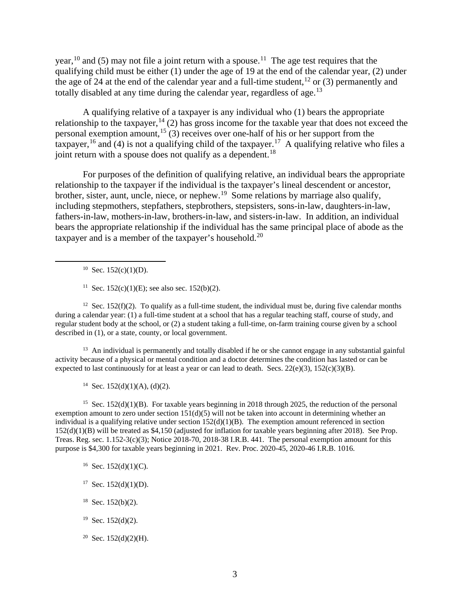year,<sup>10</sup> and (5) may not file a joint return with a spouse.<sup>11</sup> The age test requires that the qualifying child must be either (1) under the age of 19 at the end of the calendar year, (2) under the age of 24 at the end of the calendar year and a full-time student,  $12$  or (3) permanently and totally disabled at any time during the calendar year, regardless of age.<sup>13</sup>

A qualifying relative of a taxpayer is any individual who (1) bears the appropriate relationship to the taxpayer,  $14$  (2) has gross income for the taxable year that does not exceed the personal exemption amount,<sup>15</sup> (3) receives over one-half of his or her support from the taxpayer, <sup>16</sup> and (4) is not a qualifying child of the taxpayer.<sup>17</sup> A qualifying relative who files a joint return with a spouse does not qualify as a dependent.<sup>18</sup>

For purposes of the definition of qualifying relative, an individual bears the appropriate relationship to the taxpayer if the individual is the taxpayer's lineal descendent or ancestor, brother, sister, aunt, uncle, niece, or nephew.<sup>19</sup> Some relations by marriage also qualify, including stepmothers, stepfathers, stepbrothers, stepsisters, sons-in-law, daughters-in-law, fathers-in-law, mothers-in-law, brothers-in-law, and sisters-in-law. In addition, an individual bears the appropriate relationship if the individual has the same principal place of abode as the taxpayer and is a member of the taxpayer's household.<sup>20</sup>

 $10$  Sec. 152(c)(1)(D).

<sup>12</sup> Sec. 152(f)(2). To qualify as a full-time student, the individual must be, during five calendar months during a calendar year: (1) a full-time student at a school that has a regular teaching staff, course of study, and regular student body at the school, or (2) a student taking a full-time, on-farm training course given by a school described in (1), or a state, county, or local government.

 $13$  An individual is permanently and totally disabled if he or she cannot engage in any substantial gainful activity because of a physical or mental condition and a doctor determines the condition has lasted or can be expected to last continuously for at least a year or can lead to death. Secs.  $22(e)(3)$ ,  $152(c)(3)(B)$ .

<sup>14</sup> Sec. 152(d)(1)(A), (d)(2).

<sup>15</sup> Sec.  $152(d)(1)(B)$ . For taxable years beginning in 2018 through 2025, the reduction of the personal exemption amount to zero under section  $151(d)(5)$  will not be taken into account in determining whether an individual is a qualifying relative under section  $152(d)(1)(B)$ . The exemption amount referenced in section 152(d)(1)(B) will be treated as \$4,150 (adjusted for inflation for taxable years beginning after 2018). See Prop. Treas. Reg. sec. 1.152-3(c)(3); Notice 2018-70, 2018-38 I.R.B. 441. The personal exemption amount for this purpose is \$4,300 for taxable years beginning in 2021. Rev. Proc. 2020-45, 2020-46 I.R.B. 1016.

- $16$  Sec. 152(d)(1)(C).
- $17$  Sec. 152(d)(1)(D).
- $18$  Sec. 152(b)(2).
- $19$  Sec. 152(d)(2).
- <sup>20</sup> Sec. 152(d)(2)(H).

<sup>&</sup>lt;sup>11</sup> Sec. 152(c)(1)(E); see also sec. 152(b)(2).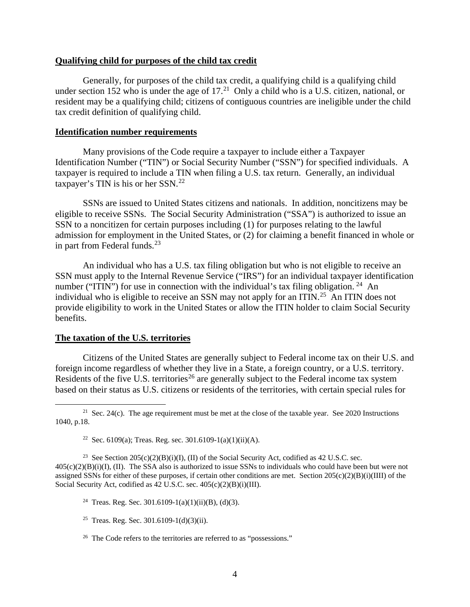#### **Qualifying child for purposes of the child tax credit**

Generally, for purposes of the child tax credit, a qualifying child is a qualifying child under section 152 who is under the age of  $17<sup>21</sup>$  Only a child who is a U.S. citizen, national, or resident may be a qualifying child; citizens of contiguous countries are ineligible under the child tax credit definition of qualifying child.

### **Identification number requirements**

Many provisions of the Code require a taxpayer to include either a Taxpayer Identification Number ("TIN") or Social Security Number ("SSN") for specified individuals. A taxpayer is required to include a TIN when filing a U.S. tax return. Generally, an individual taxpayer's TIN is his or her SSN.22

SSNs are issued to United States citizens and nationals. In addition, noncitizens may be eligible to receive SSNs. The Social Security Administration ("SSA") is authorized to issue an SSN to a noncitizen for certain purposes including (1) for purposes relating to the lawful admission for employment in the United States, or (2) for claiming a benefit financed in whole or in part from Federal funds. $^{23}$ 

An individual who has a U.S. tax filing obligation but who is not eligible to receive an SSN must apply to the Internal Revenue Service ("IRS") for an individual taxpayer identification number ("ITIN") for use in connection with the individual's tax filing obligation. <sup>24</sup> An individual who is eligible to receive an SSN may not apply for an ITIN.<sup>25</sup> An ITIN does not provide eligibility to work in the United States or allow the ITIN holder to claim Social Security benefits.

### **The taxation of the U.S. territories**

Citizens of the United States are generally subject to Federal income tax on their U.S. and foreign income regardless of whether they live in a State, a foreign country, or a U.S. territory. Residents of the five U.S. territories<sup>26</sup> are generally subject to the Federal income tax system based on their status as U.S. citizens or residents of the territories, with certain special rules for

<sup>23</sup> See Section  $205(c)(2)(B)(i)(I)$ , (II) of the Social Security Act, codified as 42 U.S.C. sec.  $405(c)(2)(B)(i)(I)$ , (II). The SSA also is authorized to issue SSNs to individuals who could have been but were not assigned SSNs for either of these purposes, if certain other conditions are met. Section  $205(c)(2)(B)(i)(III)$  of the Social Security Act, codified as 42 U.S.C. sec.  $405(c)(2)(B)(i)(III)$ .

- <sup>24</sup> Treas. Reg. Sec. 301.6109-1(a)(1)(ii)(B), (d)(3).
- <sup>25</sup> Treas. Reg. Sec. 301.6109-1(d)(3)(ii).
- <sup>26</sup> The Code refers to the territories are referred to as "possessions."

<sup>&</sup>lt;sup>21</sup> Sec. 24(c). The age requirement must be met at the close of the taxable year. See 2020 Instructions 1040, p.18.

<sup>&</sup>lt;sup>22</sup> Sec. 6109(a); Treas. Reg. sec. 301.6109-1(a)(1)(ii)(A).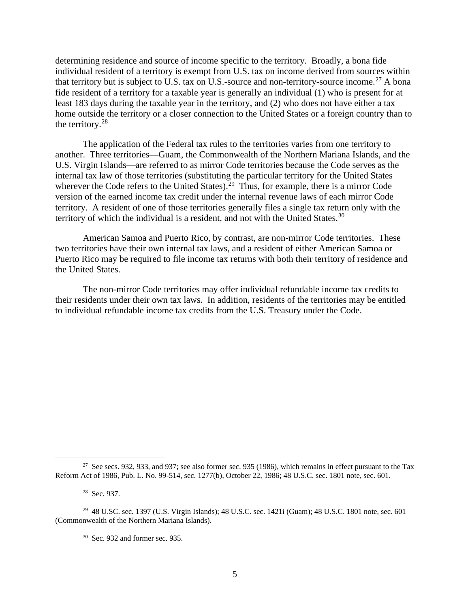determining residence and source of income specific to the territory. Broadly, a bona fide individual resident of a territory is exempt from U.S. tax on income derived from sources within that territory but is subject to U.S. tax on U.S.-source and non-territory-source income.<sup>27</sup> A bona fide resident of a territory for a taxable year is generally an individual (1) who is present for at least 183 days during the taxable year in the territory, and (2) who does not have either a tax home outside the territory or a closer connection to the United States or a foreign country than to the territory.<sup>28</sup>

The application of the Federal tax rules to the territories varies from one territory to another. Three territories—Guam, the Commonwealth of the Northern Mariana Islands, and the U.S. Virgin Islands—are referred to as mirror Code territories because the Code serves as the internal tax law of those territories (substituting the particular territory for the United States wherever the Code refers to the United States).<sup>29</sup> Thus, for example, there is a mirror Code version of the earned income tax credit under the internal revenue laws of each mirror Code territory. A resident of one of those territories generally files a single tax return only with the territory of which the individual is a resident, and not with the United States. $30$ 

American Samoa and Puerto Rico, by contrast, are non-mirror Code territories. These two territories have their own internal tax laws, and a resident of either American Samoa or Puerto Rico may be required to file income tax returns with both their territory of residence and the United States.

The non-mirror Code territories may offer individual refundable income tax credits to their residents under their own tax laws. In addition, residents of the territories may be entitled to individual refundable income tax credits from the U.S. Treasury under the Code.

<sup>&</sup>lt;sup>27</sup> See secs. 932, 933, and 937; see also former sec. 935 (1986), which remains in effect pursuant to the Tax Reform Act of 1986, Pub. L. No. 99-514, sec. 1277(b), October 22, 1986; 48 U.S.C. sec. 1801 note, sec. 601.

<sup>28</sup> Sec. 937.

<sup>29 48</sup> U.SC. sec. 1397 (U.S. Virgin Islands); 48 U.S.C. sec. 1421i (Guam); 48 U.S.C. 1801 note, sec. 601 (Commonwealth of the Northern Mariana Islands).

<sup>30</sup> Sec. 932 and former sec. 935.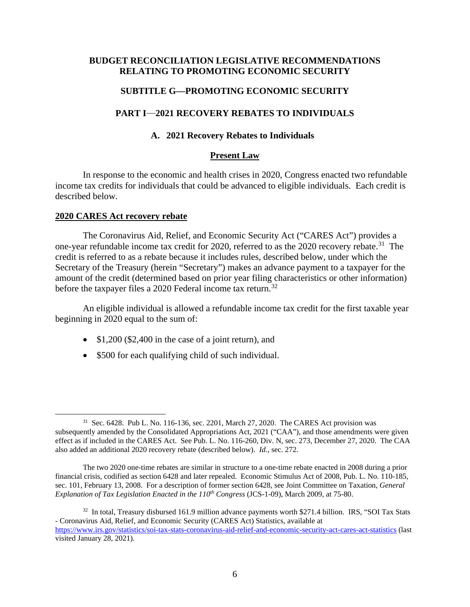# **BUDGET RECONCILIATION LEGISLATIVE RECOMMENDATIONS RELATING TO PROMOTING ECONOMIC SECURITY**

# **SUBTITLE G—PROMOTING ECONOMIC SECURITY**

# **PART I—2021 RECOVERY REBATES TO INDIVIDUALS**

### **A. 2021 Recovery Rebates to Individuals**

# **Present Law**

In response to the economic and health crises in 2020, Congress enacted two refundable income tax credits for individuals that could be advanced to eligible individuals. Each credit is described below.

#### **2020 CARES Act recovery rebate**

The Coronavirus Aid, Relief, and Economic Security Act ("CARES Act") provides a one-year refundable income tax credit for 2020, referred to as the 2020 recovery rebate.<sup>31</sup> The credit is referred to as a rebate because it includes rules, described below, under which the Secretary of the Treasury (herein "Secretary") makes an advance payment to a taxpayer for the amount of the credit (determined based on prior year filing characteristics or other information) before the taxpayer files a 2020 Federal income tax return.<sup>32</sup>

An eligible individual is allowed a refundable income tax credit for the first taxable year beginning in 2020 equal to the sum of:

- \$1,200 (\$2,400 in the case of a joint return), and
- \$500 for each qualifying child of such individual.

<sup>31</sup> Sec. 6428. Pub L. No. 116-136, sec. 2201, March 27, 2020. The CARES Act provision was subsequently amended by the Consolidated Appropriations Act, 2021 ("CAA"), and those amendments were given effect as if included in the CARES Act. See Pub. L. No. 116-260, Div. N, sec. 273, December 27, 2020. The CAA also added an additional 2020 recovery rebate (described below). *Id.*, sec. 272.

The two 2020 one-time rebates are similar in structure to a one-time rebate enacted in 2008 during a prior financial crisis, codified as section 6428 and later repealed. Economic Stimulus Act of 2008, Pub. L. No. 110-185, sec. 101, February 13, 2008. For a description of former section 6428, see Joint Committee on Taxation, *General Explanation of Tax Legislation Enacted in the 110<sup>th</sup> Congress (JCS-1-09), March 2009, at 75-80.* 

<sup>&</sup>lt;sup>32</sup> In total, Treasury disbursed 161.9 million advance payments worth \$271.4 billion. IRS, "SOI Tax Stats - Coronavirus Aid, Relief, and Economic Security (CARES Act) Statistics, available at https://www.irs.gov/statistics/soi-tax-stats-coronavirus-aid-relief-and-economic-security-act-cares-act-statistics (last visited January 28, 2021).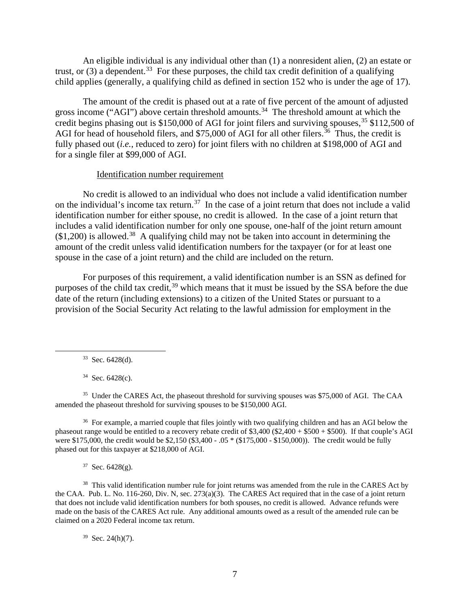An eligible individual is any individual other than (1) a nonresident alien, (2) an estate or trust, or  $(3)$  a dependent.<sup>33</sup> For these purposes, the child tax credit definition of a qualifying child applies (generally, a qualifying child as defined in section 152 who is under the age of 17).

The amount of the credit is phased out at a rate of five percent of the amount of adjusted gross income ("AGI") above certain threshold amounts.<sup>34</sup> The threshold amount at which the credit begins phasing out is \$150,000 of AGI for joint filers and surviving spouses,  $35$  \$112,500 of AGI for head of household filers, and \$75,000 of AGI for all other filers.<sup>36</sup> Thus, the credit is fully phased out *(i.e., reduced to zero)* for joint filers with no children at \$198,000 of AGI and for a single filer at \$99,000 of AGI.

#### Identification number requirement

No credit is allowed to an individual who does not include a valid identification number on the individual's income tax return.<sup>37</sup> In the case of a joint return that does not include a valid identification number for either spouse, no credit is allowed. In the case of a joint return that includes a valid identification number for only one spouse, one-half of the joint return amount  $($1,200)$  is allowed.<sup>38</sup> A qualifying child may not be taken into account in determining the amount of the credit unless valid identification numbers for the taxpayer (or for at least one spouse in the case of a joint return) and the child are included on the return.

For purposes of this requirement, a valid identification number is an SSN as defined for purposes of the child tax credit,<sup>39</sup> which means that it must be issued by the SSA before the due date of the return (including extensions) to a citizen of the United States or pursuant to a provision of the Social Security Act relating to the lawful admission for employment in the

 $34$  Sec. 6428(c).

<sup>35</sup> Under the CARES Act, the phaseout threshold for surviving spouses was \$75,000 of AGI. The CAA amended the phaseout threshold for surviving spouses to be \$150,000 AGI.

<sup>36</sup> For example, a married couple that files jointly with two qualifying children and has an AGI below the phaseout range would be entitled to a recovery rebate credit of  $$3,400$  ( $$2,400 + $500 + $500$ ). If that couple's AGI were \$175,000, the credit would be \$2,150 (\$3,400 - .05 \* (\$175,000 - \$150,000)). The credit would be fully phased out for this taxpayer at \$218,000 of AGI.

 $37$  Sec. 6428(g).

<sup>38</sup> This valid identification number rule for joint returns was amended from the rule in the CARES Act by the CAA. Pub. L. No. 116-260, Div. N, sec. 273(a)(3). The CARES Act required that in the case of a joint return that does not include valid identification numbers for both spouses, no credit is allowed. Advance refunds were made on the basis of the CARES Act rule. Any additional amounts owed as a result of the amended rule can be claimed on a 2020 Federal income tax return.

 $39$  Sec. 24(h)(7).

 $33$  Sec. 6428(d).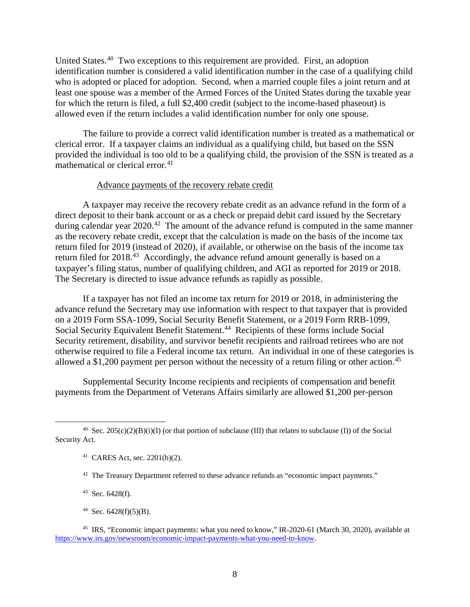United States.40 Two exceptions to this requirement are provided. First, an adoption identification number is considered a valid identification number in the case of a qualifying child who is adopted or placed for adoption. Second, when a married couple files a joint return and at least one spouse was a member of the Armed Forces of the United States during the taxable year for which the return is filed, a full \$2,400 credit (subject to the income-based phaseout) is allowed even if the return includes a valid identification number for only one spouse.

The failure to provide a correct valid identification number is treated as a mathematical or clerical error. If a taxpayer claims an individual as a qualifying child, but based on the SSN provided the individual is too old to be a qualifying child, the provision of the SSN is treated as a mathematical or clerical error.<sup>41</sup>

#### Advance payments of the recovery rebate credit

A taxpayer may receive the recovery rebate credit as an advance refund in the form of a direct deposit to their bank account or as a check or prepaid debit card issued by the Secretary during calendar year  $2020<sup>42</sup>$ . The amount of the advance refund is computed in the same manner as the recovery rebate credit, except that the calculation is made on the basis of the income tax return filed for 2019 (instead of 2020), if available, or otherwise on the basis of the income tax return filed for 2018.<sup>43</sup> Accordingly, the advance refund amount generally is based on a taxpayer's filing status, number of qualifying children, and AGI as reported for 2019 or 2018. The Secretary is directed to issue advance refunds as rapidly as possible.

If a taxpayer has not filed an income tax return for 2019 or 2018, in administering the advance refund the Secretary may use information with respect to that taxpayer that is provided on a 2019 Form SSA-1099, Social Security Benefit Statement, or a 2019 Form RRB-1099, Social Security Equivalent Benefit Statement.<sup>44</sup> Recipients of these forms include Social Security retirement, disability, and survivor benefit recipients and railroad retirees who are not otherwise required to file a Federal income tax return. An individual in one of these categories is allowed a \$1,200 payment per person without the necessity of a return filing or other action.<sup>45</sup>

Supplemental Security Income recipients and recipients of compensation and benefit payments from the Department of Veterans Affairs similarly are allowed \$1,200 per-person

 $43$  Sec. 6428(f).

 $44$  Sec. 6428(f)(5)(B).

<sup>&</sup>lt;sup>40</sup> Sec. 205(c)(2)(B)(i)(I) (or that portion of subclause (III) that relates to subclause (I)) of the Social Security Act.

<sup>41</sup> CARES Act, sec. 2201(b)(2).

<sup>&</sup>lt;sup>42</sup> The Treasury Department referred to these advance refunds as "economic impact payments."

<sup>45</sup> IRS, "Economic impact payments: what you need to know," IR-2020-61 (March 30, 2020), available at https://www.irs.gov/newsroom/economic-impact-payments-what-you-need-to-know.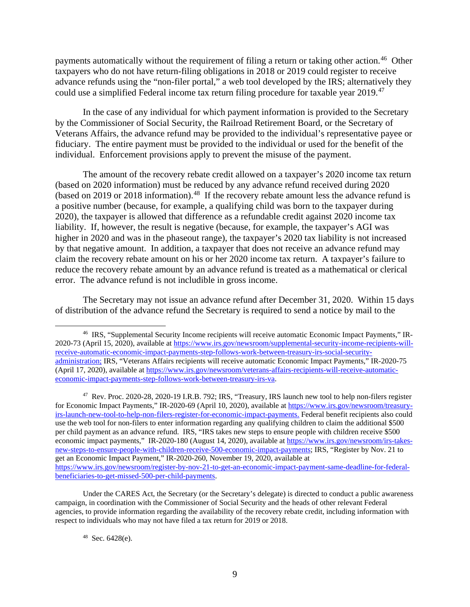payments automatically without the requirement of filing a return or taking other action. 46 Other taxpayers who do not have return-filing obligations in 2018 or 2019 could register to receive advance refunds using the "non-filer portal," a web tool developed by the IRS; alternatively they could use a simplified Federal income tax return filing procedure for taxable year 2019.<sup>47</sup>

In the case of any individual for which payment information is provided to the Secretary by the Commissioner of Social Security, the Railroad Retirement Board, or the Secretary of Veterans Affairs, the advance refund may be provided to the individual's representative payee or fiduciary. The entire payment must be provided to the individual or used for the benefit of the individual. Enforcement provisions apply to prevent the misuse of the payment.

The amount of the recovery rebate credit allowed on a taxpayer's 2020 income tax return (based on 2020 information) must be reduced by any advance refund received during 2020  $\mu$  (based on 2019 or 2018 information).<sup>48</sup> If the recovery rebate amount less the advance refund is a positive number (because, for example, a qualifying child was born to the taxpayer during 2020), the taxpayer is allowed that difference as a refundable credit against 2020 income tax liability. If, however, the result is negative (because, for example, the taxpayer's AGI was higher in 2020 and was in the phaseout range), the taxpayer's 2020 tax liability is not increased by that negative amount. In addition, a taxpayer that does not receive an advance refund may claim the recovery rebate amount on his or her 2020 income tax return. A taxpayer's failure to reduce the recovery rebate amount by an advance refund is treated as a mathematical or clerical error. The advance refund is not includible in gross income.

The Secretary may not issue an advance refund after December 31, 2020. Within 15 days of distribution of the advance refund the Secretary is required to send a notice by mail to the

<sup>46</sup> IRS, "Supplemental Security Income recipients will receive automatic Economic Impact Payments," IR-2020-73 (April 15, 2020), available at https://www.irs.gov/newsroom/supplemental-security-income-recipients-willreceive-automatic-economic-impact-payments-step-follows-work-between-treasury-irs-social-securityadministration; IRS, "Veterans Affairs recipients will receive automatic Economic Impact Payments," IR-2020-75 (April 17, 2020), available at https://www.irs.gov/newsroom/veterans-affairs-recipients-will-receive-automaticeconomic-impact-payments-step-follows-work-between-treasury-irs-va.

<sup>47</sup> Rev. Proc. 2020-28, 2020-19 I.R.B. 792; IRS, "Treasury, IRS launch new tool to help non-filers register for Economic Impact Payments," IR-2020-69 (April 10, 2020), available at https://www.irs.gov/newsroom/treasuryirs-launch-new-tool-to-help-non-filers-register-for-economic-impact-payments. Federal benefit recipients also could use the web tool for non-filers to enter information regarding any qualifying children to claim the additional \$500 per child payment as an advance refund. IRS, "IRS takes new steps to ensure people with children receive \$500 economic impact payments," IR-2020-180 (August 14, 2020), available at https://www.irs.gov/newsroom/irs-takesnew-steps-to-ensure-people-with-children-receive-500-economic-impact-payments; IRS, "Register by Nov. 21 to get an Economic Impact Payment," IR-2020-260, November 19, 2020, available at https://www.irs.gov/newsroom/register-by-nov-21-to-get-an-economic-impact-payment-same-deadline-for-federalbeneficiaries-to-get-missed-500-per-child-payments.

Under the CARES Act, the Secretary (or the Secretary's delegate) is directed to conduct a public awareness campaign, in coordination with the Commissioner of Social Security and the heads of other relevant Federal agencies, to provide information regarding the availability of the recovery rebate credit, including information with respect to individuals who may not have filed a tax return for 2019 or 2018.

<sup>48</sup> Sec. 6428(e).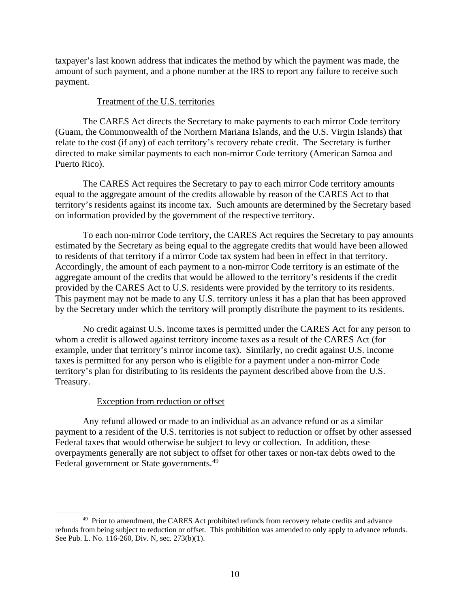taxpayer's last known address that indicates the method by which the payment was made, the amount of such payment, and a phone number at the IRS to report any failure to receive such payment.

### Treatment of the U.S. territories

The CARES Act directs the Secretary to make payments to each mirror Code territory (Guam, the Commonwealth of the Northern Mariana Islands, and the U.S. Virgin Islands) that relate to the cost (if any) of each territory's recovery rebate credit. The Secretary is further directed to make similar payments to each non-mirror Code territory (American Samoa and Puerto Rico).

The CARES Act requires the Secretary to pay to each mirror Code territory amounts equal to the aggregate amount of the credits allowable by reason of the CARES Act to that territory's residents against its income tax. Such amounts are determined by the Secretary based on information provided by the government of the respective territory.

To each non-mirror Code territory, the CARES Act requires the Secretary to pay amounts estimated by the Secretary as being equal to the aggregate credits that would have been allowed to residents of that territory if a mirror Code tax system had been in effect in that territory. Accordingly, the amount of each payment to a non-mirror Code territory is an estimate of the aggregate amount of the credits that would be allowed to the territory's residents if the credit provided by the CARES Act to U.S. residents were provided by the territory to its residents. This payment may not be made to any U.S. territory unless it has a plan that has been approved by the Secretary under which the territory will promptly distribute the payment to its residents.

No credit against U.S. income taxes is permitted under the CARES Act for any person to whom a credit is allowed against territory income taxes as a result of the CARES Act (for example, under that territory's mirror income tax). Similarly, no credit against U.S. income taxes is permitted for any person who is eligible for a payment under a non-mirror Code territory's plan for distributing to its residents the payment described above from the U.S. Treasury.

# Exception from reduction or offset

Any refund allowed or made to an individual as an advance refund or as a similar payment to a resident of the U.S. territories is not subject to reduction or offset by other assessed Federal taxes that would otherwise be subject to levy or collection. In addition, these overpayments generally are not subject to offset for other taxes or non-tax debts owed to the Federal government or State governments.<sup>49</sup>

<sup>&</sup>lt;sup>49</sup> Prior to amendment, the CARES Act prohibited refunds from recovery rebate credits and advance refunds from being subject to reduction or offset. This prohibition was amended to only apply to advance refunds. See Pub. L. No. 116-260, Div. N, sec. 273(b)(1).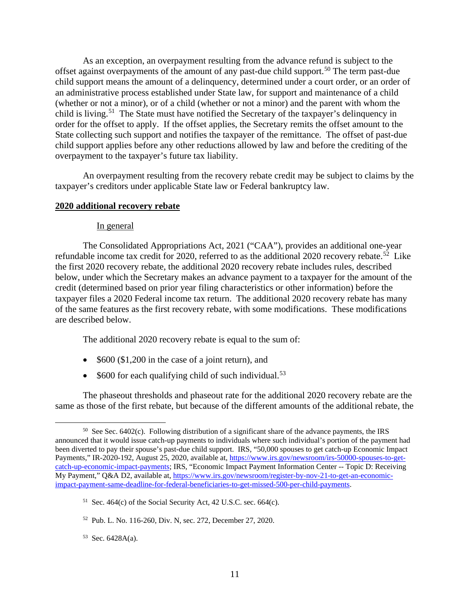As an exception, an overpayment resulting from the advance refund is subject to the offset against overpayments of the amount of any past-due child support.<sup>50</sup> The term past-due child support means the amount of a delinquency, determined under a court order, or an order of an administrative process established under State law, for support and maintenance of a child (whether or not a minor), or of a child (whether or not a minor) and the parent with whom the child is living.<sup>51</sup> The State must have notified the Secretary of the taxpayer's delinquency in order for the offset to apply. If the offset applies, the Secretary remits the offset amount to the State collecting such support and notifies the taxpayer of the remittance. The offset of past-due child support applies before any other reductions allowed by law and before the crediting of the overpayment to the taxpayer's future tax liability.

An overpayment resulting from the recovery rebate credit may be subject to claims by the taxpayer's creditors under applicable State law or Federal bankruptcy law.

# **2020 additional recovery rebate**

### In general

The Consolidated Appropriations Act, 2021 ("CAA"), provides an additional one-year refundable income tax credit for 2020, referred to as the additional 2020 recovery rebate.<sup>52</sup> Like the first 2020 recovery rebate, the additional 2020 recovery rebate includes rules, described below, under which the Secretary makes an advance payment to a taxpayer for the amount of the credit (determined based on prior year filing characteristics or other information) before the taxpayer files a 2020 Federal income tax return. The additional 2020 recovery rebate has many of the same features as the first recovery rebate, with some modifications. These modifications are described below.

The additional 2020 recovery rebate is equal to the sum of:

- \$600 (\$1,200 in the case of a joint return), and
- $$600$  for each qualifying child of such individual.<sup>53</sup>

The phaseout thresholds and phaseout rate for the additional 2020 recovery rebate are the same as those of the first rebate, but because of the different amounts of the additional rebate, the

 $50$  See Sec. 6402(c). Following distribution of a significant share of the advance payments, the IRS announced that it would issue catch-up payments to individuals where such individual's portion of the payment had been diverted to pay their spouse's past-due child support. IRS, "50,000 spouses to get catch-up Economic Impact Payments," IR-2020-192, August 25, 2020, available at, https://www.irs.gov/newsroom/irs-50000-spouses-to-getcatch-up-economic-impact-payments; IRS, "Economic Impact Payment Information Center -- Topic D: Receiving My Payment," Q&A D2, available at, https://www.irs.gov/newsroom/register-by-nov-21-to-get-an-economicimpact-payment-same-deadline-for-federal-beneficiaries-to-get-missed-500-per-child-payments.

<sup>&</sup>lt;sup>51</sup> Sec. 464(c) of the Social Security Act, 42 U.S.C. sec. 664(c).

<sup>52</sup> Pub. L. No. 116-260, Div. N, sec. 272, December 27, 2020.

 $53$  Sec. 6428A(a).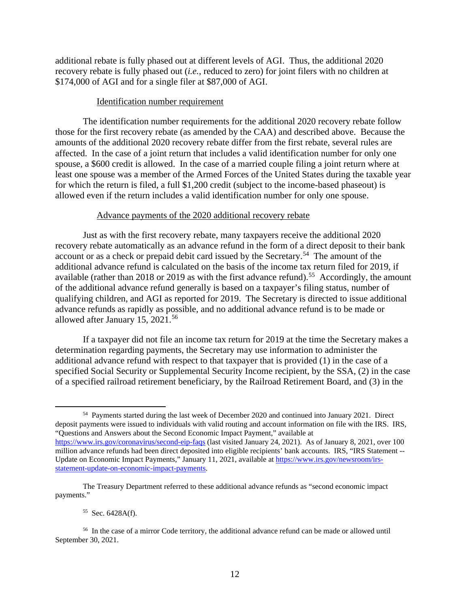additional rebate is fully phased out at different levels of AGI. Thus, the additional 2020 recovery rebate is fully phased out (*i.e.*, reduced to zero) for joint filers with no children at \$174,000 of AGI and for a single filer at \$87,000 of AGI.

### Identification number requirement

The identification number requirements for the additional 2020 recovery rebate follow those for the first recovery rebate (as amended by the CAA) and described above. Because the amounts of the additional 2020 recovery rebate differ from the first rebate, several rules are affected. In the case of a joint return that includes a valid identification number for only one spouse, a \$600 credit is allowed. In the case of a married couple filing a joint return where at least one spouse was a member of the Armed Forces of the United States during the taxable year for which the return is filed, a full \$1,200 credit (subject to the income-based phaseout) is allowed even if the return includes a valid identification number for only one spouse.

### Advance payments of the 2020 additional recovery rebate

Just as with the first recovery rebate, many taxpayers receive the additional 2020 recovery rebate automatically as an advance refund in the form of a direct deposit to their bank account or as a check or prepaid debit card issued by the Secretary.<sup>54</sup> The amount of the additional advance refund is calculated on the basis of the income tax return filed for 2019, if available (rather than 2018 or 2019 as with the first advance refund).<sup>55</sup> Accordingly, the amount of the additional advance refund generally is based on a taxpayer's filing status, number of qualifying children, and AGI as reported for 2019. The Secretary is directed to issue additional advance refunds as rapidly as possible, and no additional advance refund is to be made or allowed after January 15, 2021.56

If a taxpayer did not file an income tax return for 2019 at the time the Secretary makes a determination regarding payments, the Secretary may use information to administer the additional advance refund with respect to that taxpayer that is provided (1) in the case of a specified Social Security or Supplemental Security Income recipient, by the SSA, (2) in the case of a specified railroad retirement beneficiary, by the Railroad Retirement Board, and (3) in the

### 55 Sec. 6428A(f).

<sup>54</sup> Payments started during the last week of December 2020 and continued into January 2021. Direct deposit payments were issued to individuals with valid routing and account information on file with the IRS. IRS, "Questions and Answers about the Second Economic Impact Payment," available at https://www.irs.gov/coronavirus/second-eip-faqs (last visited January 24, 2021). As of January 8, 2021, over 100 million advance refunds had been direct deposited into eligible recipients' bank accounts. IRS, "IRS Statement -- Update on Economic Impact Payments," January 11, 2021, available at https://www.irs.gov/newsroom/irsstatement-update-on-economic-impact-payments.

The Treasury Department referred to these additional advance refunds as "second economic impact payments."

<sup>56</sup> In the case of a mirror Code territory, the additional advance refund can be made or allowed until September 30, 2021.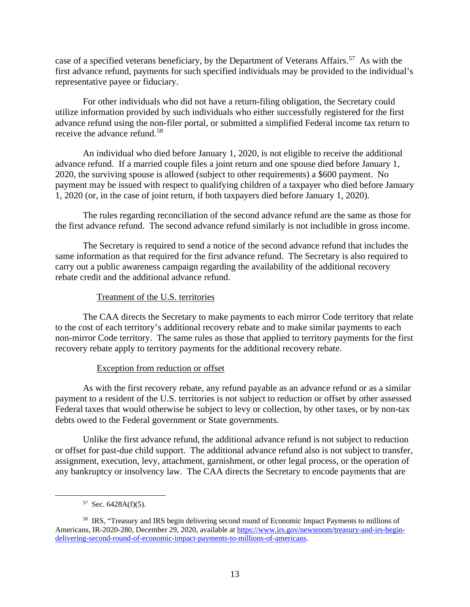case of a specified veterans beneficiary, by the Department of Veterans Affairs.<sup>57</sup> As with the first advance refund, payments for such specified individuals may be provided to the individual's representative payee or fiduciary.

For other individuals who did not have a return-filing obligation, the Secretary could utilize information provided by such individuals who either successfully registered for the first advance refund using the non-filer portal, or submitted a simplified Federal income tax return to receive the advance refund.<sup>58</sup>

An individual who died before January 1, 2020, is not eligible to receive the additional advance refund. If a married couple files a joint return and one spouse died before January 1, 2020, the surviving spouse is allowed (subject to other requirements) a \$600 payment. No payment may be issued with respect to qualifying children of a taxpayer who died before January 1, 2020 (or, in the case of joint return, if both taxpayers died before January 1, 2020).

The rules regarding reconciliation of the second advance refund are the same as those for the first advance refund. The second advance refund similarly is not includible in gross income.

The Secretary is required to send a notice of the second advance refund that includes the same information as that required for the first advance refund. The Secretary is also required to carry out a public awareness campaign regarding the availability of the additional recovery rebate credit and the additional advance refund.

# Treatment of the U.S. territories

The CAA directs the Secretary to make payments to each mirror Code territory that relate to the cost of each territory's additional recovery rebate and to make similar payments to each non-mirror Code territory. The same rules as those that applied to territory payments for the first recovery rebate apply to territory payments for the additional recovery rebate.

# Exception from reduction or offset

As with the first recovery rebate, any refund payable as an advance refund or as a similar payment to a resident of the U.S. territories is not subject to reduction or offset by other assessed Federal taxes that would otherwise be subject to levy or collection, by other taxes, or by non-tax debts owed to the Federal government or State governments.

Unlike the first advance refund, the additional advance refund is not subject to reduction or offset for past-due child support. The additional advance refund also is not subject to transfer, assignment, execution, levy, attachment, garnishment, or other legal process, or the operation of any bankruptcy or insolvency law. The CAA directs the Secretary to encode payments that are

 $57$  Sec. 6428A(f)(5).

<sup>58</sup> IRS, "Treasury and IRS begin delivering second round of Economic Impact Payments to millions of Americans, IR-2020-280, December 29, 2020, available at https://www.irs.gov/newsroom/treasury-and-irs-begindelivering-second-round-of-economic-impact-payments-to-millions-of-americans.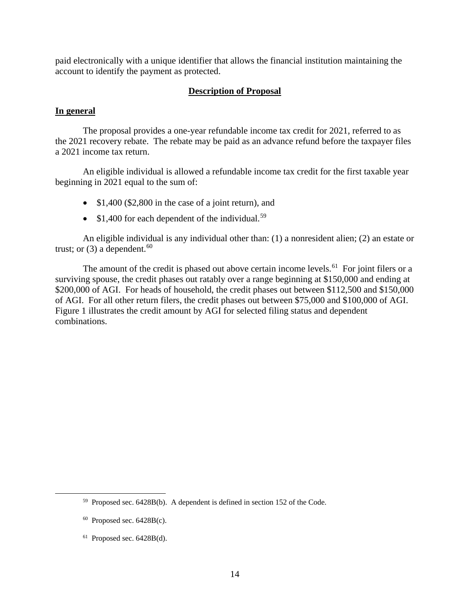paid electronically with a unique identifier that allows the financial institution maintaining the account to identify the payment as protected.

# **Description of Proposal**

# **In general**

The proposal provides a one-year refundable income tax credit for 2021, referred to as the 2021 recovery rebate. The rebate may be paid as an advance refund before the taxpayer files a 2021 income tax return.

An eligible individual is allowed a refundable income tax credit for the first taxable year beginning in 2021 equal to the sum of:

- \$1,400 (\$2,800 in the case of a joint return), and
- $$1,400$  for each dependent of the individual.<sup>59</sup>

An eligible individual is any individual other than: (1) a nonresident alien; (2) an estate or trust; or  $(3)$  a dependent.<sup>60</sup>

The amount of the credit is phased out above certain income levels.<sup>61</sup> For joint filers or a surviving spouse, the credit phases out ratably over a range beginning at \$150,000 and ending at \$200,000 of AGI. For heads of household, the credit phases out between \$112,500 and \$150,000 of AGI. For all other return filers, the credit phases out between \$75,000 and \$100,000 of AGI. Figure 1 illustrates the credit amount by AGI for selected filing status and dependent combinations.

<sup>59</sup> Proposed sec. 6428B(b). A dependent is defined in section 152 of the Code.

 $60$  Proposed sec.  $6428B(c)$ .

 $61$  Proposed sec.  $6428B(d)$ .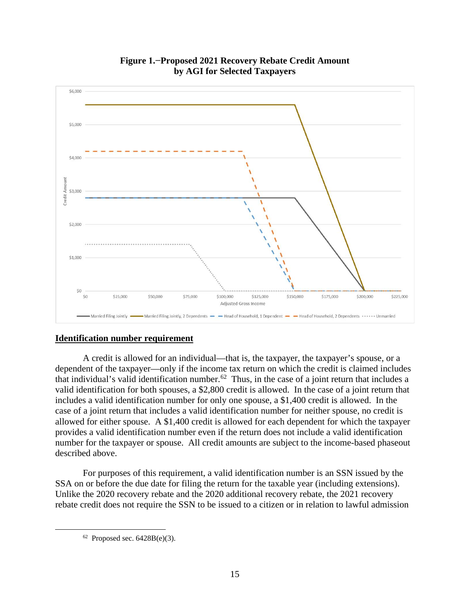

**Figure 1.−Proposed 2021 Recovery Rebate Credit Amount by AGI for Selected Taxpayers**

# **Identification number requirement**

A credit is allowed for an individual—that is, the taxpayer, the taxpayer's spouse, or a dependent of the taxpayer—only if the income tax return on which the credit is claimed includes that individual's valid identification number.62 Thus, in the case of a joint return that includes a valid identification for both spouses, a \$2,800 credit is allowed. In the case of a joint return that includes a valid identification number for only one spouse, a \$1,400 credit is allowed. In the case of a joint return that includes a valid identification number for neither spouse, no credit is allowed for either spouse. A \$1,400 credit is allowed for each dependent for which the taxpayer provides a valid identification number even if the return does not include a valid identification number for the taxpayer or spouse. All credit amounts are subject to the income-based phaseout described above.

For purposes of this requirement, a valid identification number is an SSN issued by the SSA on or before the due date for filing the return for the taxable year (including extensions). Unlike the 2020 recovery rebate and the 2020 additional recovery rebate, the 2021 recovery rebate credit does not require the SSN to be issued to a citizen or in relation to lawful admission

 $62$  Proposed sec.  $6428B(e)(3)$ .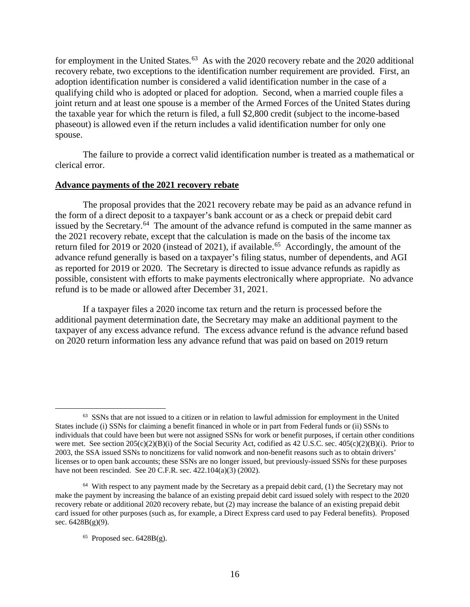for employment in the United States.<sup>63</sup> As with the 2020 recovery rebate and the 2020 additional recovery rebate, two exceptions to the identification number requirement are provided. First, an adoption identification number is considered a valid identification number in the case of a qualifying child who is adopted or placed for adoption. Second, when a married couple files a joint return and at least one spouse is a member of the Armed Forces of the United States during the taxable year for which the return is filed, a full \$2,800 credit (subject to the income-based phaseout) is allowed even if the return includes a valid identification number for only one spouse.

The failure to provide a correct valid identification number is treated as a mathematical or clerical error.

### **Advance payments of the 2021 recovery rebate**

The proposal provides that the 2021 recovery rebate may be paid as an advance refund in the form of a direct deposit to a taxpayer's bank account or as a check or prepaid debit card issued by the Secretary.<sup>64</sup> The amount of the advance refund is computed in the same manner as the 2021 recovery rebate, except that the calculation is made on the basis of the income tax return filed for 2019 or 2020 (instead of 2021), if available.<sup>65</sup> Accordingly, the amount of the advance refund generally is based on a taxpayer's filing status, number of dependents, and AGI as reported for 2019 or 2020. The Secretary is directed to issue advance refunds as rapidly as possible, consistent with efforts to make payments electronically where appropriate. No advance refund is to be made or allowed after December 31, 2021.

If a taxpayer files a 2020 income tax return and the return is processed before the additional payment determination date, the Secretary may make an additional payment to the taxpayer of any excess advance refund. The excess advance refund is the advance refund based on 2020 return information less any advance refund that was paid on based on 2019 return

<sup>&</sup>lt;sup>63</sup> SSNs that are not issued to a citizen or in relation to lawful admission for employment in the United States include (i) SSNs for claiming a benefit financed in whole or in part from Federal funds or (ii) SSNs to individuals that could have been but were not assigned SSNs for work or benefit purposes, if certain other conditions were met. See section 205(c)(2)(B)(i) of the Social Security Act, codified as 42 U.S.C. sec. 405(c)(2)(B)(i). Prior to 2003, the SSA issued SSNs to noncitizens for valid nonwork and non-benefit reasons such as to obtain drivers' licenses or to open bank accounts; these SSNs are no longer issued, but previously-issued SSNs for these purposes have not been rescinded. See 20 C.F.R. sec. 422.104(a)(3) (2002).

 $64$  With respect to any payment made by the Secretary as a prepaid debit card, (1) the Secretary may not make the payment by increasing the balance of an existing prepaid debit card issued solely with respect to the 2020 recovery rebate or additional 2020 recovery rebate, but (2) may increase the balance of an existing prepaid debit card issued for other purposes (such as, for example, a Direct Express card used to pay Federal benefits). Proposed sec.  $6428B(g)(9)$ .

 $65$  Proposed sec.  $6428B(g)$ .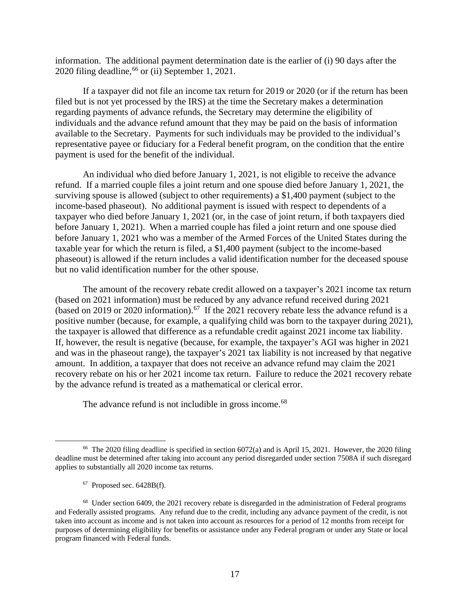information. The additional payment determination date is the earlier of (i) 90 days after the 2020 filing deadline,  $^{66}$  or (ii) September 1, 2021.

If a taxpayer did not file an income tax return for 2019 or 2020 (or if the return has been filed but is not yet processed by the IRS) at the time the Secretary makes a determination regarding payments of advance refunds, the Secretary may determine the eligibility of individuals and the advance refund amount that they may be paid on the basis of information available to the Secretary. Payments for such individuals may be provided to the individual's representative payee or fiduciary for a Federal benefit program, on the condition that the entire payment is used for the benefit of the individual.

An individual who died before January 1, 2021, is not eligible to receive the advance refund. If a married couple files a joint return and one spouse died before January 1, 2021, the surviving spouse is allowed (subject to other requirements) a \$1,400 payment (subject to the income-based phaseout). No additional payment is issued with respect to dependents of a taxpayer who died before January 1, 2021 (or, in the case of joint return, if both taxpayers died before January 1, 2021). When a married couple has filed a joint return and one spouse died before January 1, 2021 who was a member of the Armed Forces of the United States during the taxable year for which the return is filed, a \$1,400 payment (subject to the income-based phaseout) is allowed if the return includes a valid identification number for the deceased spouse but no valid identification number for the other spouse.

The amount of the recovery rebate credit allowed on a taxpayer's 2021 income tax return (based on 2021 information) must be reduced by any advance refund received during 2021 (based on 2019 or 2020 information).<sup>67</sup> If the 2021 recovery rebate less the advance refund is a positive number (because, for example, a qualifying child was born to the taxpayer during 2021), the taxpayer is allowed that difference as a refundable credit against 2021 income tax liability. If, however, the result is negative (because, for example, the taxpayer's AGI was higher in 2021 and was in the phaseout range), the taxpayer's 2021 tax liability is not increased by that negative amount. In addition, a taxpayer that does not receive an advance refund may claim the 2021 recovery rebate on his or her 2021 income tax return. Failure to reduce the 2021 recovery rebate by the advance refund is treated as a mathematical or clerical error.

The advance refund is not includible in gross income.<sup>68</sup>

 $67$  Proposed sec.  $6428B(f)$ .

<sup>&</sup>lt;sup>66</sup> The 2020 filing deadline is specified in section  $6072(a)$  and is April 15, 2021. However, the 2020 filing deadline must be determined after taking into account any period disregarded under section 7508A if such disregard applies to substantially all 2020 income tax returns.

<sup>&</sup>lt;sup>68</sup> Under section 6409, the 2021 recovery rebate is disregarded in the administration of Federal programs and Federally assisted programs. Any refund due to the credit, including any advance payment of the credit, is not taken into account as income and is not taken into account as resources for a period of 12 months from receipt for purposes of determining eligibility for benefits or assistance under any Federal program or under any State or local program financed with Federal funds.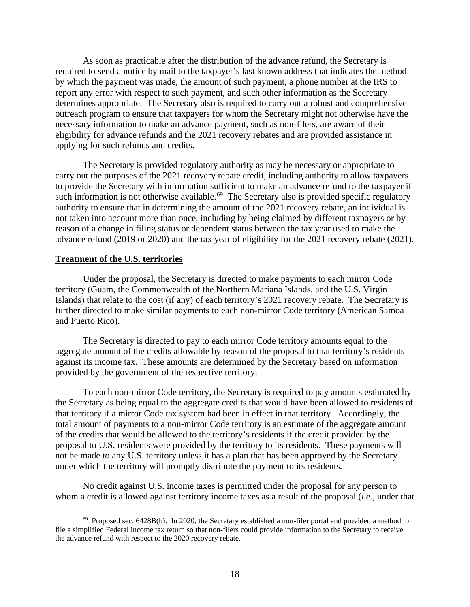As soon as practicable after the distribution of the advance refund, the Secretary is required to send a notice by mail to the taxpayer's last known address that indicates the method by which the payment was made, the amount of such payment, a phone number at the IRS to report any error with respect to such payment, and such other information as the Secretary determines appropriate. The Secretary also is required to carry out a robust and comprehensive outreach program to ensure that taxpayers for whom the Secretary might not otherwise have the necessary information to make an advance payment, such as non-filers, are aware of their eligibility for advance refunds and the 2021 recovery rebates and are provided assistance in applying for such refunds and credits.

The Secretary is provided regulatory authority as may be necessary or appropriate to carry out the purposes of the 2021 recovery rebate credit, including authority to allow taxpayers to provide the Secretary with information sufficient to make an advance refund to the taxpayer if such information is not otherwise available.<sup>69</sup> The Secretary also is provided specific regulatory authority to ensure that in determining the amount of the 2021 recovery rebate, an individual is not taken into account more than once, including by being claimed by different taxpayers or by reason of a change in filing status or dependent status between the tax year used to make the advance refund (2019 or 2020) and the tax year of eligibility for the 2021 recovery rebate (2021).

### **Treatment of the U.S. territories**

Under the proposal, the Secretary is directed to make payments to each mirror Code territory (Guam, the Commonwealth of the Northern Mariana Islands, and the U.S. Virgin Islands) that relate to the cost (if any) of each territory's 2021 recovery rebate. The Secretary is further directed to make similar payments to each non-mirror Code territory (American Samoa and Puerto Rico).

The Secretary is directed to pay to each mirror Code territory amounts equal to the aggregate amount of the credits allowable by reason of the proposal to that territory's residents against its income tax. These amounts are determined by the Secretary based on information provided by the government of the respective territory.

To each non-mirror Code territory, the Secretary is required to pay amounts estimated by the Secretary as being equal to the aggregate credits that would have been allowed to residents of that territory if a mirror Code tax system had been in effect in that territory. Accordingly, the total amount of payments to a non-mirror Code territory is an estimate of the aggregate amount of the credits that would be allowed to the territory's residents if the credit provided by the proposal to U.S. residents were provided by the territory to its residents. These payments will not be made to any U.S. territory unless it has a plan that has been approved by the Secretary under which the territory will promptly distribute the payment to its residents.

No credit against U.S. income taxes is permitted under the proposal for any person to whom a credit is allowed against territory income taxes as a result of the proposal (*i.e.*, under that

 $69$  Proposed sec. 6428B(h). In 2020, the Secretary established a non-filer portal and provided a method to file a simplified Federal income tax return so that non-filers could provide information to the Secretary to receive the advance refund with respect to the 2020 recovery rebate.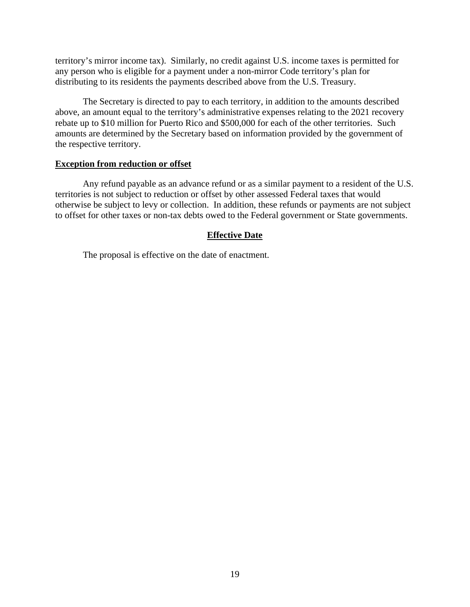territory's mirror income tax). Similarly, no credit against U.S. income taxes is permitted for any person who is eligible for a payment under a non-mirror Code territory's plan for distributing to its residents the payments described above from the U.S. Treasury.

The Secretary is directed to pay to each territory, in addition to the amounts described above, an amount equal to the territory's administrative expenses relating to the 2021 recovery rebate up to \$10 million for Puerto Rico and \$500,000 for each of the other territories. Such amounts are determined by the Secretary based on information provided by the government of the respective territory.

### **Exception from reduction or offset**

Any refund payable as an advance refund or as a similar payment to a resident of the U.S. territories is not subject to reduction or offset by other assessed Federal taxes that would otherwise be subject to levy or collection. In addition, these refunds or payments are not subject to offset for other taxes or non-tax debts owed to the Federal government or State governments.

# **Effective Date**

The proposal is effective on the date of enactment.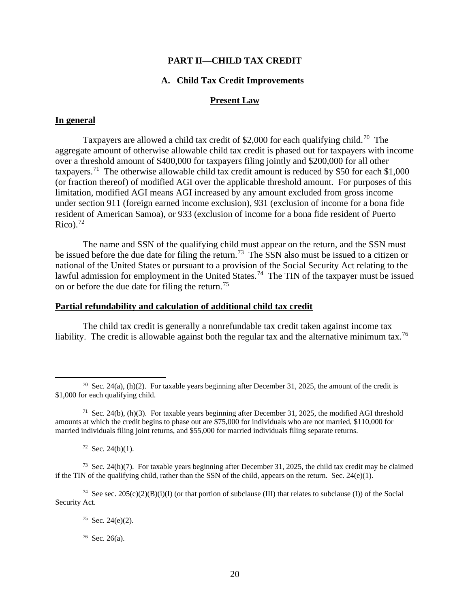### **PART II—CHILD TAX CREDIT**

### **A. Child Tax Credit Improvements**

### **Present Law**

### **In general**

Taxpayers are allowed a child tax credit of \$2,000 for each qualifying child.<sup>70</sup> The aggregate amount of otherwise allowable child tax credit is phased out for taxpayers with income over a threshold amount of \$400,000 for taxpayers filing jointly and \$200,000 for all other taxpayers.<sup>71</sup> The otherwise allowable child tax credit amount is reduced by \$50 for each \$1,000 (or fraction thereof) of modified AGI over the applicable threshold amount. For purposes of this limitation, modified AGI means AGI increased by any amount excluded from gross income under section 911 (foreign earned income exclusion), 931 (exclusion of income for a bona fide resident of American Samoa), or 933 (exclusion of income for a bona fide resident of Puerto  $Rico$ ).<sup>72</sup>

The name and SSN of the qualifying child must appear on the return, and the SSN must be issued before the due date for filing the return.<sup>73</sup> The SSN also must be issued to a citizen or national of the United States or pursuant to a provision of the Social Security Act relating to the lawful admission for employment in the United States.<sup>74</sup> The TIN of the taxpayer must be issued on or before the due date for filing the return.<sup>75</sup>

#### **Partial refundability and calculation of additional child tax credit**

The child tax credit is generally a nonrefundable tax credit taken against income tax liability. The credit is allowable against both the regular tax and the alternative minimum tax.<sup>76</sup>

 $72$  Sec. 24(b)(1).

<sup>&</sup>lt;sup>70</sup> Sec. 24(a), (h)(2). For taxable years beginning after December 31, 2025, the amount of the credit is \$1,000 for each qualifying child.

<sup>&</sup>lt;sup>71</sup> Sec. 24(b), (h)(3). For taxable years beginning after December 31, 2025, the modified AGI threshold amounts at which the credit begins to phase out are \$75,000 for individuals who are not married, \$110,000 for married individuals filing joint returns, and \$55,000 for married individuals filing separate returns.

<sup>&</sup>lt;sup>73</sup> Sec. 24(h)(7). For taxable years beginning after December 31, 2025, the child tax credit may be claimed if the TIN of the qualifying child, rather than the SSN of the child, appears on the return. Sec.  $24(e)(1)$ .

<sup>&</sup>lt;sup>74</sup> See sec. 205(c)(2)(B)(i)(I) (or that portion of subclause (III) that relates to subclause (I)) of the Social Security Act.

 $75$  Sec. 24(e)(2).

<sup>76</sup> Sec. 26(a).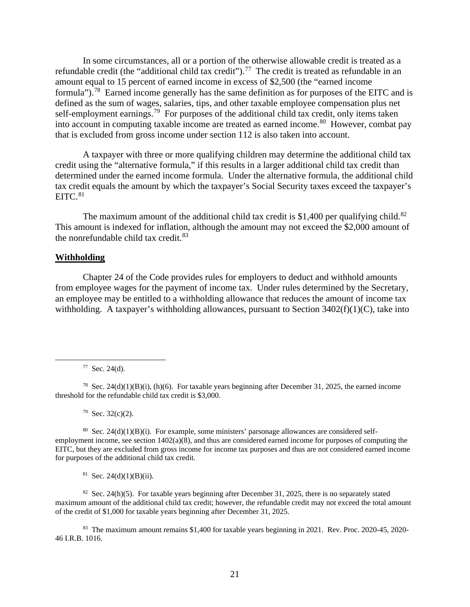In some circumstances, all or a portion of the otherwise allowable credit is treated as a refundable credit (the "additional child tax credit").<sup>77</sup> The credit is treated as refundable in an amount equal to 15 percent of earned income in excess of \$2,500 (the "earned income formula").78 Earned income generally has the same definition as for purposes of the EITC and is defined as the sum of wages, salaries, tips, and other taxable employee compensation plus net self-employment earnings.<sup>79</sup> For purposes of the additional child tax credit, only items taken into account in computing taxable income are treated as earned income.80 However, combat pay that is excluded from gross income under section 112 is also taken into account.

A taxpayer with three or more qualifying children may determine the additional child tax credit using the "alternative formula," if this results in a larger additional child tax credit than determined under the earned income formula. Under the alternative formula, the additional child tax credit equals the amount by which the taxpayer's Social Security taxes exceed the taxpayer's  $EITC.<sup>81</sup>$ 

The maximum amount of the additional child tax credit is \$1,400 per qualifying child.<sup>82</sup> This amount is indexed for inflation, although the amount may not exceed the \$2,000 amount of the nonrefundable child tax credit.<sup>83</sup>

## **Withholding**

Chapter 24 of the Code provides rules for employers to deduct and withhold amounts from employee wages for the payment of income tax. Under rules determined by the Secretary, an employee may be entitled to a withholding allowance that reduces the amount of income tax withholding. A taxpayer's withholding allowances, pursuant to Section  $3402(f)(1)(C)$ , take into

 $77$  Sec. 24(d).

 $79$  Sec. 32(c)(2).

 $80$  Sec. 24(d)(1)(B)(i). For example, some ministers' parsonage allowances are considered selfemployment income, see section 1402(a)(8), and thus are considered earned income for purposes of computing the EITC, but they are excluded from gross income for income tax purposes and thus are not considered earned income for purposes of the additional child tax credit.

 $81$  Sec. 24(d)(1)(B)(ii).

<sup>82</sup> Sec. 24(h)(5). For taxable years beginning after December 31, 2025, there is no separately stated maximum amount of the additional child tax credit; however, the refundable credit may not exceed the total amount of the credit of \$1,000 for taxable years beginning after December 31, 2025.

83 The maximum amount remains \$1,400 for taxable years beginning in 2021. Rev. Proc. 2020-45, 2020- 46 I.R.B. 1016.

<sup>&</sup>lt;sup>78</sup> Sec. 24(d)(1)(B)(i), (h)(6). For taxable years beginning after December 31, 2025, the earned income threshold for the refundable child tax credit is \$3,000.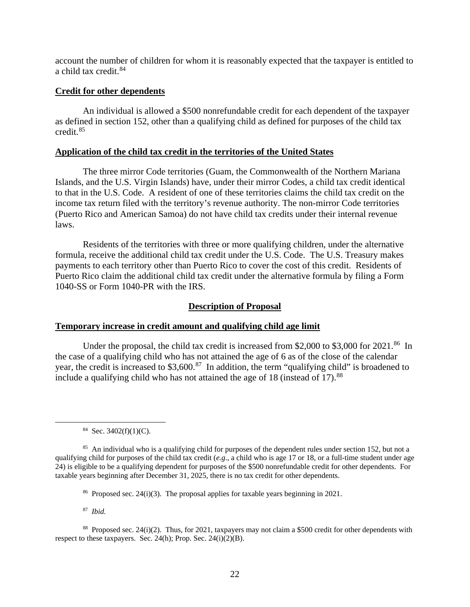account the number of children for whom it is reasonably expected that the taxpayer is entitled to a child tax credit.<sup>84</sup>

#### **Credit for other dependents**

An individual is allowed a \$500 nonrefundable credit for each dependent of the taxpayer as defined in section 152, other than a qualifying child as defined for purposes of the child tax credit.85

# **Application of the child tax credit in the territories of the United States**

The three mirror Code territories (Guam, the Commonwealth of the Northern Mariana Islands, and the U.S. Virgin Islands) have, under their mirror Codes, a child tax credit identical to that in the U.S. Code. A resident of one of these territories claims the child tax credit on the income tax return filed with the territory's revenue authority. The non-mirror Code territories (Puerto Rico and American Samoa) do not have child tax credits under their internal revenue laws.

Residents of the territories with three or more qualifying children, under the alternative formula, receive the additional child tax credit under the U.S. Code. The U.S. Treasury makes payments to each territory other than Puerto Rico to cover the cost of this credit. Residents of Puerto Rico claim the additional child tax credit under the alternative formula by filing a Form 1040-SS or Form 1040-PR with the IRS.

### **Description of Proposal**

#### **Temporary increase in credit amount and qualifying child age limit**

Under the proposal, the child tax credit is increased from \$2,000 to \$3,000 for 2021.<sup>86</sup> In the case of a qualifying child who has not attained the age of 6 as of the close of the calendar year, the credit is increased to \$3,600.<sup>87</sup> In addition, the term "qualifying child" is broadened to include a qualifying child who has not attained the age of  $18$  (instead of  $17$ ).<sup>88</sup>

 $84$  Sec. 3402(f)(1)(C).

87 *Ibid.*

<sup>88</sup> Proposed sec. 24(i)(2). Thus, for 2021, taxpayers may not claim a \$500 credit for other dependents with respect to these taxpayers. Sec. 24(h); Prop. Sec. 24(i)(2)(B).

<sup>&</sup>lt;sup>85</sup> An individual who is a qualifying child for purposes of the dependent rules under section 152, but not a qualifying child for purposes of the child tax credit (*e.g*., a child who is age 17 or 18, or a full-time student under age 24) is eligible to be a qualifying dependent for purposes of the \$500 nonrefundable credit for other dependents. For taxable years beginning after December 31, 2025, there is no tax credit for other dependents.

<sup>86</sup> Proposed sec. 24(i)(3). The proposal applies for taxable years beginning in 2021.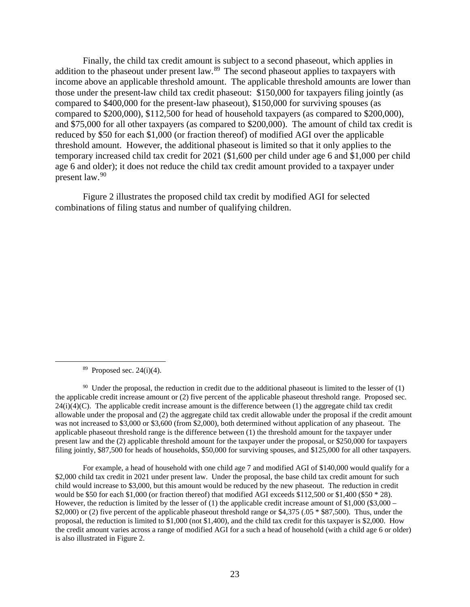Finally, the child tax credit amount is subject to a second phaseout, which applies in addition to the phaseout under present law.<sup>89</sup> The second phaseout applies to taxpayers with income above an applicable threshold amount. The applicable threshold amounts are lower than those under the present-law child tax credit phaseout: \$150,000 for taxpayers filing jointly (as compared to \$400,000 for the present-law phaseout), \$150,000 for surviving spouses (as compared to \$200,000), \$112,500 for head of household taxpayers (as compared to \$200,000), and \$75,000 for all other taxpayers (as compared to \$200,000). The amount of child tax credit is reduced by \$50 for each \$1,000 (or fraction thereof) of modified AGI over the applicable threshold amount. However, the additional phaseout is limited so that it only applies to the temporary increased child tax credit for 2021 (\$1,600 per child under age 6 and \$1,000 per child age 6 and older); it does not reduce the child tax credit amount provided to a taxpayer under present law.<sup>90</sup>

Figure 2 illustrates the proposed child tax credit by modified AGI for selected combinations of filing status and number of qualifying children.

 $89$  Proposed sec. 24(i)(4).

 $90$  Under the proposal, the reduction in credit due to the additional phaseout is limited to the lesser of (1) the applicable credit increase amount or (2) five percent of the applicable phaseout threshold range. Proposed sec.  $24(i)(4)(C)$ . The applicable credit increase amount is the difference between (1) the aggregate child tax credit allowable under the proposal and (2) the aggregate child tax credit allowable under the proposal if the credit amount was not increased to \$3,000 or \$3,600 (from \$2,000), both determined without application of any phaseout. The applicable phaseout threshold range is the difference between (1) the threshold amount for the taxpayer under present law and the (2) applicable threshold amount for the taxpayer under the proposal, or \$250,000 for taxpayers filing jointly, \$87,500 for heads of households, \$50,000 for surviving spouses, and \$125,000 for all other taxpayers.

For example, a head of household with one child age 7 and modified AGI of \$140,000 would qualify for a \$2,000 child tax credit in 2021 under present law. Under the proposal, the base child tax credit amount for such child would increase to \$3,000, but this amount would be reduced by the new phaseout. The reduction in credit would be \$50 for each \$1,000 (or fraction thereof) that modified AGI exceeds \$112,500 or \$1,400 (\$50  $*$  28). However, the reduction is limited by the lesser of  $(1)$  the applicable credit increase amount of \$1,000 (\$3,000 – \$2,000) or (2) five percent of the applicable phaseout threshold range or \$4,375 (.05  $*$  \$87,500). Thus, under the proposal, the reduction is limited to \$1,000 (not \$1,400), and the child tax credit for this taxpayer is \$2,000. How the credit amount varies across a range of modified AGI for a such a head of household (with a child age 6 or older) is also illustrated in Figure 2.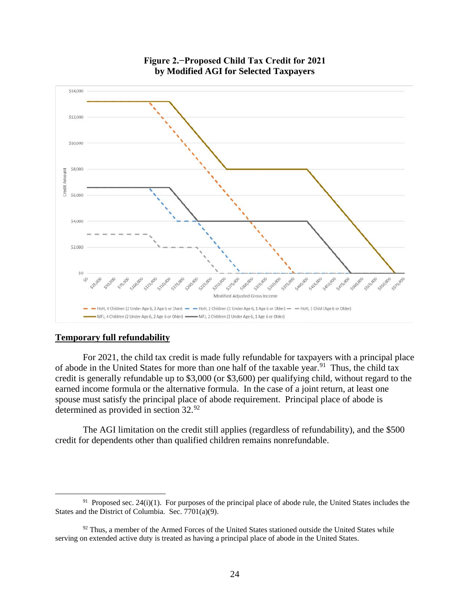

# **Figure 2.−Proposed Child Tax Credit for 2021 by Modified AGI for Selected Taxpayers**

# **Temporary full refundability**

For 2021, the child tax credit is made fully refundable for taxpayers with a principal place of abode in the United States for more than one half of the taxable year.<sup>91</sup> Thus, the child tax credit is generally refundable up to \$3,000 (or \$3,600) per qualifying child, without regard to the earned income formula or the alternative formula. In the case of a joint return, at least one spouse must satisfy the principal place of abode requirement. Principal place of abode is determined as provided in section 32.<sup>92</sup>

The AGI limitation on the credit still applies (regardless of refundability), and the \$500 credit for dependents other than qualified children remains nonrefundable.

<sup>&</sup>lt;sup>91</sup> Proposed sec. 24(i)(1). For purposes of the principal place of abode rule, the United States includes the States and the District of Columbia. Sec. 7701(a)(9).

 $92$  Thus, a member of the Armed Forces of the United States stationed outside the United States while serving on extended active duty is treated as having a principal place of abode in the United States.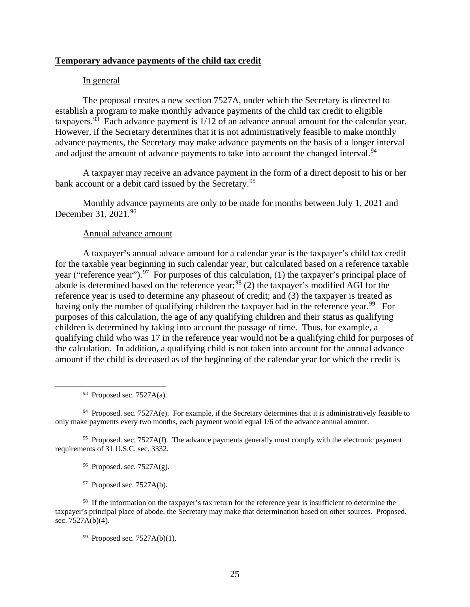### **Temporary advance payments of the child tax credit**

### In general

The proposal creates a new section 7527A, under which the Secretary is directed to establish a program to make monthly advance payments of the child tax credit to eligible taxpayers.<sup>93</sup> Each advance payment is  $1/12$  of an advance annual amount for the calendar year. However, if the Secretary determines that it is not administratively feasible to make monthly advance payments, the Secretary may make advance payments on the basis of a longer interval and adjust the amount of advance payments to take into account the changed interval.<sup>94</sup>

A taxpayer may receive an advance payment in the form of a direct deposit to his or her bank account or a debit card issued by the Secretary.<sup>95</sup>

Monthly advance payments are only to be made for months between July 1, 2021 and December 31, 2021.96

### Annual advance amount

A taxpayer's annual advace amount for a calendar year is the taxpayer's child tax credit for the taxable year beginning in such calendar year, but calculated based on a reference taxable year ("reference year").<sup>97</sup> For purposes of this calculation, (1) the taxpayer's principal place of abode is determined based on the reference year;<sup>98</sup> (2) the taxpayer's modified AGI for the reference year is used to determine any phaseout of credit; and (3) the taxpayer is treated as having only the number of qualifying children the taxpayer had in the reference year.<sup>99</sup> For purposes of this calculation, the age of any qualifying children and their status as qualifying children is determined by taking into account the passage of time. Thus, for example, a qualifying child who was 17 in the reference year would not be a qualifying child for purposes of the calculation. In addition, a qualifying child is not taken into account for the annual advance amount if the child is deceased as of the beginning of the calendar year for which the credit is

 $93$  Proposed sec. 7527A(a).

 $94$  Proposed. sec. 7527A(e). For example, if the Secretary determines that it is administratively feasible to only make payments every two months, each payment would equal 1/6 of the advance annual amount.

 $95$  Proposed. sec. 7527A(f). The advance payments generally must comply with the electronic payment requirements of 31 U.S.C. sec. 3332.

 $96$  Proposed. sec. 7527A(g).

 $97$  Proposed sec. 7527A(b).

<sup>98</sup> If the information on the taxpayer's tax return for the reference year is insufficient to determine the taxpayer's principal place of abode, the Secretary may make that determination based on other sources. Proposed. sec. 7527A(b)(4).

 $99$  Proposed sec. 7527A(b)(1).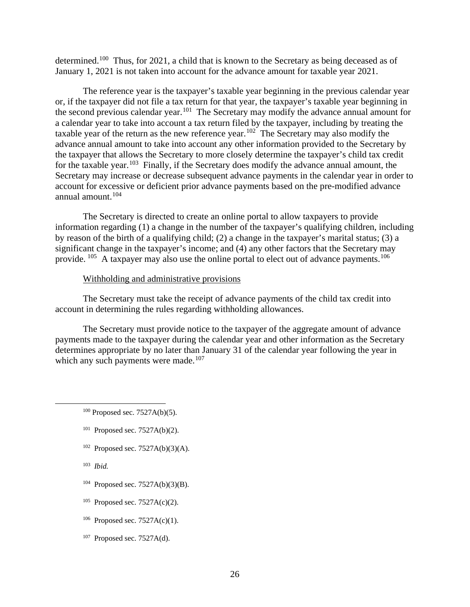determined.100 Thus, for 2021, a child that is known to the Secretary as being deceased as of January 1, 2021 is not taken into account for the advance amount for taxable year 2021.

The reference year is the taxpayer's taxable year beginning in the previous calendar year or, if the taxpayer did not file a tax return for that year, the taxpayer's taxable year beginning in the second previous calendar year.<sup>101</sup> The Secretary may modify the advance annual amount for a calendar year to take into account a tax return filed by the taxpayer, including by treating the taxable year of the return as the new reference year.<sup>102</sup> The Secretary may also modify the advance annual amount to take into account any other information provided to the Secretary by the taxpayer that allows the Secretary to more closely determine the taxpayer's child tax credit for the taxable year.<sup>103</sup> Finally, if the Secretary does modify the advance annual amount, the Secretary may increase or decrease subsequent advance payments in the calendar year in order to account for excessive or deficient prior advance payments based on the pre-modified advance annual amount.<sup>104</sup>

The Secretary is directed to create an online portal to allow taxpayers to provide information regarding (1) a change in the number of the taxpayer's qualifying children, including by reason of the birth of a qualifying child; (2) a change in the taxpayer's marital status; (3) a significant change in the taxpayer's income; and (4) any other factors that the Secretary may provide.  $^{105}$  A taxpayer may also use the online portal to elect out of advance payments.  $^{106}$ 

### Withholding and administrative provisions

The Secretary must take the receipt of advance payments of the child tax credit into account in determining the rules regarding withholding allowances.

The Secretary must provide notice to the taxpayer of the aggregate amount of advance payments made to the taxpayer during the calendar year and other information as the Secretary determines appropriate by no later than January 31 of the calendar year following the year in which any such payments were made.<sup>107</sup>

- $101$  Proposed sec. 7527A(b)(2).
- $102$  Proposed sec. 7527A(b)(3)(A).

103 *Ibid.*

- $104$  Proposed sec. 7527A(b)(3)(B).
- <sup>105</sup> Proposed sec. 7527A(c)(2).
- <sup>106</sup> Proposed sec. 7527A(c)(1).
- $107$  Proposed sec. 7527A(d).

 $100$  Proposed sec. 7527A(b)(5).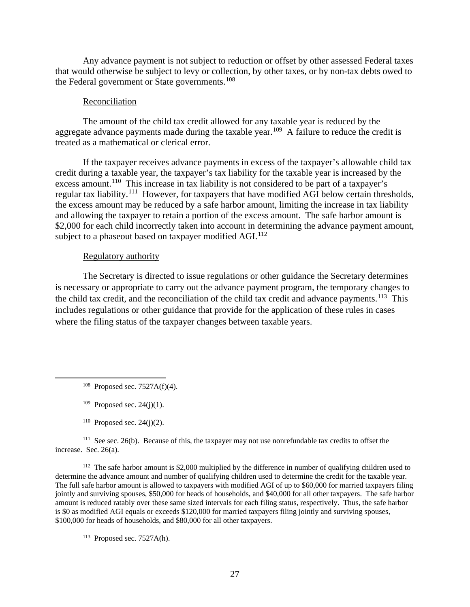Any advance payment is not subject to reduction or offset by other assessed Federal taxes that would otherwise be subject to levy or collection, by other taxes, or by non-tax debts owed to the Federal government or State governments.<sup>108</sup>

#### Reconciliation

The amount of the child tax credit allowed for any taxable year is reduced by the aggregate advance payments made during the taxable year.<sup>109</sup> A failure to reduce the credit is treated as a mathematical or clerical error.

If the taxpayer receives advance payments in excess of the taxpayer's allowable child tax credit during a taxable year, the taxpayer's tax liability for the taxable year is increased by the excess amount.<sup>110</sup> This increase in tax liability is not considered to be part of a taxpayer's regular tax liability.<sup>111</sup> However, for taxpayers that have modified AGI below certain thresholds, the excess amount may be reduced by a safe harbor amount, limiting the increase in tax liability and allowing the taxpayer to retain a portion of the excess amount. The safe harbor amount is \$2,000 for each child incorrectly taken into account in determining the advance payment amount, subject to a phaseout based on taxpayer modified AGI.<sup>112</sup>

#### Regulatory authority

The Secretary is directed to issue regulations or other guidance the Secretary determines is necessary or appropriate to carry out the advance payment program, the temporary changes to the child tax credit, and the reconciliation of the child tax credit and advance payments.<sup>113</sup> This includes regulations or other guidance that provide for the application of these rules in cases where the filing status of the taxpayer changes between taxable years.

- $108$  Proposed sec. 7527A(f)(4).
- $109$  Proposed sec. 24(j)(1).
- $110$  Proposed sec. 24(j)(2).

<sup>111</sup> See sec. 26(b). Because of this, the taxpayer may not use nonrefundable tax credits to offset the increase. Sec. 26(a).

<sup>112</sup> The safe harbor amount is \$2,000 multiplied by the difference in number of qualifying children used to determine the advance amount and number of qualifying children used to determine the credit for the taxable year. The full safe harbor amount is allowed to taxpayers with modified AGI of up to \$60,000 for married taxpayers filing jointly and surviving spouses, \$50,000 for heads of households, and \$40,000 for all other taxpayers. The safe harbor amount is reduced ratably over these same sized intervals for each filing status, respectively. Thus, the safe harbor is \$0 as modified AGI equals or exceeds \$120,000 for married taxpayers filing jointly and surviving spouses, \$100,000 for heads of households, and \$80,000 for all other taxpayers.

 $113$  Proposed sec. 7527A(h).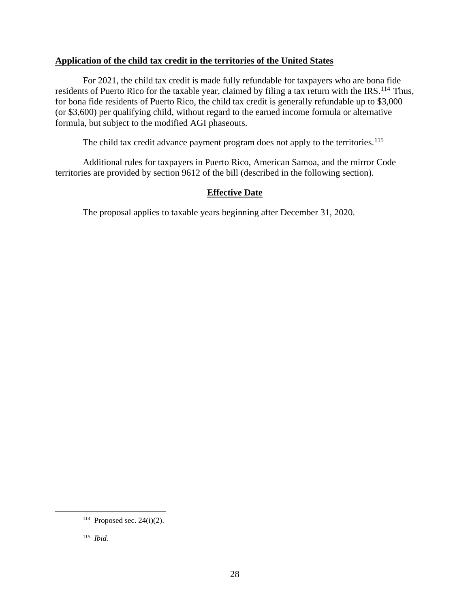# **Application of the child tax credit in the territories of the United States**

For 2021, the child tax credit is made fully refundable for taxpayers who are bona fide residents of Puerto Rico for the taxable year, claimed by filing a tax return with the IRS.<sup>114</sup> Thus, for bona fide residents of Puerto Rico, the child tax credit is generally refundable up to \$3,000 (or \$3,600) per qualifying child, without regard to the earned income formula or alternative formula, but subject to the modified AGI phaseouts.

The child tax credit advance payment program does not apply to the territories.<sup>115</sup>

Additional rules for taxpayers in Puerto Rico, American Samoa, and the mirror Code territories are provided by section 9612 of the bill (described in the following section).

# **Effective Date**

The proposal applies to taxable years beginning after December 31, 2020.

 $114$  Proposed sec. 24(i)(2).

<sup>115</sup> *Ibid.*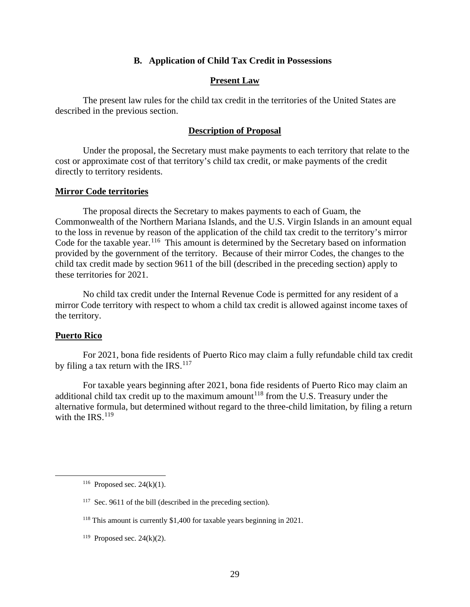### **B. Application of Child Tax Credit in Possessions**

### **Present Law**

The present law rules for the child tax credit in the territories of the United States are described in the previous section.

# **Description of Proposal**

Under the proposal, the Secretary must make payments to each territory that relate to the cost or approximate cost of that territory's child tax credit, or make payments of the credit directly to territory residents.

### **Mirror Code territories**

The proposal directs the Secretary to makes payments to each of Guam, the Commonwealth of the Northern Mariana Islands, and the U.S. Virgin Islands in an amount equal to the loss in revenue by reason of the application of the child tax credit to the territory's mirror Code for the taxable year.<sup>116</sup> This amount is determined by the Secretary based on information provided by the government of the territory. Because of their mirror Codes, the changes to the child tax credit made by section 9611 of the bill (described in the preceding section) apply to these territories for 2021.

No child tax credit under the Internal Revenue Code is permitted for any resident of a mirror Code territory with respect to whom a child tax credit is allowed against income taxes of the territory.

#### **Puerto Rico**

For 2021, bona fide residents of Puerto Rico may claim a fully refundable child tax credit by filing a tax return with the IRS. $^{117}$ 

For taxable years beginning after 2021, bona fide residents of Puerto Rico may claim an additional child tax credit up to the maximum amount<sup>118</sup> from the U.S. Treasury under the alternative formula, but determined without regard to the three-child limitation, by filing a return with the IRS. $^{119}$ 

<sup>119</sup> Proposed sec. 24 $(k)(2)$ .

<sup>&</sup>lt;sup>116</sup> Proposed sec. 24(k)(1).

<sup>&</sup>lt;sup>117</sup> Sec. 9611 of the bill (described in the preceding section).

<sup>118</sup> This amount is currently \$1,400 for taxable years beginning in 2021.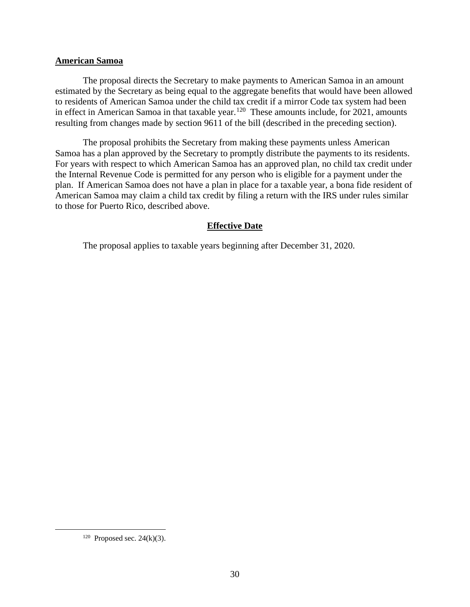### **American Samoa**

The proposal directs the Secretary to make payments to American Samoa in an amount estimated by the Secretary as being equal to the aggregate benefits that would have been allowed to residents of American Samoa under the child tax credit if a mirror Code tax system had been in effect in American Samoa in that taxable year.<sup>120</sup> These amounts include, for 2021, amounts resulting from changes made by section 9611 of the bill (described in the preceding section).

The proposal prohibits the Secretary from making these payments unless American Samoa has a plan approved by the Secretary to promptly distribute the payments to its residents. For years with respect to which American Samoa has an approved plan, no child tax credit under the Internal Revenue Code is permitted for any person who is eligible for a payment under the plan. If American Samoa does not have a plan in place for a taxable year, a bona fide resident of American Samoa may claim a child tax credit by filing a return with the IRS under rules similar to those for Puerto Rico, described above.

# **Effective Date**

The proposal applies to taxable years beginning after December 31, 2020.

<sup>&</sup>lt;sup>120</sup> Proposed sec. 24(k)(3).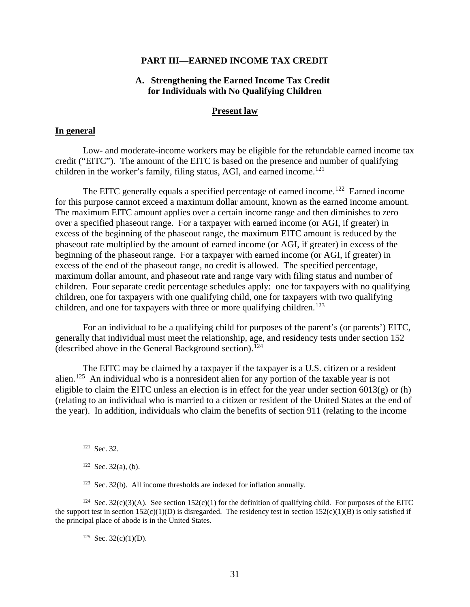#### **PART III—EARNED INCOME TAX CREDIT**

# **A. Strengthening the Earned Income Tax Credit for Individuals with No Qualifying Children**

#### **Present law**

### **In general**

Low- and moderate-income workers may be eligible for the refundable earned income tax credit ("EITC"). The amount of the EITC is based on the presence and number of qualifying children in the worker's family, filing status, AGI, and earned income.<sup>121</sup>

The EITC generally equals a specified percentage of earned income.<sup>122</sup> Earned income for this purpose cannot exceed a maximum dollar amount, known as the earned income amount. The maximum EITC amount applies over a certain income range and then diminishes to zero over a specified phaseout range. For a taxpayer with earned income (or AGI, if greater) in excess of the beginning of the phaseout range, the maximum EITC amount is reduced by the phaseout rate multiplied by the amount of earned income (or AGI, if greater) in excess of the beginning of the phaseout range. For a taxpayer with earned income (or AGI, if greater) in excess of the end of the phaseout range, no credit is allowed. The specified percentage, maximum dollar amount, and phaseout rate and range vary with filing status and number of children. Four separate credit percentage schedules apply: one for taxpayers with no qualifying children, one for taxpayers with one qualifying child, one for taxpayers with two qualifying children, and one for taxpayers with three or more qualifying children.<sup>123</sup>

For an individual to be a qualifying child for purposes of the parent's (or parents') EITC, generally that individual must meet the relationship, age, and residency tests under section 152 (described above in the General Background section).<sup>124</sup>

The EITC may be claimed by a taxpayer if the taxpayer is a U.S. citizen or a resident alien.<sup>125</sup> An individual who is a nonresident alien for any portion of the taxable year is not eligible to claim the EITC unless an election is in effect for the year under section  $6013(g)$  or (h) (relating to an individual who is married to a citizen or resident of the United States at the end of the year). In addition, individuals who claim the benefits of section 911 (relating to the income

 $125$  Sec. 32(c)(1)(D).

<sup>121</sup> Sec. 32.

 $122$  Sec. 32(a), (b).

 $123$  Sec. 32(b). All income thresholds are indexed for inflation annually.

<sup>&</sup>lt;sup>124</sup> Sec. 32(c)(3)(A). See section 152(c)(1) for the definition of qualifying child. For purposes of the EITC the support test in section  $152(c)(1)(D)$  is disregarded. The residency test in section  $152(c)(1)(B)$  is only satisfied if the principal place of abode is in the United States.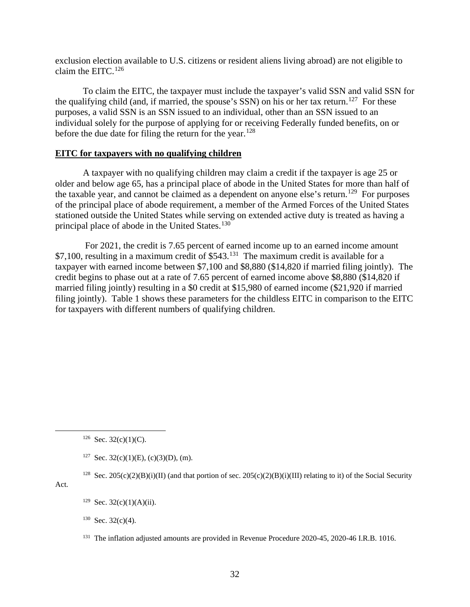exclusion election available to U.S. citizens or resident aliens living abroad) are not eligible to claim the EITC. $126$ 

To claim the EITC, the taxpayer must include the taxpayer's valid SSN and valid SSN for the qualifying child (and, if married, the spouse's SSN) on his or her tax return.<sup>127</sup> For these purposes, a valid SSN is an SSN issued to an individual, other than an SSN issued to an individual solely for the purpose of applying for or receiving Federally funded benefits, on or before the due date for filing the return for the year.<sup>128</sup>

### **EITC for taxpayers with no qualifying children**

A taxpayer with no qualifying children may claim a credit if the taxpayer is age 25 or older and below age 65, has a principal place of abode in the United States for more than half of the taxable year, and cannot be claimed as a dependent on anyone else's return.<sup>129</sup> For purposes of the principal place of abode requirement, a member of the Armed Forces of the United States stationed outside the United States while serving on extended active duty is treated as having a principal place of abode in the United States.<sup>130</sup>

For 2021, the credit is 7.65 percent of earned income up to an earned income amount \$7,100, resulting in a maximum credit of \$543.<sup>131</sup> The maximum credit is available for a taxpayer with earned income between \$7,100 and \$8,880 (\$14,820 if married filing jointly). The credit begins to phase out at a rate of 7.65 percent of earned income above \$8,880 (\$14,820 if married filing jointly) resulting in a \$0 credit at \$15,980 of earned income (\$21,920 if married filing jointly). Table 1 shows these parameters for the childless EITC in comparison to the EITC for taxpayers with different numbers of qualifying children.

<sup>128</sup> Sec. 205(c)(2)(B)(i)(II) (and that portion of sec. 205(c)(2)(B)(i)(III) relating to it) of the Social Security

Act.

 $126$  Sec. 32(c)(1)(C).

<sup>&</sup>lt;sup>127</sup> Sec. 32(c)(1)(E), (c)(3)(D), (m).

 $129$  Sec. 32(c)(1)(A)(ii).

 $130$  Sec. 32(c)(4).

<sup>&</sup>lt;sup>131</sup> The inflation adjusted amounts are provided in Revenue Procedure 2020-45, 2020-46 I.R.B. 1016.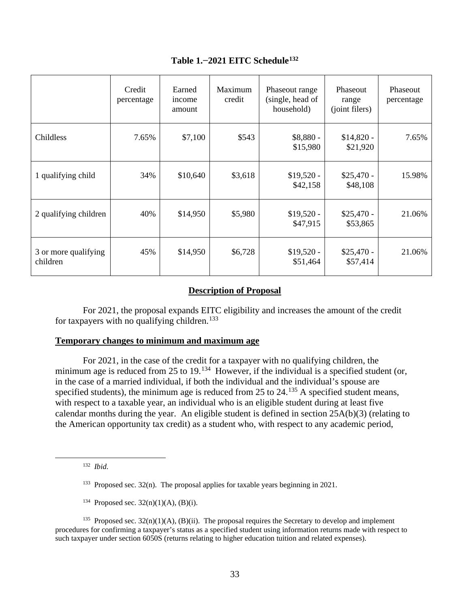|                                  | Credit<br>percentage | Earned<br>income<br>amount | Maximum<br>credit | Phaseout range<br>(single, head of<br>household) | Phaseout<br>range<br>(joint filers) | Phaseout<br>percentage |
|----------------------------------|----------------------|----------------------------|-------------------|--------------------------------------------------|-------------------------------------|------------------------|
| Childless                        | 7.65%                | \$7,100                    | \$543             | $$8,880-$<br>\$15,980                            | $$14,820 -$<br>\$21,920             | 7.65%                  |
| 1 qualifying child               | 34%                  | \$10,640                   | \$3,618           | $$19,520 -$<br>\$42,158                          | $$25,470-$<br>\$48,108              | 15.98%                 |
| 2 qualifying children            | 40%                  | \$14,950                   | \$5,980           | $$19,520 -$<br>\$47,915                          | $$25,470-$<br>\$53,865              | 21.06%                 |
| 3 or more qualifying<br>children | 45%                  | \$14,950                   | \$6,728           | $$19,520 -$<br>\$51,464                          | $$25,470-$<br>\$57,414              | 21.06%                 |

# **Table 1.−2021 EITC Schedule132**

# **Description of Proposal**

For 2021, the proposal expands EITC eligibility and increases the amount of the credit for taxpayers with no qualifying children.<sup>133</sup>

# **Temporary changes to minimum and maximum age**

For 2021, in the case of the credit for a taxpayer with no qualifying children, the minimum age is reduced from 25 to 19.<sup>134</sup> However, if the individual is a specified student (or, in the case of a married individual, if both the individual and the individual's spouse are specified students), the minimum age is reduced from 25 to 24.<sup>135</sup> A specified student means, with respect to a taxable year, an individual who is an eligible student during at least five calendar months during the year. An eligible student is defined in section 25A(b)(3) (relating to the American opportunity tax credit) as a student who, with respect to any academic period,

132 *Ibid*.

- $133$  Proposed sec. 32(n). The proposal applies for taxable years beginning in 2021.
- <sup>134</sup> Proposed sec.  $32(n)(1)(A)$ , (B)(i).

<sup>135</sup> Proposed sec.  $32(n)(1)(A)$ ,  $(B)(ii)$ . The proposal requires the Secretary to develop and implement procedures for confirming a taxpayer's status as a specified student using information returns made with respect to such taxpayer under section 6050S (returns relating to higher education tuition and related expenses).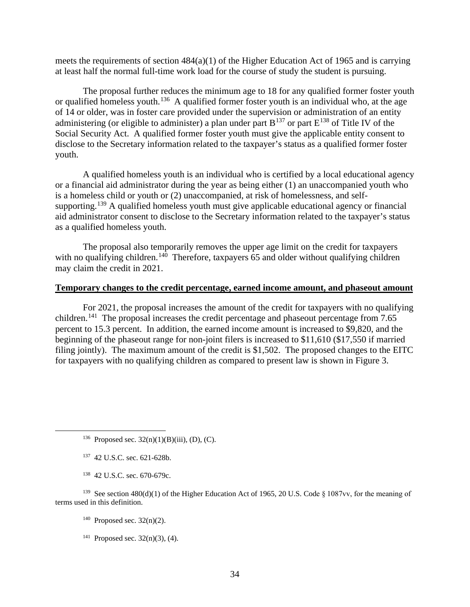meets the requirements of section 484(a)(1) of the Higher Education Act of 1965 and is carrying at least half the normal full-time work load for the course of study the student is pursuing.

The proposal further reduces the minimum age to 18 for any qualified former foster youth or qualified homeless youth.<sup>136</sup> A qualified former foster youth is an individual who, at the age of 14 or older, was in foster care provided under the supervision or administration of an entity administering (or eligible to administer) a plan under part  $B^{137}$  or part  $E^{138}$  of Title IV of the Social Security Act. A qualified former foster youth must give the applicable entity consent to disclose to the Secretary information related to the taxpayer's status as a qualified former foster youth.

A qualified homeless youth is an individual who is certified by a local educational agency or a financial aid administrator during the year as being either (1) an unaccompanied youth who is a homeless child or youth or (2) unaccompanied, at risk of homelessness, and selfsupporting.<sup>139</sup> A qualified homeless youth must give applicable educational agency or financial aid administrator consent to disclose to the Secretary information related to the taxpayer's status as a qualified homeless youth.

The proposal also temporarily removes the upper age limit on the credit for taxpayers with no qualifying children.<sup>140</sup> Therefore, taxpayers 65 and older without qualifying children may claim the credit in 2021.

# **Temporary changes to the credit percentage, earned income amount, and phaseout amount**

For 2021, the proposal increases the amount of the credit for taxpayers with no qualifying children.<sup>141</sup> The proposal increases the credit percentage and phaseout percentage from 7.65 percent to 15.3 percent. In addition, the earned income amount is increased to \$9,820, and the beginning of the phaseout range for non-joint filers is increased to \$11,610 (\$17,550 if married filing jointly). The maximum amount of the credit is \$1,502. The proposed changes to the EITC for taxpayers with no qualifying children as compared to present law is shown in Figure 3.

<sup>136</sup> Proposed sec.  $32(n)(1)(B)(iii)$ , (D), (C).

- 137 42 U.S.C. sec. 621-628b.
- 138 42 U.S.C. sec. 670-679c.

139 See section 480(d)(1) of the Higher Education Act of 1965, 20 U.S. Code § 1087vv, for the meaning of terms used in this definition.

- $140$  Proposed sec.  $32(n)(2)$ .
- <sup>141</sup> Proposed sec.  $32(n)(3)$ , (4).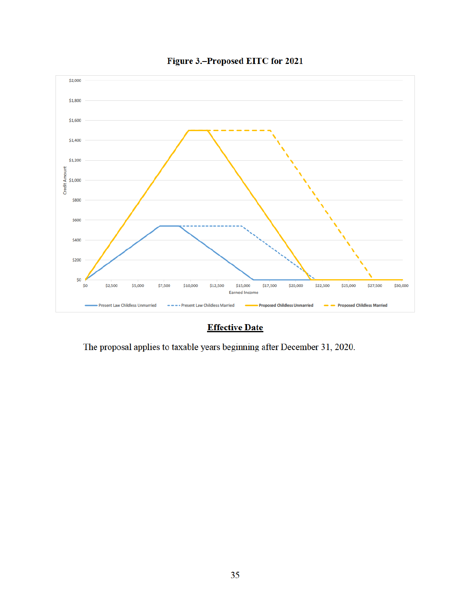

Figure 3.-Proposed EITC for 2021

# **Effective Date**

The proposal applies to taxable years beginning after December 31, 2020.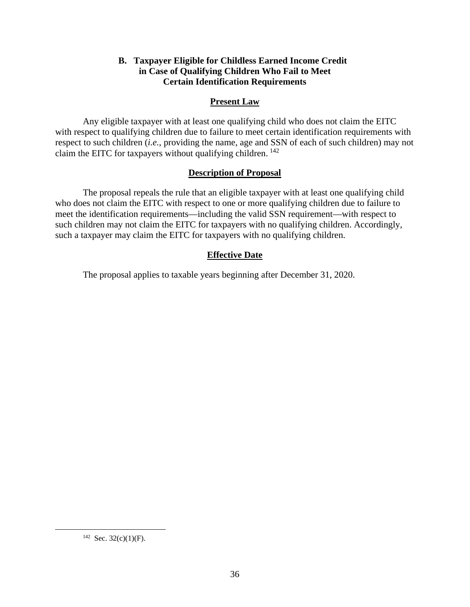# **B. Taxpayer Eligible for Childless Earned Income Credit in Case of Qualifying Children Who Fail to Meet Certain Identification Requirements**

# **Present Law**

Any eligible taxpayer with at least one qualifying child who does not claim the EITC with respect to qualifying children due to failure to meet certain identification requirements with respect to such children (*i.e.*, providing the name, age and SSN of each of such children) may not claim the EITC for taxpayers without qualifying children.  $142$ 

# **Description of Proposal**

The proposal repeals the rule that an eligible taxpayer with at least one qualifying child who does not claim the EITC with respect to one or more qualifying children due to failure to meet the identification requirements—including the valid SSN requirement—with respect to such children may not claim the EITC for taxpayers with no qualifying children. Accordingly, such a taxpayer may claim the EITC for taxpayers with no qualifying children.

# **Effective Date**

The proposal applies to taxable years beginning after December 31, 2020.

<sup>&</sup>lt;sup>142</sup> Sec. 32(c)(1)(F).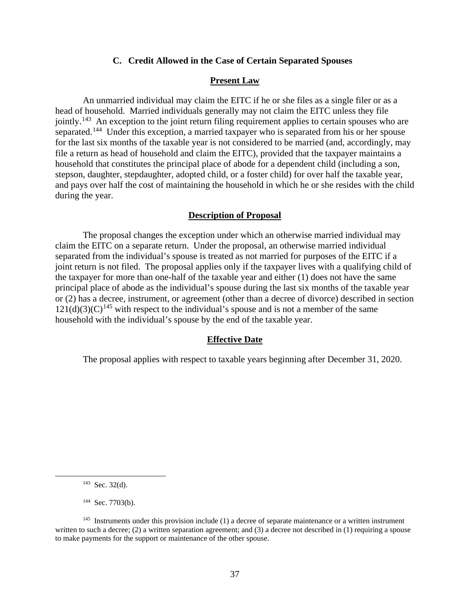#### **C. Credit Allowed in the Case of Certain Separated Spouses**

### **Present Law**

An unmarried individual may claim the EITC if he or she files as a single filer or as a head of household. Married individuals generally may not claim the EITC unless they file jointly.<sup>143</sup> An exception to the joint return filing requirement applies to certain spouses who are separated.<sup>144</sup> Under this exception, a married taxpayer who is separated from his or her spouse for the last six months of the taxable year is not considered to be married (and, accordingly, may file a return as head of household and claim the EITC), provided that the taxpayer maintains a household that constitutes the principal place of abode for a dependent child (including a son, stepson, daughter, stepdaughter, adopted child, or a foster child) for over half the taxable year, and pays over half the cost of maintaining the household in which he or she resides with the child during the year.

# **Description of Proposal**

The proposal changes the exception under which an otherwise married individual may claim the EITC on a separate return. Under the proposal, an otherwise married individual separated from the individual's spouse is treated as not married for purposes of the EITC if a joint return is not filed. The proposal applies only if the taxpayer lives with a qualifying child of the taxpayer for more than one-half of the taxable year and either (1) does not have the same principal place of abode as the individual's spouse during the last six months of the taxable year or (2) has a decree, instrument, or agreement (other than a decree of divorce) described in section  $121(d)(3)(C)^{145}$  with respect to the individual's spouse and is not a member of the same household with the individual's spouse by the end of the taxable year.

#### **Effective Date**

The proposal applies with respect to taxable years beginning after December 31, 2020.

 $143$  Sec. 32(d).

<sup>&</sup>lt;sup>144</sup> Sec. 7703(b).

 $145$  Instruments under this provision include (1) a decree of separate maintenance or a written instrument written to such a decree; (2) a written separation agreement; and (3) a decree not described in (1) requiring a spouse to make payments for the support or maintenance of the other spouse.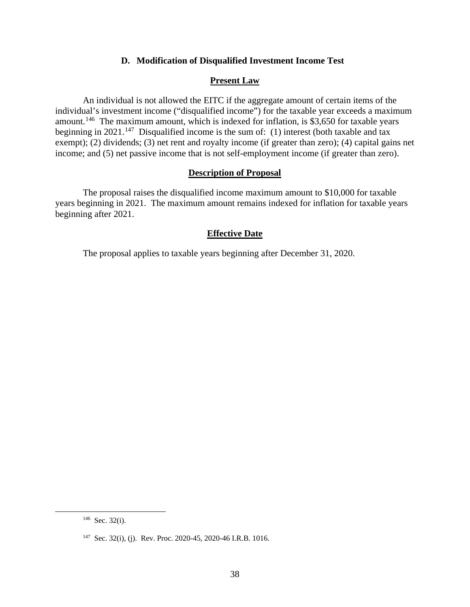# **D. Modification of Disqualified Investment Income Test**

# **Present Law**

An individual is not allowed the EITC if the aggregate amount of certain items of the individual's investment income ("disqualified income") for the taxable year exceeds a maximum amount.<sup>146</sup> The maximum amount, which is indexed for inflation, is \$3,650 for taxable years beginning in 2021.<sup>147</sup> Disqualified income is the sum of: (1) interest (both taxable and tax exempt); (2) dividends; (3) net rent and royalty income (if greater than zero); (4) capital gains net income; and (5) net passive income that is not self-employment income (if greater than zero).

# **Description of Proposal**

The proposal raises the disqualified income maximum amount to \$10,000 for taxable years beginning in 2021. The maximum amount remains indexed for inflation for taxable years beginning after 2021.

## **Effective Date**

The proposal applies to taxable years beginning after December 31, 2020.

 $146$  Sec. 32(i).

<sup>147</sup> Sec. 32(i), (j). Rev. Proc. 2020-45, 2020-46 I.R.B. 1016.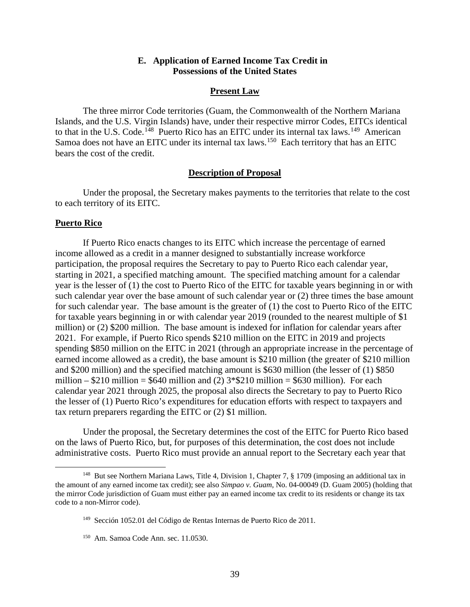# **E. Application of Earned Income Tax Credit in Possessions of the United States**

#### **Present Law**

The three mirror Code territories (Guam, the Commonwealth of the Northern Mariana Islands, and the U.S. Virgin Islands) have, under their respective mirror Codes, EITCs identical to that in the U.S. Code.<sup>148</sup> Puerto Rico has an EITC under its internal tax laws.<sup>149</sup> American Samoa does not have an EITC under its internal tax laws.<sup>150</sup> Each territory that has an EITC bears the cost of the credit.

#### **Description of Proposal**

Under the proposal, the Secretary makes payments to the territories that relate to the cost to each territory of its EITC.

### **Puerto Rico**

If Puerto Rico enacts changes to its EITC which increase the percentage of earned income allowed as a credit in a manner designed to substantially increase workforce participation, the proposal requires the Secretary to pay to Puerto Rico each calendar year, starting in 2021, a specified matching amount. The specified matching amount for a calendar year is the lesser of (1) the cost to Puerto Rico of the EITC for taxable years beginning in or with such calendar year over the base amount of such calendar year or (2) three times the base amount for such calendar year. The base amount is the greater of (1) the cost to Puerto Rico of the EITC for taxable years beginning in or with calendar year 2019 (rounded to the nearest multiple of \$1 million) or (2) \$200 million. The base amount is indexed for inflation for calendar years after 2021. For example, if Puerto Rico spends \$210 million on the EITC in 2019 and projects spending \$850 million on the EITC in 2021 (through an appropriate increase in the percentage of earned income allowed as a credit), the base amount is \$210 million (the greater of \$210 million and \$200 million) and the specified matching amount is \$630 million (the lesser of (1) \$850 million –  $$210$  million =  $$640$  million and (2)  $3*$210$  million =  $$630$  million). For each calendar year 2021 through 2025, the proposal also directs the Secretary to pay to Puerto Rico the lesser of (1) Puerto Rico's expenditures for education efforts with respect to taxpayers and tax return preparers regarding the EITC or (2) \$1 million.

Under the proposal, the Secretary determines the cost of the EITC for Puerto Rico based on the laws of Puerto Rico, but, for purposes of this determination, the cost does not include administrative costs. Puerto Rico must provide an annual report to the Secretary each year that

<sup>&</sup>lt;sup>148</sup> But see Northern Mariana Laws, Title 4, Division 1, Chapter 7, § 1709 (imposing an additional tax in the amount of any earned income tax credit); see also *Simpao v. Guam*, No. 04-00049 (D. Guam 2005) (holding that the mirror Code jurisdiction of Guam must either pay an earned income tax credit to its residents or change its tax code to a non-Mirror code).

<sup>149</sup> Sección 1052.01 del Código de Rentas Internas de Puerto Rico de 2011.

<sup>150</sup> Am. Samoa Code Ann. sec. 11.0530.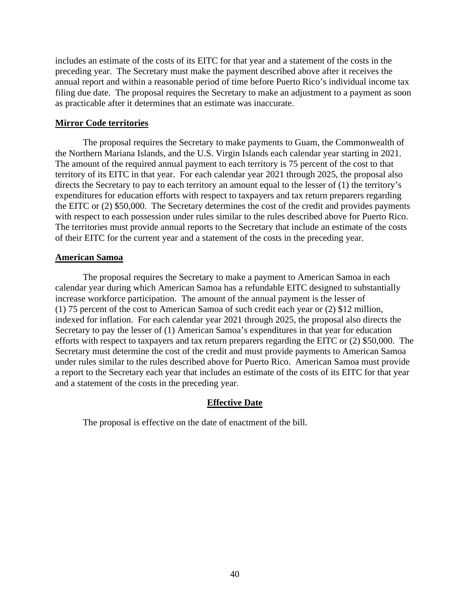includes an estimate of the costs of its EITC for that year and a statement of the costs in the preceding year. The Secretary must make the payment described above after it receives the annual report and within a reasonable period of time before Puerto Rico's individual income tax filing due date. The proposal requires the Secretary to make an adjustment to a payment as soon as practicable after it determines that an estimate was inaccurate.

## **Mirror Code territories**

The proposal requires the Secretary to make payments to Guam, the Commonwealth of the Northern Mariana Islands, and the U.S. Virgin Islands each calendar year starting in 2021. The amount of the required annual payment to each territory is 75 percent of the cost to that territory of its EITC in that year. For each calendar year 2021 through 2025, the proposal also directs the Secretary to pay to each territory an amount equal to the lesser of (1) the territory's expenditures for education efforts with respect to taxpayers and tax return preparers regarding the EITC or (2) \$50,000. The Secretary determines the cost of the credit and provides payments with respect to each possession under rules similar to the rules described above for Puerto Rico. The territories must provide annual reports to the Secretary that include an estimate of the costs of their EITC for the current year and a statement of the costs in the preceding year.

### **American Samoa**

The proposal requires the Secretary to make a payment to American Samoa in each calendar year during which American Samoa has a refundable EITC designed to substantially increase workforce participation. The amount of the annual payment is the lesser of (1) 75 percent of the cost to American Samoa of such credit each year or (2) \$12 million, indexed for inflation. For each calendar year 2021 through 2025, the proposal also directs the Secretary to pay the lesser of (1) American Samoa's expenditures in that year for education efforts with respect to taxpayers and tax return preparers regarding the EITC or (2) \$50,000. The Secretary must determine the cost of the credit and must provide payments to American Samoa under rules similar to the rules described above for Puerto Rico. American Samoa must provide a report to the Secretary each year that includes an estimate of the costs of its EITC for that year and a statement of the costs in the preceding year.

# **Effective Date**

The proposal is effective on the date of enactment of the bill.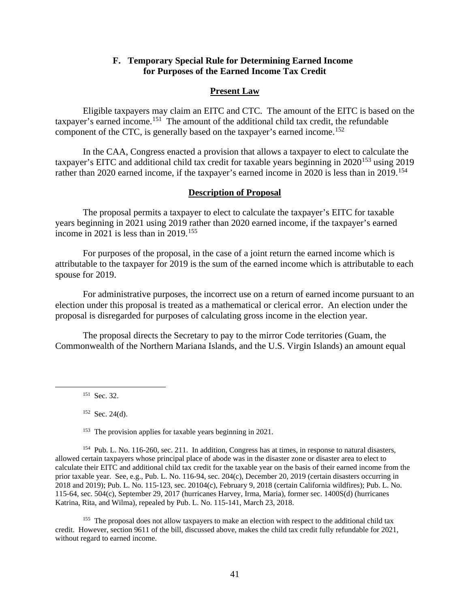# **F. Temporary Special Rule for Determining Earned Income for Purposes of the Earned Income Tax Credit**

## **Present Law**

Eligible taxpayers may claim an EITC and CTC. The amount of the EITC is based on the taxpayer's earned income.151 The amount of the additional child tax credit, the refundable component of the CTC, is generally based on the taxpayer's earned income.<sup>152</sup>

In the CAA, Congress enacted a provision that allows a taxpayer to elect to calculate the taxpayer's EITC and additional child tax credit for taxable years beginning in  $2020^{153}$  using 2019 rather than 2020 earned income, if the taxpayer's earned income in 2020 is less than in 2019.<sup>154</sup>

### **Description of Proposal**

The proposal permits a taxpayer to elect to calculate the taxpayer's EITC for taxable years beginning in 2021 using 2019 rather than 2020 earned income, if the taxpayer's earned income in 2021 is less than in 2019.<sup>155</sup>

For purposes of the proposal, in the case of a joint return the earned income which is attributable to the taxpayer for 2019 is the sum of the earned income which is attributable to each spouse for 2019.

For administrative purposes, the incorrect use on a return of earned income pursuant to an election under this proposal is treated as a mathematical or clerical error. An election under the proposal is disregarded for purposes of calculating gross income in the election year.

The proposal directs the Secretary to pay to the mirror Code territories (Guam, the Commonwealth of the Northern Mariana Islands, and the U.S. Virgin Islands) an amount equal

151 Sec. 32.

 $152$  Sec. 24(d).

<sup>153</sup> The provision applies for taxable years beginning in 2021.

154 Pub. L. No. 116-260, sec. 211. In addition, Congress has at times, in response to natural disasters, allowed certain taxpayers whose principal place of abode was in the disaster zone or disaster area to elect to calculate their EITC and additional child tax credit for the taxable year on the basis of their earned income from the prior taxable year. See, e.g., Pub. L. No. 116-94, sec. 204(c), December 20, 2019 (certain disasters occurring in 2018 and 2019); Pub. L. No. 115-123, sec. 20104(c), February 9, 2018 (certain California wildfires); Pub. L. No. 115-64, sec. 504(c), September 29, 2017 (hurricanes Harvey, Irma, Maria), former sec. 1400S(d) (hurricanes Katrina, Rita, and Wilma), repealed by Pub. L. No. 115-141, March 23, 2018.

<sup>155</sup> The proposal does not allow taxpayers to make an election with respect to the additional child tax credit. However, section 9611 of the bill, discussed above, makes the child tax credit fully refundable for 2021, without regard to earned income.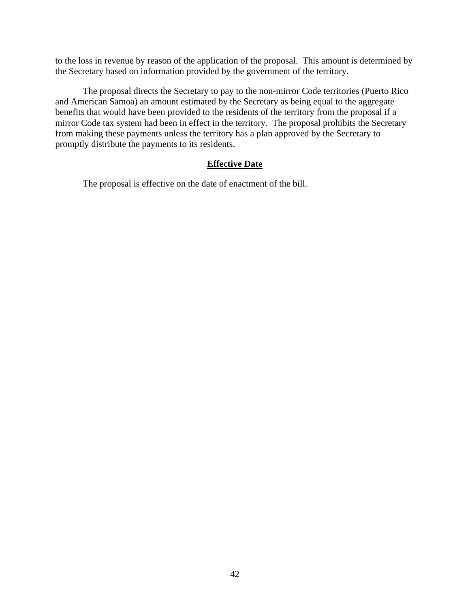to the loss in revenue by reason of the application of the proposal. This amount is determined by the Secretary based on information provided by the government of the territory.

The proposal directs the Secretary to pay to the non-mirror Code territories (Puerto Rico and American Samoa) an amount estimated by the Secretary as being equal to the aggregate benefits that would have been provided to the residents of the territory from the proposal if a mirror Code tax system had been in effect in the territory. The proposal prohibits the Secretary from making these payments unless the territory has a plan approved by the Secretary to promptly distribute the payments to its residents.

# **Effective Date**

The proposal is effective on the date of enactment of the bill.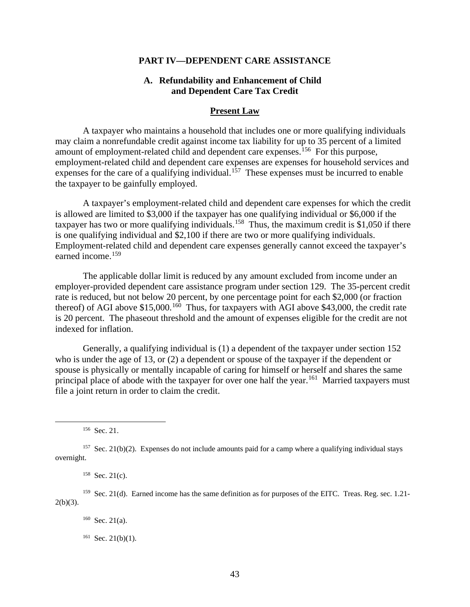#### **PART IV—DEPENDENT CARE ASSISTANCE**

# **A. Refundability and Enhancement of Child and Dependent Care Tax Credit**

#### **Present Law**

A taxpayer who maintains a household that includes one or more qualifying individuals may claim a nonrefundable credit against income tax liability for up to 35 percent of a limited amount of employment-related child and dependent care expenses.<sup>156</sup> For this purpose, employment-related child and dependent care expenses are expenses for household services and expenses for the care of a qualifying individual.<sup>157</sup> These expenses must be incurred to enable the taxpayer to be gainfully employed.

A taxpayer's employment-related child and dependent care expenses for which the credit is allowed are limited to \$3,000 if the taxpayer has one qualifying individual or \$6,000 if the taxpayer has two or more qualifying individuals.<sup>158</sup> Thus, the maximum credit is \$1,050 if there is one qualifying individual and \$2,100 if there are two or more qualifying individuals. Employment-related child and dependent care expenses generally cannot exceed the taxpayer's earned income.<sup>159</sup>

The applicable dollar limit is reduced by any amount excluded from income under an employer-provided dependent care assistance program under section 129. The 35-percent credit rate is reduced, but not below 20 percent, by one percentage point for each \$2,000 (or fraction thereof) of AGI above  $$15,000$ .<sup>160</sup> Thus, for taxpayers with AGI above \$43,000, the credit rate is 20 percent. The phaseout threshold and the amount of expenses eligible for the credit are not indexed for inflation.

Generally, a qualifying individual is (1) a dependent of the taxpayer under section 152 who is under the age of 13, or (2) a dependent or spouse of the taxpayer if the dependent or spouse is physically or mentally incapable of caring for himself or herself and shares the same principal place of abode with the taxpayer for over one half the year.<sup>161</sup> Married taxpayers must file a joint return in order to claim the credit.

<sup>&</sup>lt;sup>156</sup> Sec. 21.

 $157$  Sec. 21(b)(2). Expenses do not include amounts paid for a camp where a qualifying individual stays overnight.

 $158$  Sec. 21(c).

<sup>&</sup>lt;sup>159</sup> Sec. 21(d). Earned income has the same definition as for purposes of the EITC. Treas. Reg. sec. 1.21- $2(b)(3)$ .

 $160$  Sec. 21(a).

 $161$  Sec. 21(b)(1).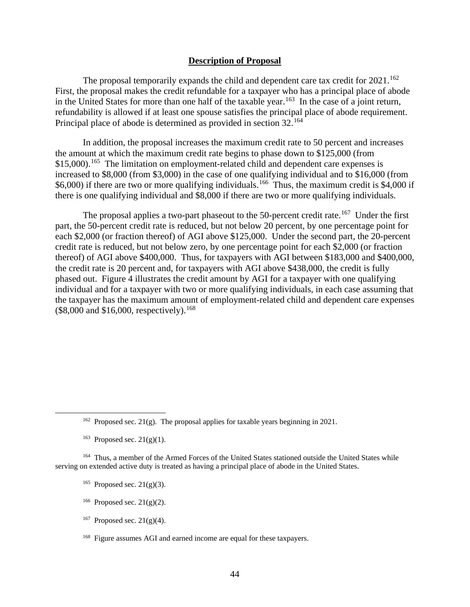#### **Description of Proposal**

The proposal temporarily expands the child and dependent care tax credit for  $2021$ .<sup>162</sup> First, the proposal makes the credit refundable for a taxpayer who has a principal place of abode in the United States for more than one half of the taxable year.<sup>163</sup> In the case of a joint return, refundability is allowed if at least one spouse satisfies the principal place of abode requirement. Principal place of abode is determined as provided in section 32.<sup>164</sup>

In addition, the proposal increases the maximum credit rate to 50 percent and increases the amount at which the maximum credit rate begins to phase down to \$125,000 (from \$15,000).<sup>165</sup> The limitation on employment-related child and dependent care expenses is increased to \$8,000 (from \$3,000) in the case of one qualifying individual and to \$16,000 (from \$6,000) if there are two or more qualifying individuals.<sup>166</sup> Thus, the maximum credit is \$4,000 if there is one qualifying individual and \$8,000 if there are two or more qualifying individuals.

The proposal applies a two-part phaseout to the 50-percent credit rate.<sup>167</sup> Under the first part, the 50-percent credit rate is reduced, but not below 20 percent, by one percentage point for each \$2,000 (or fraction thereof) of AGI above \$125,000. Under the second part, the 20-percent credit rate is reduced, but not below zero, by one percentage point for each \$2,000 (or fraction thereof) of AGI above \$400,000. Thus, for taxpayers with AGI between \$183,000 and \$400,000, the credit rate is 20 percent and, for taxpayers with AGI above \$438,000, the credit is fully phased out. Figure 4 illustrates the credit amount by AGI for a taxpayer with one qualifying individual and for a taxpayer with two or more qualifying individuals, in each case assuming that the taxpayer has the maximum amount of employment-related child and dependent care expenses  $$8,000$  and \$16,000, respectively).<sup>168</sup>

<sup>163</sup> Proposed sec.  $21(g)(1)$ .

- <sup>165</sup> Proposed sec.  $21(g)(3)$ .
- <sup>166</sup> Proposed sec.  $21(g)(2)$ .
- <sup>167</sup> Proposed sec.  $21(g)(4)$ .
- 168 Figure assumes AGI and earned income are equal for these taxpayers.

<sup>&</sup>lt;sup>162</sup> Proposed sec. 21(g). The proposal applies for taxable years beginning in 2021.

<sup>164</sup> Thus, a member of the Armed Forces of the United States stationed outside the United States while serving on extended active duty is treated as having a principal place of abode in the United States.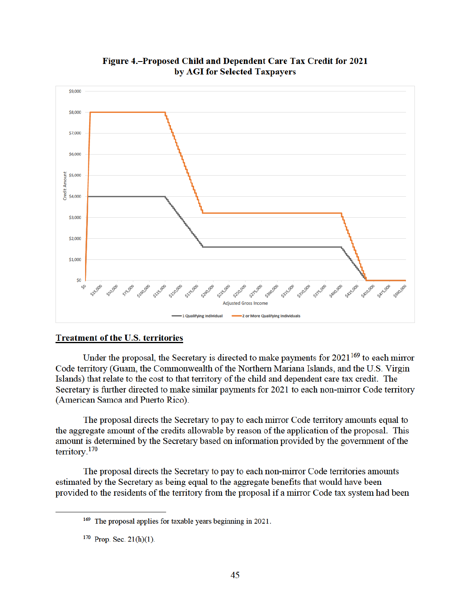

Figure 4.-Proposed Child and Dependent Care Tax Credit for 2021 by AGI for Selected Taxpayers

# **Treatment of the U.S. territories**

Under the proposal, the Secretary is directed to make payments for  $2021^{169}$  to each mirror Code territory (Guam, the Commonwealth of the Northern Mariana Islands, and the U.S. Virgin Islands) that relate to the cost to that territory of the child and dependent care tax credit. The Secretary is further directed to make similar payments for 2021 to each non-mirror Code territory (American Samoa and Puerto Rico).

The proposal directs the Secretary to pay to each mirror Code territory amounts equal to the aggregate amount of the credits allowable by reason of the application of the proposal. This amount is determined by the Secretary based on information provided by the government of the  $\text{territory.}^{170}$ 

The proposal directs the Secretary to pay to each non-mirror Code territories amounts estimated by the Secretary as being equal to the aggregate benefits that would have been provided to the residents of the territory from the proposal if a mirror Code tax system had been

<sup>&</sup>lt;sup>169</sup> The proposal applies for taxable years beginning in 2021.

 $170$  Prop. Sec. 21(h)(1).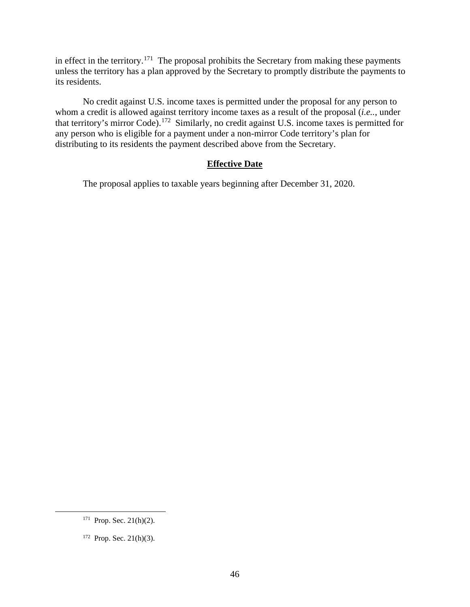in effect in the territory.<sup>171</sup> The proposal prohibits the Secretary from making these payments unless the territory has a plan approved by the Secretary to promptly distribute the payments to its residents.

No credit against U.S. income taxes is permitted under the proposal for any person to whom a credit is allowed against territory income taxes as a result of the proposal (*i.e..*, under that territory's mirror Code).172 Similarly, no credit against U.S. income taxes is permitted for any person who is eligible for a payment under a non-mirror Code territory's plan for distributing to its residents the payment described above from the Secretary.

# **Effective Date**

The proposal applies to taxable years beginning after December 31, 2020.

 $171$  Prop. Sec. 21(h)(2).

 $172$  Prop. Sec. 21(h)(3).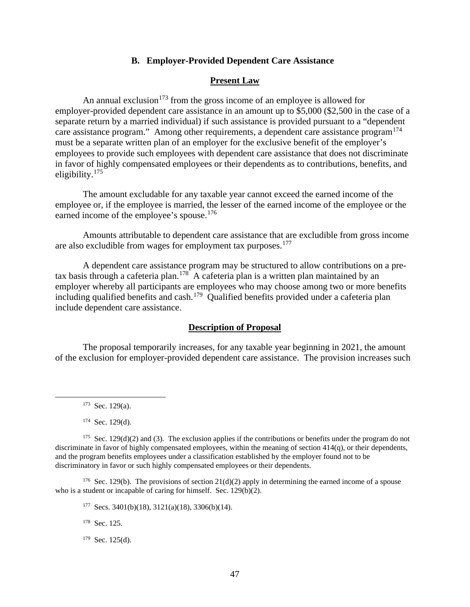#### **B. Employer-Provided Dependent Care Assistance**

## **Present Law**

An annual exclusion<sup>173</sup> from the gross income of an employee is allowed for employer-provided dependent care assistance in an amount up to \$5,000 (\$2,500 in the case of a separate return by a married individual) if such assistance is provided pursuant to a "dependent care assistance program." Among other requirements, a dependent care assistance program<sup>174</sup> must be a separate written plan of an employer for the exclusive benefit of the employer's employees to provide such employees with dependent care assistance that does not discriminate in favor of highly compensated employees or their dependents as to contributions, benefits, and eligibility.<sup>175</sup>

The amount excludable for any taxable year cannot exceed the earned income of the employee or, if the employee is married, the lesser of the earned income of the employee or the earned income of the employee's spouse.<sup>176</sup>

Amounts attributable to dependent care assistance that are excludible from gross income are also excludible from wages for employment tax purposes.<sup>177</sup>

A dependent care assistance program may be structured to allow contributions on a pretax basis through a cafeteria plan.<sup>178</sup> A cafeteria plan is a written plan maintained by an employer whereby all participants are employees who may choose among two or more benefits including qualified benefits and cash.<sup>179</sup> Qualified benefits provided under a cafeteria plan include dependent care assistance.

#### **Description of Proposal**

The proposal temporarily increases, for any taxable year beginning in 2021, the amount of the exclusion for employer-provided dependent care assistance. The provision increases such

<sup>176</sup> Sec. 129(b). The provisions of section 21(d)(2) apply in determining the earned income of a spouse who is a student or incapable of caring for himself. Sec. 129(b)(2).

 $177$  Secs. 3401(b)(18), 3121(a)(18), 3306(b)(14).

178 Sec. 125.

 $179$  Sec. 125(d).

 $173$  Sec. 129(a).

 $174$  Sec. 129(d).

<sup>&</sup>lt;sup>175</sup> Sec. 129(d)(2) and (3). The exclusion applies if the contributions or benefits under the program do not discriminate in favor of highly compensated employees, within the meaning of section 414(q), or their dependents, and the program benefits employees under a classification established by the employer found not to be discriminatory in favor or such highly compensated employees or their dependents.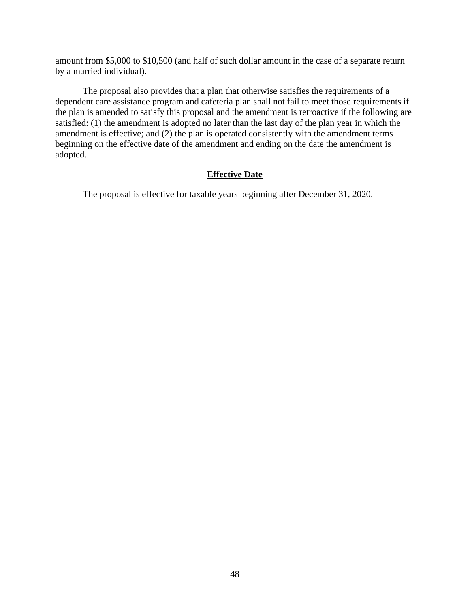amount from \$5,000 to \$10,500 (and half of such dollar amount in the case of a separate return by a married individual).

The proposal also provides that a plan that otherwise satisfies the requirements of a dependent care assistance program and cafeteria plan shall not fail to meet those requirements if the plan is amended to satisfy this proposal and the amendment is retroactive if the following are satisfied: (1) the amendment is adopted no later than the last day of the plan year in which the amendment is effective; and (2) the plan is operated consistently with the amendment terms beginning on the effective date of the amendment and ending on the date the amendment is adopted.

# **Effective Date**

The proposal is effective for taxable years beginning after December 31, 2020.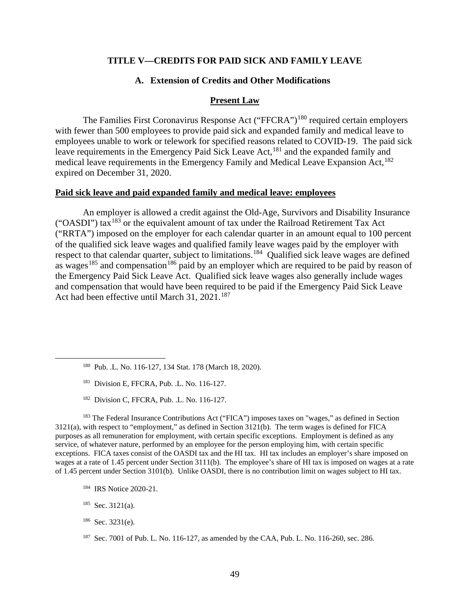### **TITLE V—CREDITS FOR PAID SICK AND FAMILY LEAVE**

# **A. Extension of Credits and Other Modifications**

#### **Present Law**

The Families First Coronavirus Response Act ("FFCRA")<sup>180</sup> required certain employers with fewer than 500 employees to provide paid sick and expanded family and medical leave to employees unable to work or telework for specified reasons related to COVID-19. The paid sick leave requirements in the Emergency Paid Sick Leave Act,<sup>181</sup> and the expanded family and medical leave requirements in the Emergency Family and Medical Leave Expansion Act, <sup>182</sup> expired on December 31, 2020.

#### **Paid sick leave and paid expanded family and medical leave: employees**

An employer is allowed a credit against the Old-Age, Survivors and Disability Insurance ("OASDI") tax183 or the equivalent amount of tax under the Railroad Retirement Tax Act ("RRTA") imposed on the employer for each calendar quarter in an amount equal to 100 percent of the qualified sick leave wages and qualified family leave wages paid by the employer with respect to that calendar quarter, subject to limitations.<sup>184</sup> Qualified sick leave wages are defined as wages<sup>185</sup> and compensation<sup>186</sup> paid by an employer which are required to be paid by reason of the Emergency Paid Sick Leave Act. Qualified sick leave wages also generally include wages and compensation that would have been required to be paid if the Emergency Paid Sick Leave Act had been effective until March 31,  $2021$ <sup>187</sup>

- 180 Pub. .L. No. 116-127, 134 Stat. 178 (March 18, 2020).
- <sup>181</sup> Division E, FFCRA, Pub. .L. No. 116-127.
- 182 Division C, FFCRA, Pub. .L. No. 116-127.

<sup>183</sup> The Federal Insurance Contributions Act ("FICA") imposes taxes on "wages," as defined in Section 3121(a), with respect to "employment," as defined in Section 3121(b). The term wages is defined for FICA purposes as all remuneration for employment, with certain specific exceptions. Employment is defined as any service, of whatever nature, performed by an employee for the person employing him, with certain specific exceptions. FICA taxes consist of the OASDI tax and the HI tax. HI tax includes an employer's share imposed on wages at a rate of 1.45 percent under Section 3111(b). The employee's share of HI tax is imposed on wages at a rate of 1.45 percent under Section 3101(b). Unlike OASDI, there is no contribution limit on wages subject to HI tax.

- <sup>184</sup> IRS Notice 2020-21.
- $185$  Sec. 3121(a).
- 186 Sec. 3231(e).

<sup>187</sup> Sec. 7001 of Pub. L. No. 116-127, as amended by the CAA, Pub. L. No. 116-260, sec. 286.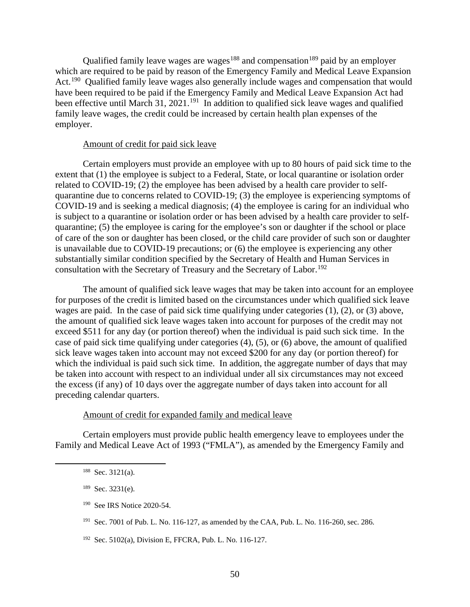Qualified family leave wages are wages<sup>188</sup> and compensation<sup>189</sup> paid by an employer which are required to be paid by reason of the Emergency Family and Medical Leave Expansion Act.<sup>190</sup> Qualified family leave wages also generally include wages and compensation that would have been required to be paid if the Emergency Family and Medical Leave Expansion Act had been effective until March 31, 2021.<sup>191</sup> In addition to qualified sick leave wages and qualified family leave wages, the credit could be increased by certain health plan expenses of the employer.

#### Amount of credit for paid sick leave

Certain employers must provide an employee with up to 80 hours of paid sick time to the extent that (1) the employee is subject to a Federal, State, or local quarantine or isolation order related to COVID-19; (2) the employee has been advised by a health care provider to selfquarantine due to concerns related to COVID-19; (3) the employee is experiencing symptoms of COVID-19 and is seeking a medical diagnosis; (4) the employee is caring for an individual who is subject to a quarantine or isolation order or has been advised by a health care provider to selfquarantine; (5) the employee is caring for the employee's son or daughter if the school or place of care of the son or daughter has been closed, or the child care provider of such son or daughter is unavailable due to COVID-19 precautions; or (6) the employee is experiencing any other substantially similar condition specified by the Secretary of Health and Human Services in consultation with the Secretary of Treasury and the Secretary of Labor.<sup>192</sup>

The amount of qualified sick leave wages that may be taken into account for an employee for purposes of the credit is limited based on the circumstances under which qualified sick leave wages are paid. In the case of paid sick time qualifying under categories (1), (2), or (3) above, the amount of qualified sick leave wages taken into account for purposes of the credit may not exceed \$511 for any day (or portion thereof) when the individual is paid such sick time. In the case of paid sick time qualifying under categories (4), (5), or (6) above, the amount of qualified sick leave wages taken into account may not exceed \$200 for any day (or portion thereof) for which the individual is paid such sick time. In addition, the aggregate number of days that may be taken into account with respect to an individual under all six circumstances may not exceed the excess (if any) of 10 days over the aggregate number of days taken into account for all preceding calendar quarters.

## Amount of credit for expanded family and medical leave

Certain employers must provide public health emergency leave to employees under the Family and Medical Leave Act of 1993 ("FMLA"), as amended by the Emergency Family and

- <sup>190</sup> See IRS Notice 2020-54.
- 191 Sec. 7001 of Pub. L. No. 116-127, as amended by the CAA, Pub. L. No. 116-260, sec. 286.

192 Sec. 5102(a), Division E, FFCRA, Pub. L. No. 116-127.

<sup>188</sup> Sec. 3121(a).

<sup>189</sup> Sec. 3231(e).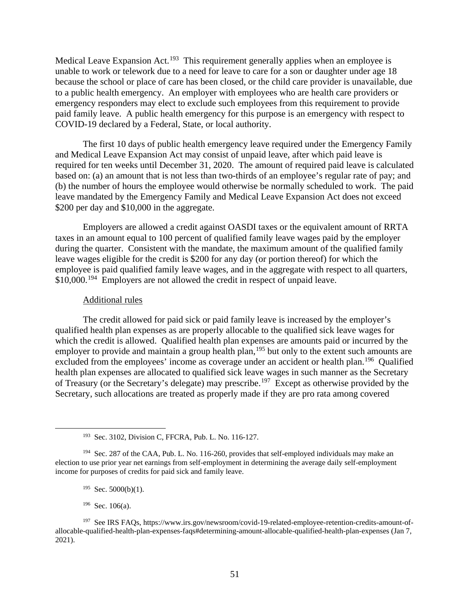Medical Leave Expansion Act.<sup>193</sup> This requirement generally applies when an employee is unable to work or telework due to a need for leave to care for a son or daughter under age 18 because the school or place of care has been closed, or the child care provider is unavailable, due to a public health emergency. An employer with employees who are health care providers or emergency responders may elect to exclude such employees from this requirement to provide paid family leave. A public health emergency for this purpose is an emergency with respect to COVID-19 declared by a Federal, State, or local authority.

The first 10 days of public health emergency leave required under the Emergency Family and Medical Leave Expansion Act may consist of unpaid leave, after which paid leave is required for ten weeks until December 31, 2020. The amount of required paid leave is calculated based on: (a) an amount that is not less than two-thirds of an employee's regular rate of pay; and (b) the number of hours the employee would otherwise be normally scheduled to work. The paid leave mandated by the Emergency Family and Medical Leave Expansion Act does not exceed \$200 per day and \$10,000 in the aggregate.

Employers are allowed a credit against OASDI taxes or the equivalent amount of RRTA taxes in an amount equal to 100 percent of qualified family leave wages paid by the employer during the quarter. Consistent with the mandate, the maximum amount of the qualified family leave wages eligible for the credit is \$200 for any day (or portion thereof) for which the employee is paid qualified family leave wages, and in the aggregate with respect to all quarters, \$10,000.<sup>194</sup> Employers are not allowed the credit in respect of unpaid leave.

#### Additional rules

The credit allowed for paid sick or paid family leave is increased by the employer's qualified health plan expenses as are properly allocable to the qualified sick leave wages for which the credit is allowed. Qualified health plan expenses are amounts paid or incurred by the employer to provide and maintain a group health plan,<sup>195</sup> but only to the extent such amounts are excluded from the employees' income as coverage under an accident or health plan.<sup>196</sup> Qualified health plan expenses are allocated to qualified sick leave wages in such manner as the Secretary of Treasury (or the Secretary's delegate) may prescribe.197 Except as otherwise provided by the Secretary, such allocations are treated as properly made if they are pro rata among covered

- $195$  Sec. 5000(b)(1).
- 196 Sec. 106(a).

<sup>193</sup> Sec. 3102, Division C, FFCRA, Pub. L. No. 116-127.

<sup>&</sup>lt;sup>194</sup> Sec. 287 of the CAA, Pub. L. No. 116-260, provides that self-employed individuals may make an election to use prior year net earnings from self-employment in determining the average daily self-employment income for purposes of credits for paid sick and family leave.

<sup>197</sup> See IRS FAQs, https://www.irs.gov/newsroom/covid-19-related-employee-retention-credits-amount-ofallocable-qualified-health-plan-expenses-faqs#determining-amount-allocable-qualified-health-plan-expenses (Jan 7, 2021).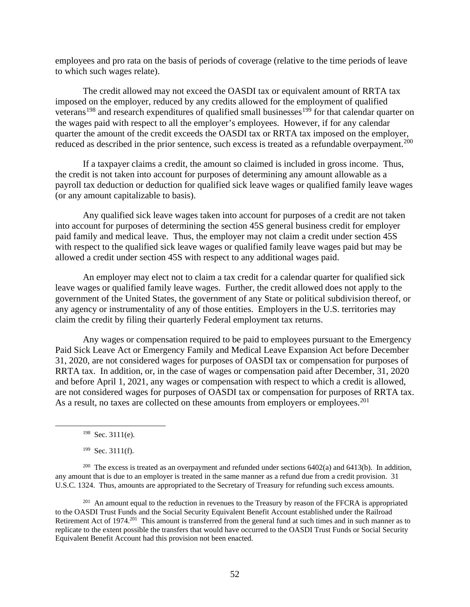employees and pro rata on the basis of periods of coverage (relative to the time periods of leave to which such wages relate).

The credit allowed may not exceed the OASDI tax or equivalent amount of RRTA tax imposed on the employer, reduced by any credits allowed for the employment of qualified veterans<sup>198</sup> and research expenditures of qualified small businesses<sup>199</sup> for that calendar quarter on the wages paid with respect to all the employer's employees. However, if for any calendar quarter the amount of the credit exceeds the OASDI tax or RRTA tax imposed on the employer, reduced as described in the prior sentence, such excess is treated as a refundable overpayment.<sup>200</sup>

If a taxpayer claims a credit, the amount so claimed is included in gross income. Thus, the credit is not taken into account for purposes of determining any amount allowable as a payroll tax deduction or deduction for qualified sick leave wages or qualified family leave wages (or any amount capitalizable to basis).

Any qualified sick leave wages taken into account for purposes of a credit are not taken into account for purposes of determining the section 45S general business credit for employer paid family and medical leave. Thus, the employer may not claim a credit under section 45S with respect to the qualified sick leave wages or qualified family leave wages paid but may be allowed a credit under section 45S with respect to any additional wages paid.

An employer may elect not to claim a tax credit for a calendar quarter for qualified sick leave wages or qualified family leave wages. Further, the credit allowed does not apply to the government of the United States, the government of any State or political subdivision thereof, or any agency or instrumentality of any of those entities. Employers in the U.S. territories may claim the credit by filing their quarterly Federal employment tax returns.

Any wages or compensation required to be paid to employees pursuant to the Emergency Paid Sick Leave Act or Emergency Family and Medical Leave Expansion Act before December 31, 2020, are not considered wages for purposes of OASDI tax or compensation for purposes of RRTA tax. In addition, or, in the case of wages or compensation paid after December, 31, 2020 and before April 1, 2021, any wages or compensation with respect to which a credit is allowed, are not considered wages for purposes of OASDI tax or compensation for purposes of RRTA tax. As a result, no taxes are collected on these amounts from employers or employees.<sup>201</sup>

198 Sec. 3111(e).

199 Sec. 3111(f).

<sup>200</sup> The excess is treated as an overpayment and refunded under sections  $6402(a)$  and  $6413(b)$ . In addition, any amount that is due to an employer is treated in the same manner as a refund due from a credit provision. 31 U.S.C. 1324. Thus, amounts are appropriated to the Secretary of Treasury for refunding such excess amounts.

<sup>201</sup> An amount equal to the reduction in revenues to the Treasury by reason of the FFCRA is appropriated to the OASDI Trust Funds and the Social Security Equivalent Benefit Account established under the Railroad Retirement Act of 1974.201 This amount is transferred from the general fund at such times and in such manner as to replicate to the extent possible the transfers that would have occurred to the OASDI Trust Funds or Social Security Equivalent Benefit Account had this provision not been enacted.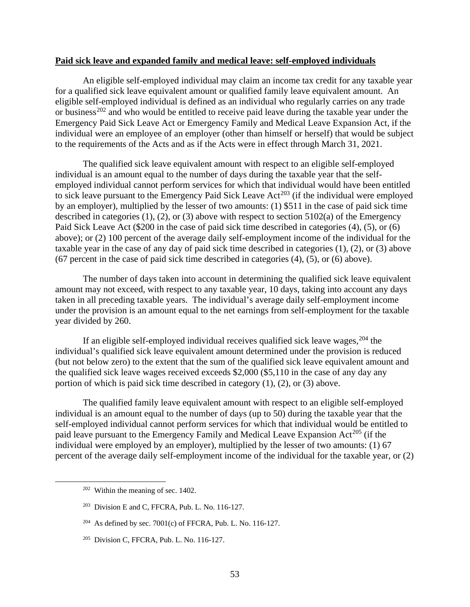#### **Paid sick leave and expanded family and medical leave: self-employed individuals**

An eligible self-employed individual may claim an income tax credit for any taxable year for a qualified sick leave equivalent amount or qualified family leave equivalent amount. An eligible self-employed individual is defined as an individual who regularly carries on any trade or business<sup>202</sup> and who would be entitled to receive paid leave during the taxable year under the Emergency Paid Sick Leave Act or Emergency Family and Medical Leave Expansion Act, if the individual were an employee of an employer (other than himself or herself) that would be subject to the requirements of the Acts and as if the Acts were in effect through March 31, 2021.

The qualified sick leave equivalent amount with respect to an eligible self-employed individual is an amount equal to the number of days during the taxable year that the selfemployed individual cannot perform services for which that individual would have been entitled to sick leave pursuant to the Emergency Paid Sick Leave Act<sup>203</sup> (if the individual were employed by an employer), multiplied by the lesser of two amounts: (1) \$511 in the case of paid sick time described in categories (1), (2), or (3) above with respect to section 5102(a) of the Emergency Paid Sick Leave Act (\$200 in the case of paid sick time described in categories (4), (5), or (6) above); or (2) 100 percent of the average daily self-employment income of the individual for the taxable year in the case of any day of paid sick time described in categories (1), (2), or (3) above (67 percent in the case of paid sick time described in categories (4), (5), or (6) above).

The number of days taken into account in determining the qualified sick leave equivalent amount may not exceed, with respect to any taxable year, 10 days, taking into account any days taken in all preceding taxable years. The individual's average daily self-employment income under the provision is an amount equal to the net earnings from self-employment for the taxable year divided by 260.

If an eligible self-employed individual receives qualified sick leave wages,  $204$  the individual's qualified sick leave equivalent amount determined under the provision is reduced (but not below zero) to the extent that the sum of the qualified sick leave equivalent amount and the qualified sick leave wages received exceeds \$2,000 (\$5,110 in the case of any day any portion of which is paid sick time described in category (1), (2), or (3) above.

The qualified family leave equivalent amount with respect to an eligible self-employed individual is an amount equal to the number of days (up to 50) during the taxable year that the self-employed individual cannot perform services for which that individual would be entitled to paid leave pursuant to the Emergency Family and Medical Leave Expansion Act<sup>205</sup> (if the individual were employed by an employer), multiplied by the lesser of two amounts: (1) 67 percent of the average daily self-employment income of the individual for the taxable year, or (2)

 $202$  Within the meaning of sec. 1402.

 $203$  Division E and C, FFCRA, Pub. L. No. 116-127.

<sup>&</sup>lt;sup>204</sup> As defined by sec. 7001(c) of FFCRA, Pub. L. No. 116-127.

<sup>205</sup> Division C, FFCRA, Pub. L. No. 116-127.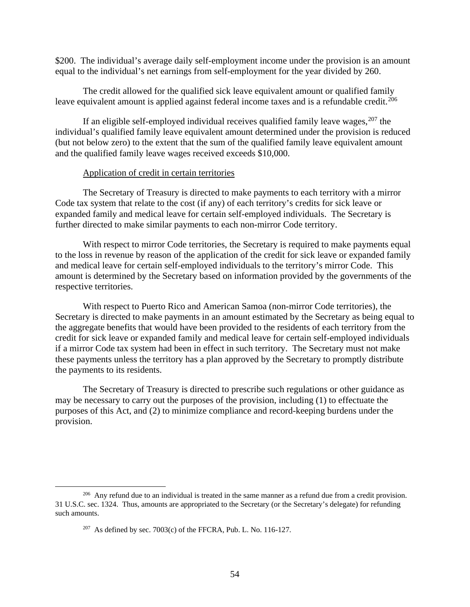\$200. The individual's average daily self-employment income under the provision is an amount equal to the individual's net earnings from self-employment for the year divided by 260.

The credit allowed for the qualified sick leave equivalent amount or qualified family leave equivalent amount is applied against federal income taxes and is a refundable credit.<sup>206</sup>

If an eligible self-employed individual receives qualified family leave wages,  $207$  the individual's qualified family leave equivalent amount determined under the provision is reduced (but not below zero) to the extent that the sum of the qualified family leave equivalent amount and the qualified family leave wages received exceeds \$10,000.

# Application of credit in certain territories

The Secretary of Treasury is directed to make payments to each territory with a mirror Code tax system that relate to the cost (if any) of each territory's credits for sick leave or expanded family and medical leave for certain self-employed individuals. The Secretary is further directed to make similar payments to each non-mirror Code territory.

With respect to mirror Code territories, the Secretary is required to make payments equal to the loss in revenue by reason of the application of the credit for sick leave or expanded family and medical leave for certain self-employed individuals to the territory's mirror Code. This amount is determined by the Secretary based on information provided by the governments of the respective territories.

With respect to Puerto Rico and American Samoa (non-mirror Code territories), the Secretary is directed to make payments in an amount estimated by the Secretary as being equal to the aggregate benefits that would have been provided to the residents of each territory from the credit for sick leave or expanded family and medical leave for certain self-employed individuals if a mirror Code tax system had been in effect in such territory. The Secretary must not make these payments unless the territory has a plan approved by the Secretary to promptly distribute the payments to its residents.

The Secretary of Treasury is directed to prescribe such regulations or other guidance as may be necessary to carry out the purposes of the provision, including (1) to effectuate the purposes of this Act, and (2) to minimize compliance and record-keeping burdens under the provision.

 $^{206}$  Any refund due to an individual is treated in the same manner as a refund due from a credit provision. 31 U.S.C. sec. 1324. Thus, amounts are appropriated to the Secretary (or the Secretary's delegate) for refunding such amounts.

<sup>&</sup>lt;sup>207</sup> As defined by sec. 7003(c) of the FFCRA, Pub. L. No. 116-127.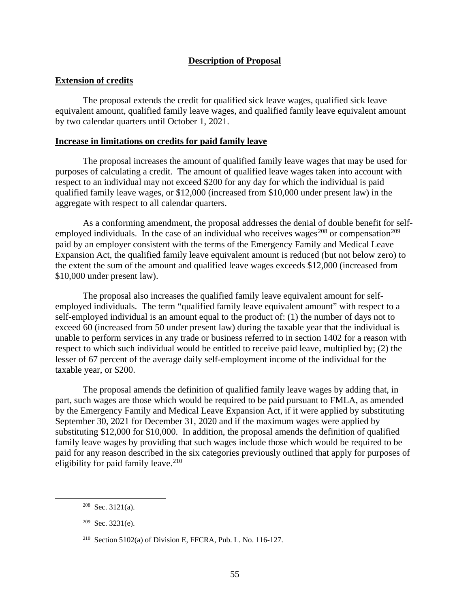# **Description of Proposal**

# **Extension of credits**

The proposal extends the credit for qualified sick leave wages, qualified sick leave equivalent amount, qualified family leave wages, and qualified family leave equivalent amount by two calendar quarters until October 1, 2021.

## **Increase in limitations on credits for paid family leave**

The proposal increases the amount of qualified family leave wages that may be used for purposes of calculating a credit. The amount of qualified leave wages taken into account with respect to an individual may not exceed \$200 for any day for which the individual is paid qualified family leave wages, or \$12,000 (increased from \$10,000 under present law) in the aggregate with respect to all calendar quarters.

As a conforming amendment, the proposal addresses the denial of double benefit for selfemployed individuals. In the case of an individual who receives wages<sup>208</sup> or compensation<sup>209</sup> paid by an employer consistent with the terms of the Emergency Family and Medical Leave Expansion Act, the qualified family leave equivalent amount is reduced (but not below zero) to the extent the sum of the amount and qualified leave wages exceeds \$12,000 (increased from \$10,000 under present law).

The proposal also increases the qualified family leave equivalent amount for selfemployed individuals. The term "qualified family leave equivalent amount" with respect to a self-employed individual is an amount equal to the product of: (1) the number of days not to exceed 60 (increased from 50 under present law) during the taxable year that the individual is unable to perform services in any trade or business referred to in section 1402 for a reason with respect to which such individual would be entitled to receive paid leave, multiplied by; (2) the lesser of 67 percent of the average daily self-employment income of the individual for the taxable year, or \$200.

The proposal amends the definition of qualified family leave wages by adding that, in part, such wages are those which would be required to be paid pursuant to FMLA, as amended by the Emergency Family and Medical Leave Expansion Act, if it were applied by substituting September 30, 2021 for December 31, 2020 and if the maximum wages were applied by substituting \$12,000 for \$10,000. In addition, the proposal amends the definition of qualified family leave wages by providing that such wages include those which would be required to be paid for any reason described in the six categories previously outlined that apply for purposes of eligibility for paid family leave. $210$ 

 $208$  Sec. 3121(a).

<sup>209</sup> Sec. 3231(e).

<sup>&</sup>lt;sup>210</sup> Section 5102(a) of Division E, FFCRA, Pub. L. No. 116-127.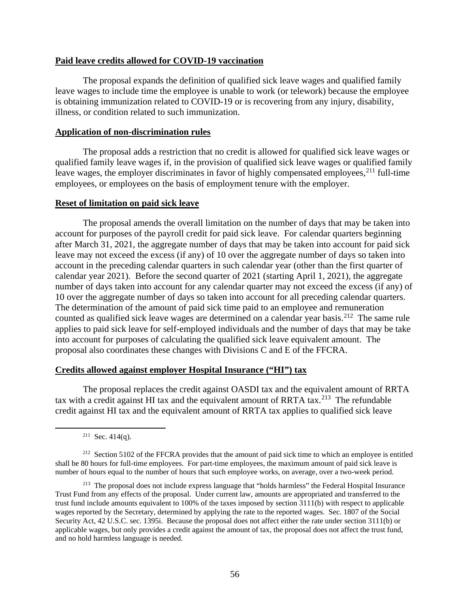# **Paid leave credits allowed for COVID-19 vaccination**

The proposal expands the definition of qualified sick leave wages and qualified family leave wages to include time the employee is unable to work (or telework) because the employee is obtaining immunization related to COVID-19 or is recovering from any injury, disability, illness, or condition related to such immunization.

# **Application of non-discrimination rules**

The proposal adds a restriction that no credit is allowed for qualified sick leave wages or qualified family leave wages if, in the provision of qualified sick leave wages or qualified family leave wages, the employer discriminates in favor of highly compensated employees,  $2^{11}$  full-time employees, or employees on the basis of employment tenure with the employer.

### **Reset of limitation on paid sick leave**

The proposal amends the overall limitation on the number of days that may be taken into account for purposes of the payroll credit for paid sick leave. For calendar quarters beginning after March 31, 2021, the aggregate number of days that may be taken into account for paid sick leave may not exceed the excess (if any) of 10 over the aggregate number of days so taken into account in the preceding calendar quarters in such calendar year (other than the first quarter of calendar year 2021). Before the second quarter of 2021 (starting April 1, 2021), the aggregate number of days taken into account for any calendar quarter may not exceed the excess (if any) of 10 over the aggregate number of days so taken into account for all preceding calendar quarters. The determination of the amount of paid sick time paid to an employee and remuneration counted as qualified sick leave wages are determined on a calendar year basis.<sup>212</sup> The same rule applies to paid sick leave for self-employed individuals and the number of days that may be take into account for purposes of calculating the qualified sick leave equivalent amount. The proposal also coordinates these changes with Divisions C and E of the FFCRA.

### **Credits allowed against employer Hospital Insurance ("HI") tax**

The proposal replaces the credit against OASDI tax and the equivalent amount of RRTA tax with a credit against HI tax and the equivalent amount of RRTA tax.<sup>213</sup> The refundable credit against HI tax and the equivalent amount of RRTA tax applies to qualified sick leave

<sup>211</sup> Sec. 414(q).

<sup>&</sup>lt;sup>212</sup> Section 5102 of the FFCRA provides that the amount of paid sick time to which an employee is entitled shall be 80 hours for full-time employees. For part-time employees, the maximum amount of paid sick leave is number of hours equal to the number of hours that such employee works, on average, over a two-week period.

<sup>&</sup>lt;sup>213</sup> The proposal does not include express language that "holds harmless" the Federal Hospital Insurance Trust Fund from any effects of the proposal. Under current law, amounts are appropriated and transferred to the trust fund include amounts equivalent to 100% of the taxes imposed by section 3111(b) with respect to applicable wages reported by the Secretary, determined by applying the rate to the reported wages. Sec. 1807 of the Social Security Act, 42 U.S.C. sec. 1395i. Because the proposal does not affect either the rate under section 3111(b) or applicable wages, but only provides a credit against the amount of tax, the proposal does not affect the trust fund, and no hold harmless language is needed.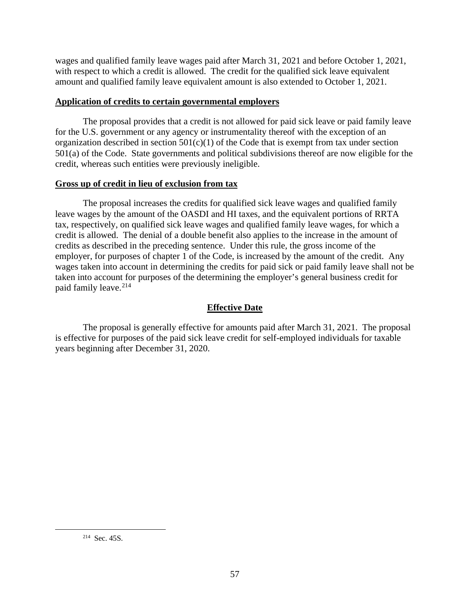wages and qualified family leave wages paid after March 31, 2021 and before October 1, 2021, with respect to which a credit is allowed. The credit for the qualified sick leave equivalent amount and qualified family leave equivalent amount is also extended to October 1, 2021.

# **Application of credits to certain governmental employers**

The proposal provides that a credit is not allowed for paid sick leave or paid family leave for the U.S. government or any agency or instrumentality thereof with the exception of an organization described in section  $501(c)(1)$  of the Code that is exempt from tax under section 501(a) of the Code. State governments and political subdivisions thereof are now eligible for the credit, whereas such entities were previously ineligible.

# **Gross up of credit in lieu of exclusion from tax**

The proposal increases the credits for qualified sick leave wages and qualified family leave wages by the amount of the OASDI and HI taxes, and the equivalent portions of RRTA tax, respectively, on qualified sick leave wages and qualified family leave wages, for which a credit is allowed. The denial of a double benefit also applies to the increase in the amount of credits as described in the preceding sentence. Under this rule, the gross income of the employer, for purposes of chapter 1 of the Code, is increased by the amount of the credit. Any wages taken into account in determining the credits for paid sick or paid family leave shall not be taken into account for purposes of the determining the employer's general business credit for paid family leave.<sup>214</sup>

# **Effective Date**

The proposal is generally effective for amounts paid after March 31, 2021. The proposal is effective for purposes of the paid sick leave credit for self-employed individuals for taxable years beginning after December 31, 2020.

<sup>214</sup> Sec. 45S.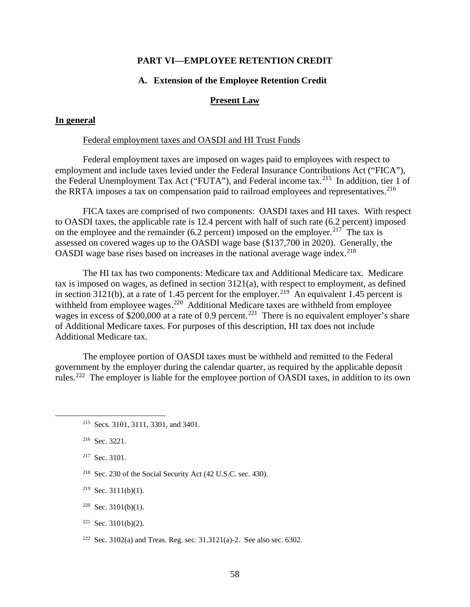## **PART VI—EMPLOYEE RETENTION CREDIT**

# **A. Extension of the Employee Retention Credit**

## **Present Law**

# **In general**

# Federal employment taxes and OASDI and HI Trust Funds

Federal employment taxes are imposed on wages paid to employees with respect to employment and include taxes levied under the Federal Insurance Contributions Act ("FICA"), the Federal Unemployment Tax Act ("FUTA"), and Federal income tax.<sup>215</sup> In addition, tier 1 of the RRTA imposes a tax on compensation paid to railroad employees and representatives.<sup>216</sup>

FICA taxes are comprised of two components: OASDI taxes and HI taxes. With respect to OASDI taxes, the applicable rate is 12.4 percent with half of such rate (6.2 percent) imposed on the employee and the remainder (6.2 percent) imposed on the employer.<sup>217</sup> The tax is assessed on covered wages up to the OASDI wage base (\$137,700 in 2020). Generally, the OASDI wage base rises based on increases in the national average wage index.<sup>218</sup>

The HI tax has two components: Medicare tax and Additional Medicare tax. Medicare tax is imposed on wages, as defined in section 3121(a), with respect to employment, as defined in section 3121(b), at a rate of 1.45 percent for the employer.<sup>219</sup> An equivalent 1.45 percent is withheld from employee wages.<sup>220</sup> Additional Medicare taxes are withheld from employee wages in excess of  $$200,000$  at a rate of 0.9 percent.<sup>221</sup> There is no equivalent employer's share of Additional Medicare taxes. For purposes of this description, HI tax does not include Additional Medicare tax.

The employee portion of OASDI taxes must be withheld and remitted to the Federal government by the employer during the calendar quarter, as required by the applicable deposit rules.222 The employer is liable for the employee portion of OASDI taxes, in addition to its own

- 218 Sec. 230 of the Social Security Act (42 U.S.C. sec. 430).
- $219$  Sec. 3111(b)(1).
- $220$  Sec. 3101(b)(1).
- $221$  Sec. 3101(b)(2).
- <sup>222</sup> Sec. 3102(a) and Treas. Reg. sec. 31.3121(a)-2. See also sec. 6302.

<sup>215</sup> Secs. 3101, 3111, 3301, and 3401.

<sup>216</sup> Sec. 3221.

<sup>217</sup> Sec. 3101.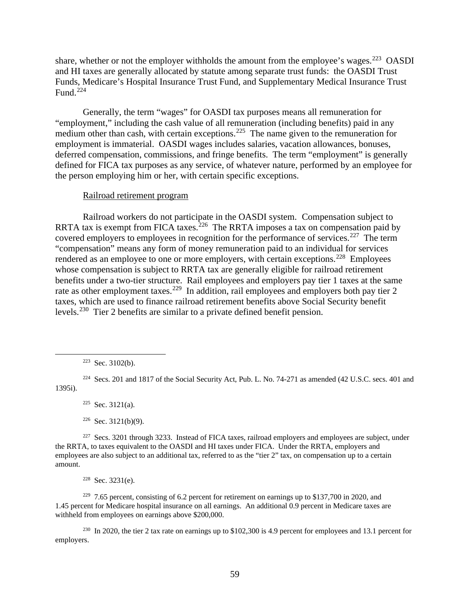share, whether or not the employer withholds the amount from the employee's wages.<sup>223</sup> OASDI and HI taxes are generally allocated by statute among separate trust funds: the OASDI Trust Funds, Medicare's Hospital Insurance Trust Fund, and Supplementary Medical Insurance Trust Fund.<sup>224</sup>

Generally, the term "wages" for OASDI tax purposes means all remuneration for "employment," including the cash value of all remuneration (including benefits) paid in any medium other than cash, with certain exceptions.<sup>225</sup> The name given to the remuneration for employment is immaterial. OASDI wages includes salaries, vacation allowances, bonuses, deferred compensation, commissions, and fringe benefits. The term "employment" is generally defined for FICA tax purposes as any service, of whatever nature, performed by an employee for the person employing him or her, with certain specific exceptions.

### Railroad retirement program

Railroad workers do not participate in the OASDI system. Compensation subject to RRTA tax is exempt from FICA taxes.<sup>226</sup> The RRTA imposes a tax on compensation paid by covered employers to employees in recognition for the performance of services.<sup>227</sup> The term "compensation" means any form of money remuneration paid to an individual for services rendered as an employee to one or more employers, with certain exceptions.<sup>228</sup> Employees whose compensation is subject to RRTA tax are generally eligible for railroad retirement benefits under a two-tier structure. Rail employees and employers pay tier 1 taxes at the same rate as other employment taxes.<sup>229</sup> In addition, rail employees and employers both pay tier 2 taxes, which are used to finance railroad retirement benefits above Social Security benefit levels.<sup>230</sup> Tier 2 benefits are similar to a private defined benefit pension.

 $225$  Sec. 3121(a).

<sup>227</sup> Secs. 3201 through 3233. Instead of FICA taxes, railroad employers and employees are subject, under the RRTA, to taxes equivalent to the OASDI and HI taxes under FICA. Under the RRTA, employers and employees are also subject to an additional tax, referred to as the "tier 2" tax, on compensation up to a certain amount.

 $228$  Sec. 3231(e).

 $2^{229}$  7.65 percent, consisting of 6.2 percent for retirement on earnings up to \$137,700 in 2020, and 1.45 percent for Medicare hospital insurance on all earnings. An additional 0.9 percent in Medicare taxes are withheld from employees on earnings above \$200,000.

230 In 2020, the tier 2 tax rate on earnings up to \$102,300 is 4.9 percent for employees and 13.1 percent for employers.

 $223$  Sec. 3102(b).

<sup>&</sup>lt;sup>224</sup> Secs. 201 and 1817 of the Social Security Act, Pub. L. No. 74-271 as amended (42 U.S.C. secs. 401 and 1395i).

 $226$  Sec. 3121(b)(9).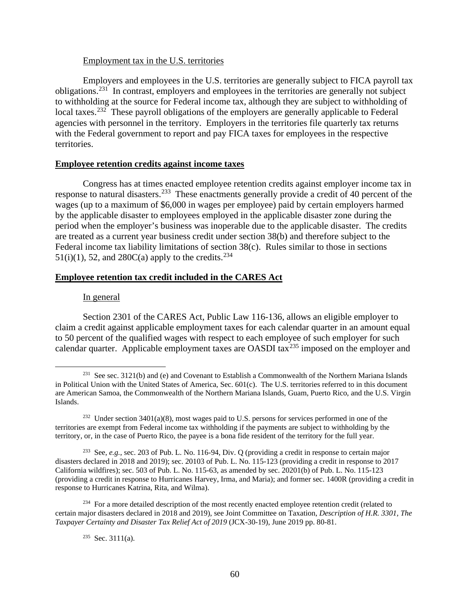### Employment tax in the U.S. territories

Employers and employees in the U.S. territories are generally subject to FICA payroll tax obligations.231 In contrast, employers and employees in the territories are generally not subject to withholding at the source for Federal income tax, although they are subject to withholding of local taxes.<sup>232</sup> These payroll obligations of the employers are generally applicable to Federal agencies with personnel in the territory. Employers in the territories file quarterly tax returns with the Federal government to report and pay FICA taxes for employees in the respective territories.

#### **Employee retention credits against income taxes**

Congress has at times enacted employee retention credits against employer income tax in response to natural disasters.<sup>233</sup> These enactments generally provide a credit of 40 percent of the wages (up to a maximum of \$6,000 in wages per employee) paid by certain employers harmed by the applicable disaster to employees employed in the applicable disaster zone during the period when the employer's business was inoperable due to the applicable disaster. The credits are treated as a current year business credit under section 38(b) and therefore subject to the Federal income tax liability limitations of section 38(c). Rules similar to those in sections 51(i)(1), 52, and 280C(a) apply to the credits.<sup>234</sup>

### **Employee retention tax credit included in the CARES Act**

#### In general

Section 2301 of the CARES Act, Public Law 116-136, allows an eligible employer to claim a credit against applicable employment taxes for each calendar quarter in an amount equal to 50 percent of the qualified wages with respect to each employee of such employer for such calendar quarter. Applicable employment taxes are OASDI tax<sup>235</sup> imposed on the employer and

<sup>&</sup>lt;sup>231</sup> See sec. 3121(b) and (e) and Covenant to Establish a Commonwealth of the Northern Mariana Islands in Political Union with the United States of America, Sec. 601(c). The U.S. territories referred to in this document are American Samoa, the Commonwealth of the Northern Mariana Islands, Guam, Puerto Rico, and the U.S. Virgin Islands.

<sup>232</sup> Under section 3401(a)(8), most wages paid to U.S. persons for services performed in one of the territories are exempt from Federal income tax withholding if the payments are subject to withholding by the territory, or, in the case of Puerto Rico, the payee is a bona fide resident of the territory for the full year.

<sup>233</sup> See, *e.g.*, sec. 203 of Pub. L. No. 116-94, Div. Q (providing a credit in response to certain major disasters declared in 2018 and 2019); sec. 20103 of Pub. L. No. 115-123 (providing a credit in response to 2017 California wildfires); sec. 503 of Pub. L. No. 115-63, as amended by sec. 20201(b) of Pub. L. No. 115-123 (providing a credit in response to Hurricanes Harvey, Irma, and Maria); and former sec. 1400R (providing a credit in response to Hurricanes Katrina, Rita, and Wilma).

<sup>&</sup>lt;sup>234</sup> For a more detailed description of the most recently enacted employee retention credit (related to certain major disasters declared in 2018 and 2019), see Joint Committee on Taxation, *Description of H.R. 3301, The Taxpayer Certainty and Disaster Tax Relief Act of 2019* (JCX-30-19), June 2019 pp. 80-81.

<sup>235</sup> Sec. 3111(a).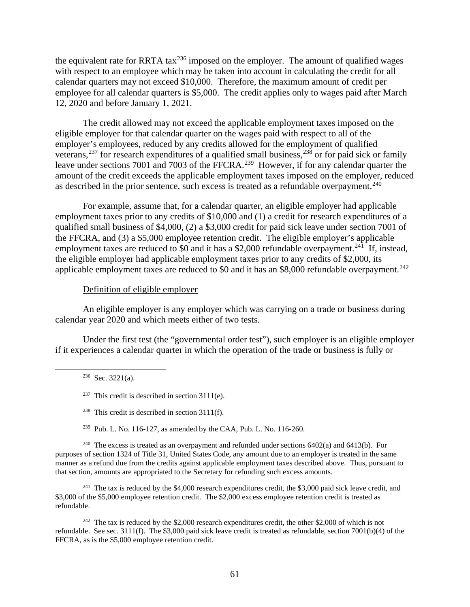the equivalent rate for RRTA tax $^{236}$  imposed on the employer. The amount of qualified wages with respect to an employee which may be taken into account in calculating the credit for all calendar quarters may not exceed \$10,000. Therefore, the maximum amount of credit per employee for all calendar quarters is \$5,000. The credit applies only to wages paid after March 12, 2020 and before January 1, 2021.

The credit allowed may not exceed the applicable employment taxes imposed on the eligible employer for that calendar quarter on the wages paid with respect to all of the employer's employees, reduced by any credits allowed for the employment of qualified veterans,<sup>237</sup> for research expenditures of a qualified small business,<sup>238</sup> or for paid sick or family leave under sections 7001 and 7003 of the FFCRA.<sup>239</sup> However, if for any calendar quarter the amount of the credit exceeds the applicable employment taxes imposed on the employer, reduced as described in the prior sentence, such excess is treated as a refundable overpayment.<sup>240</sup>

For example, assume that, for a calendar quarter, an eligible employer had applicable employment taxes prior to any credits of \$10,000 and (1) a credit for research expenditures of a qualified small business of \$4,000, (2) a \$3,000 credit for paid sick leave under section 7001 of the FFCRA, and (3) a \$5,000 employee retention credit. The eligible employer's applicable employment taxes are reduced to \$0 and it has a \$2,000 refundable overpayment.<sup>241</sup> If, instead, the eligible employer had applicable employment taxes prior to any credits of \$2,000, its applicable employment taxes are reduced to \$0 and it has an \$8,000 refundable overpayment.<sup>242</sup>

### Definition of eligible employer

An eligible employer is any employer which was carrying on a trade or business during calendar year 2020 and which meets either of two tests.

Under the first test (the "governmental order test"), such employer is an eligible employer if it experiences a calendar quarter in which the operation of the trade or business is fully or

<sup>240</sup> The excess is treated as an overpayment and refunded under sections  $6402(a)$  and  $6413(b)$ . For purposes of section 1324 of Title 31, United States Code, any amount due to an employer is treated in the same manner as a refund due from the credits against applicable employment taxes described above. Thus, pursuant to that section, amounts are appropriated to the Secretary for refunding such excess amounts.

<sup>241</sup> The tax is reduced by the \$4,000 research expenditures credit, the \$3,000 paid sick leave credit, and \$3,000 of the \$5,000 employee retention credit. The \$2,000 excess employee retention credit is treated as refundable.

<sup>242</sup> The tax is reduced by the \$2,000 research expenditures credit, the other \$2,000 of which is not refundable. See sec. 3111(f). The \$3,000 paid sick leave credit is treated as refundable, section 7001(b)(4) of the FFCRA, as is the \$5,000 employee retention credit.

 $236$  Sec. 3221(a).

<sup>&</sup>lt;sup>237</sup> This credit is described in section  $3111(e)$ .

<sup>&</sup>lt;sup>238</sup> This credit is described in section  $3111(f)$ .

<sup>&</sup>lt;sup>239</sup> Pub. L. No. 116-127, as amended by the CAA, Pub. L. No. 116-260.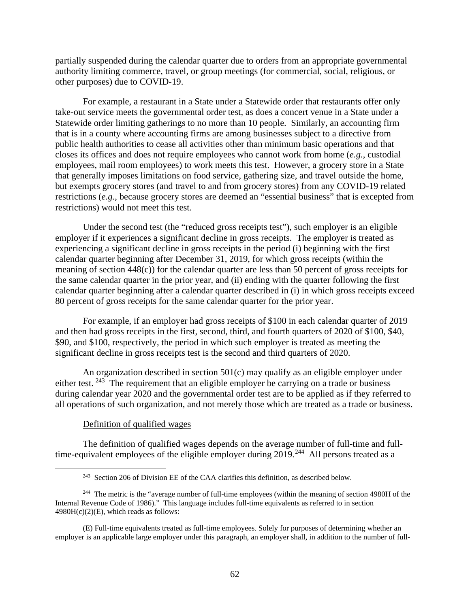partially suspended during the calendar quarter due to orders from an appropriate governmental authority limiting commerce, travel, or group meetings (for commercial, social, religious, or other purposes) due to COVID-19.

For example, a restaurant in a State under a Statewide order that restaurants offer only take-out service meets the governmental order test, as does a concert venue in a State under a Statewide order limiting gatherings to no more than 10 people. Similarly, an accounting firm that is in a county where accounting firms are among businesses subject to a directive from public health authorities to cease all activities other than minimum basic operations and that closes its offices and does not require employees who cannot work from home (*e.g.*, custodial employees, mail room employees) to work meets this test. However, a grocery store in a State that generally imposes limitations on food service, gathering size, and travel outside the home, but exempts grocery stores (and travel to and from grocery stores) from any COVID-19 related restrictions (*e.g.*, because grocery stores are deemed an "essential business" that is excepted from restrictions) would not meet this test.

Under the second test (the "reduced gross receipts test"), such employer is an eligible employer if it experiences a significant decline in gross receipts. The employer is treated as experiencing a significant decline in gross receipts in the period (i) beginning with the first calendar quarter beginning after December 31, 2019, for which gross receipts (within the meaning of section 448(c)) for the calendar quarter are less than 50 percent of gross receipts for the same calendar quarter in the prior year, and (ii) ending with the quarter following the first calendar quarter beginning after a calendar quarter described in (i) in which gross receipts exceed 80 percent of gross receipts for the same calendar quarter for the prior year.

For example, if an employer had gross receipts of \$100 in each calendar quarter of 2019 and then had gross receipts in the first, second, third, and fourth quarters of 2020 of \$100, \$40, \$90, and \$100, respectively, the period in which such employer is treated as meeting the significant decline in gross receipts test is the second and third quarters of 2020.

An organization described in section 501(c) may qualify as an eligible employer under either test.  $243$  The requirement that an eligible employer be carrying on a trade or business during calendar year 2020 and the governmental order test are to be applied as if they referred to all operations of such organization, and not merely those which are treated as a trade or business.

#### Definition of qualified wages

The definition of qualified wages depends on the average number of full-time and fulltime-equivalent employees of the eligible employer during 2019.<sup>244</sup> All persons treated as a

(E) Full-time equivalents treated as full-time employees. Solely for purposes of determining whether an employer is an applicable large employer under this paragraph, an employer shall, in addition to the number of full-

<sup>&</sup>lt;sup>243</sup> Section 206 of Division EE of the CAA clarifies this definition, as described below.

<sup>&</sup>lt;sup>244</sup> The metric is the "average number of full-time employees (within the meaning of section 4980H of the Internal Revenue Code of 1986)." This language includes full-time equivalents as referred to in section  $4980H(c)(2)(E)$ , which reads as follows: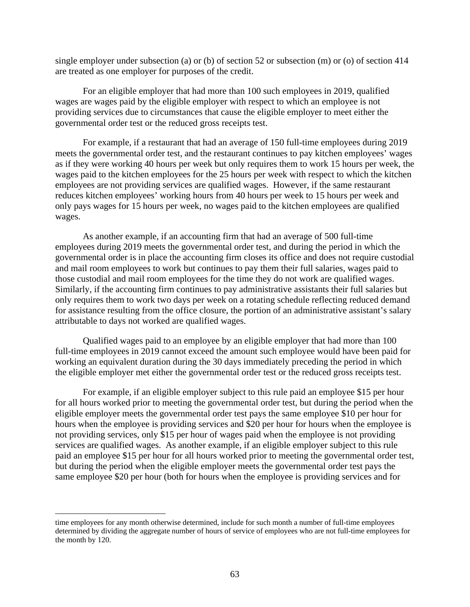single employer under subsection (a) or (b) of section 52 or subsection (m) or (o) of section 414 are treated as one employer for purposes of the credit.

For an eligible employer that had more than 100 such employees in 2019, qualified wages are wages paid by the eligible employer with respect to which an employee is not providing services due to circumstances that cause the eligible employer to meet either the governmental order test or the reduced gross receipts test.

For example, if a restaurant that had an average of 150 full-time employees during 2019 meets the governmental order test, and the restaurant continues to pay kitchen employees' wages as if they were working 40 hours per week but only requires them to work 15 hours per week, the wages paid to the kitchen employees for the 25 hours per week with respect to which the kitchen employees are not providing services are qualified wages. However, if the same restaurant reduces kitchen employees' working hours from 40 hours per week to 15 hours per week and only pays wages for 15 hours per week, no wages paid to the kitchen employees are qualified wages.

As another example, if an accounting firm that had an average of 500 full-time employees during 2019 meets the governmental order test, and during the period in which the governmental order is in place the accounting firm closes its office and does not require custodial and mail room employees to work but continues to pay them their full salaries, wages paid to those custodial and mail room employees for the time they do not work are qualified wages. Similarly, if the accounting firm continues to pay administrative assistants their full salaries but only requires them to work two days per week on a rotating schedule reflecting reduced demand for assistance resulting from the office closure, the portion of an administrative assistant's salary attributable to days not worked are qualified wages.

Qualified wages paid to an employee by an eligible employer that had more than 100 full-time employees in 2019 cannot exceed the amount such employee would have been paid for working an equivalent duration during the 30 days immediately preceding the period in which the eligible employer met either the governmental order test or the reduced gross receipts test.

For example, if an eligible employer subject to this rule paid an employee \$15 per hour for all hours worked prior to meeting the governmental order test, but during the period when the eligible employer meets the governmental order test pays the same employee \$10 per hour for hours when the employee is providing services and \$20 per hour for hours when the employee is not providing services, only \$15 per hour of wages paid when the employee is not providing services are qualified wages. As another example, if an eligible employer subject to this rule paid an employee \$15 per hour for all hours worked prior to meeting the governmental order test, but during the period when the eligible employer meets the governmental order test pays the same employee \$20 per hour (both for hours when the employee is providing services and for

time employees for any month otherwise determined, include for such month a number of full-time employees determined by dividing the aggregate number of hours of service of employees who are not full-time employees for the month by 120.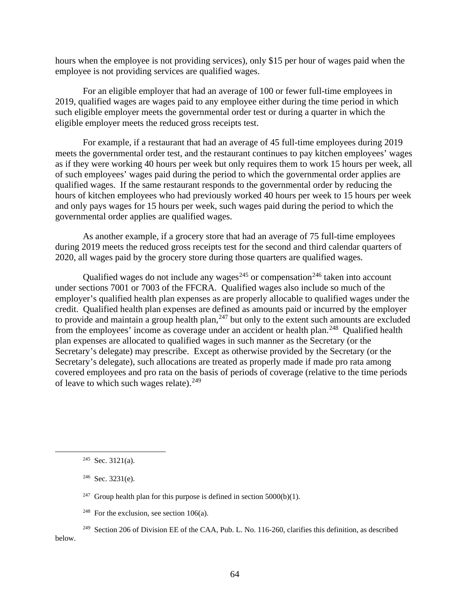hours when the employee is not providing services), only \$15 per hour of wages paid when the employee is not providing services are qualified wages.

For an eligible employer that had an average of 100 or fewer full-time employees in 2019, qualified wages are wages paid to any employee either during the time period in which such eligible employer meets the governmental order test or during a quarter in which the eligible employer meets the reduced gross receipts test.

For example, if a restaurant that had an average of 45 full-time employees during 2019 meets the governmental order test, and the restaurant continues to pay kitchen employees' wages as if they were working 40 hours per week but only requires them to work 15 hours per week, all of such employees' wages paid during the period to which the governmental order applies are qualified wages. If the same restaurant responds to the governmental order by reducing the hours of kitchen employees who had previously worked 40 hours per week to 15 hours per week and only pays wages for 15 hours per week, such wages paid during the period to which the governmental order applies are qualified wages.

As another example, if a grocery store that had an average of 75 full-time employees during 2019 meets the reduced gross receipts test for the second and third calendar quarters of 2020, all wages paid by the grocery store during those quarters are qualified wages.

Qualified wages do not include any wages<sup> $245$ </sup> or compensation<sup>246</sup> taken into account under sections 7001 or 7003 of the FFCRA. Qualified wages also include so much of the employer's qualified health plan expenses as are properly allocable to qualified wages under the credit. Qualified health plan expenses are defined as amounts paid or incurred by the employer to provide and maintain a group health plan, $247$  but only to the extent such amounts are excluded from the employees' income as coverage under an accident or health plan.<sup>248</sup> Qualified health plan expenses are allocated to qualified wages in such manner as the Secretary (or the Secretary's delegate) may prescribe. Except as otherwise provided by the Secretary (or the Secretary's delegate), such allocations are treated as properly made if made pro rata among covered employees and pro rata on the basis of periods of coverage (relative to the time periods of leave to which such wages relate). $249$ 

- <sup>247</sup> Group health plan for this purpose is defined in section  $5000(b)(1)$ .
- <sup>248</sup> For the exclusion, see section 106(a).
- <sup>249</sup> Section 206 of Division EE of the CAA, Pub. L. No. 116-260, clarifies this definition, as described below.

 $245$  Sec. 3121(a).

 $246$  Sec. 3231(e).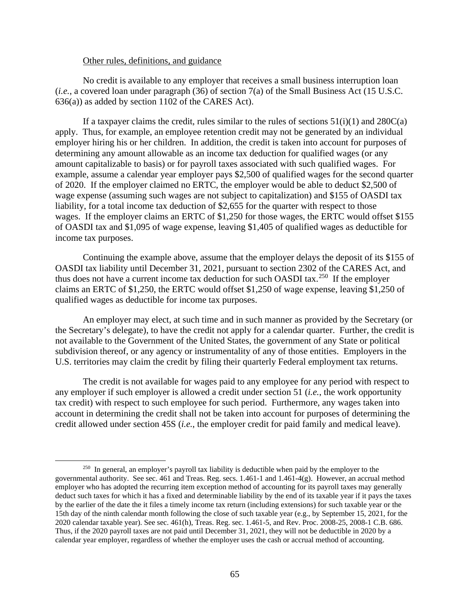#### Other rules, definitions, and guidance

No credit is available to any employer that receives a small business interruption loan (*i.e.*, a covered loan under paragraph (36) of section 7(a) of the Small Business Act (15 U.S.C. 636(a)) as added by section 1102 of the CARES Act).

If a taxpayer claims the credit, rules similar to the rules of sections  $51(i)(1)$  and  $280C(a)$ apply. Thus, for example, an employee retention credit may not be generated by an individual employer hiring his or her children. In addition, the credit is taken into account for purposes of determining any amount allowable as an income tax deduction for qualified wages (or any amount capitalizable to basis) or for payroll taxes associated with such qualified wages. For example, assume a calendar year employer pays \$2,500 of qualified wages for the second quarter of 2020. If the employer claimed no ERTC, the employer would be able to deduct \$2,500 of wage expense (assuming such wages are not subject to capitalization) and \$155 of OASDI tax liability, for a total income tax deduction of \$2,655 for the quarter with respect to those wages. If the employer claims an ERTC of \$1,250 for those wages, the ERTC would offset \$155 of OASDI tax and \$1,095 of wage expense, leaving \$1,405 of qualified wages as deductible for income tax purposes.

Continuing the example above, assume that the employer delays the deposit of its \$155 of OASDI tax liability until December 31, 2021, pursuant to section 2302 of the CARES Act, and thus does not have a current income tax deduction for such OASDI tax.<sup>250</sup> If the employer claims an ERTC of \$1,250, the ERTC would offset \$1,250 of wage expense, leaving \$1,250 of qualified wages as deductible for income tax purposes.

An employer may elect, at such time and in such manner as provided by the Secretary (or the Secretary's delegate), to have the credit not apply for a calendar quarter. Further, the credit is not available to the Government of the United States, the government of any State or political subdivision thereof, or any agency or instrumentality of any of those entities. Employers in the U.S. territories may claim the credit by filing their quarterly Federal employment tax returns.

The credit is not available for wages paid to any employee for any period with respect to any employer if such employer is allowed a credit under section 51 (*i.e.*, the work opportunity tax credit) with respect to such employee for such period. Furthermore, any wages taken into account in determining the credit shall not be taken into account for purposes of determining the credit allowed under section 45S (*i.e.*, the employer credit for paid family and medical leave).

<sup>&</sup>lt;sup>250</sup> In general, an employer's payroll tax liability is deductible when paid by the employer to the governmental authority. See sec. 461 and Treas. Reg. secs. 1.461-1 and 1.461-4(g). However, an accrual method employer who has adopted the recurring item exception method of accounting for its payroll taxes may generally deduct such taxes for which it has a fixed and determinable liability by the end of its taxable year if it pays the taxes by the earlier of the date the it files a timely income tax return (including extensions) for such taxable year or the 15th day of the ninth calendar month following the close of such taxable year (e.g., by September 15, 2021, for the 2020 calendar taxable year). See sec. 461(h), Treas. Reg. sec. 1.461-5, and Rev. Proc. 2008-25, 2008-1 C.B. 686. Thus, if the 2020 payroll taxes are not paid until December 31, 2021, they will not be deductible in 2020 by a calendar year employer, regardless of whether the employer uses the cash or accrual method of accounting.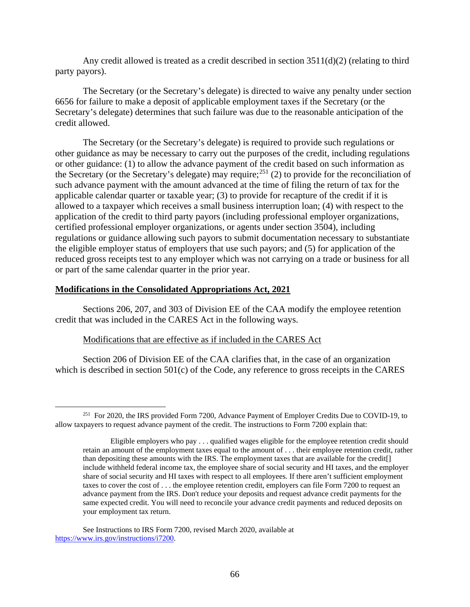Any credit allowed is treated as a credit described in section 3511(d)(2) (relating to third party payors).

The Secretary (or the Secretary's delegate) is directed to waive any penalty under section 6656 for failure to make a deposit of applicable employment taxes if the Secretary (or the Secretary's delegate) determines that such failure was due to the reasonable anticipation of the credit allowed.

The Secretary (or the Secretary's delegate) is required to provide such regulations or other guidance as may be necessary to carry out the purposes of the credit, including regulations or other guidance: (1) to allow the advance payment of the credit based on such information as the Secretary (or the Secretary's delegate) may require;<sup>251</sup> (2) to provide for the reconciliation of such advance payment with the amount advanced at the time of filing the return of tax for the applicable calendar quarter or taxable year; (3) to provide for recapture of the credit if it is allowed to a taxpayer which receives a small business interruption loan; (4) with respect to the application of the credit to third party payors (including professional employer organizations, certified professional employer organizations, or agents under section 3504), including regulations or guidance allowing such payors to submit documentation necessary to substantiate the eligible employer status of employers that use such payors; and (5) for application of the reduced gross receipts test to any employer which was not carrying on a trade or business for all or part of the same calendar quarter in the prior year.

# **Modifications in the Consolidated Appropriations Act, 2021**

Sections 206, 207, and 303 of Division EE of the CAA modify the employee retention credit that was included in the CARES Act in the following ways.

# Modifications that are effective as if included in the CARES Act

Section 206 of Division EE of the CAA clarifies that, in the case of an organization which is described in section 501(c) of the Code, any reference to gross receipts in the CARES

<sup>&</sup>lt;sup>251</sup> For 2020, the IRS provided Form 7200, Advance Payment of Employer Credits Due to COVID-19, to allow taxpayers to request advance payment of the credit. The instructions to Form 7200 explain that:

Eligible employers who pay . . . qualified wages eligible for the employee retention credit should retain an amount of the employment taxes equal to the amount of . . . their employee retention credit, rather than depositing these amounts with the IRS. The employment taxes that are available for the credit[] include withheld federal income tax, the employee share of social security and HI taxes, and the employer share of social security and HI taxes with respect to all employees. If there aren't sufficient employment taxes to cover the cost of . . . the employee retention credit, employers can file Form 7200 to request an advance payment from the IRS. Don't reduce your deposits and request advance credit payments for the same expected credit. You will need to reconcile your advance credit payments and reduced deposits on your employment tax return.

See Instructions to IRS Form 7200, revised March 2020, available at https://www.irs.gov/instructions/i7200.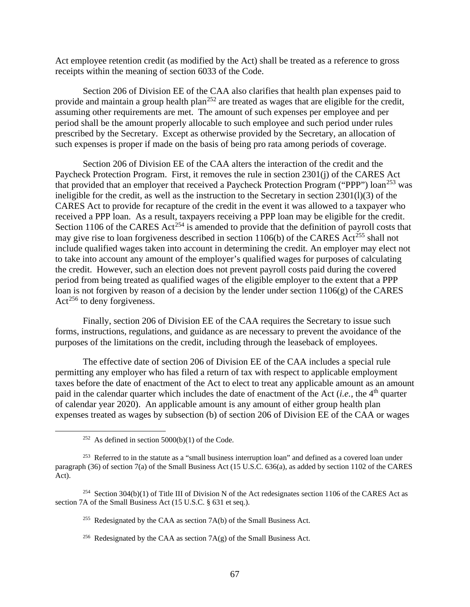Act employee retention credit (as modified by the Act) shall be treated as a reference to gross receipts within the meaning of section 6033 of the Code.

Section 206 of Division EE of the CAA also clarifies that health plan expenses paid to provide and maintain a group health plan<sup>252</sup> are treated as wages that are eligible for the credit, assuming other requirements are met. The amount of such expenses per employee and per period shall be the amount properly allocable to such employee and such period under rules prescribed by the Secretary. Except as otherwise provided by the Secretary, an allocation of such expenses is proper if made on the basis of being pro rata among periods of coverage.

Section 206 of Division EE of the CAA alters the interaction of the credit and the Paycheck Protection Program. First, it removes the rule in section 2301(j) of the CARES Act that provided that an employer that received a Paycheck Protection Program ("PPP") loan<sup>253</sup> was ineligible for the credit, as well as the instruction to the Secretary in section 2301(l)(3) of the CARES Act to provide for recapture of the credit in the event it was allowed to a taxpayer who received a PPP loan. As a result, taxpayers receiving a PPP loan may be eligible for the credit. Section 1106 of the CARES Act<sup>254</sup> is amended to provide that the definition of payroll costs that may give rise to loan forgiveness described in section 1106(b) of the CARES  $\text{Act}^{255}$  shall not include qualified wages taken into account in determining the credit. An employer may elect not to take into account any amount of the employer's qualified wages for purposes of calculating the credit. However, such an election does not prevent payroll costs paid during the covered period from being treated as qualified wages of the eligible employer to the extent that a PPP loan is not forgiven by reason of a decision by the lender under section 1106(g) of the CARES  $Act^{256}$  to deny forgiveness.

Finally, section 206 of Division EE of the CAA requires the Secretary to issue such forms, instructions, regulations, and guidance as are necessary to prevent the avoidance of the purposes of the limitations on the credit, including through the leaseback of employees.

The effective date of section 206 of Division EE of the CAA includes a special rule permitting any employer who has filed a return of tax with respect to applicable employment taxes before the date of enactment of the Act to elect to treat any applicable amount as an amount paid in the calendar quarter which includes the date of enactment of the Act  $(i.e.,$  the  $4<sup>th</sup>$  quarter of calendar year 2020). An applicable amount is any amount of either group health plan expenses treated as wages by subsection (b) of section 206 of Division EE of the CAA or wages

<sup>&</sup>lt;sup>252</sup> As defined in section  $5000(b)(1)$  of the Code.

<sup>&</sup>lt;sup>253</sup> Referred to in the statute as a "small business interruption loan" and defined as a covered loan under paragraph (36) of section 7(a) of the Small Business Act (15 U.S.C. 636(a), as added by section 1102 of the CARES Act).

<sup>&</sup>lt;sup>254</sup> Section 304(b)(1) of Title III of Division N of the Act redesignates section 1106 of the CARES Act as section 7A of the Small Business Act (15 U.S.C. § 631 et seq.).

<sup>&</sup>lt;sup>255</sup> Redesignated by the CAA as section  $7A(b)$  of the Small Business Act.

<sup>&</sup>lt;sup>256</sup> Redesignated by the CAA as section  $7A(g)$  of the Small Business Act.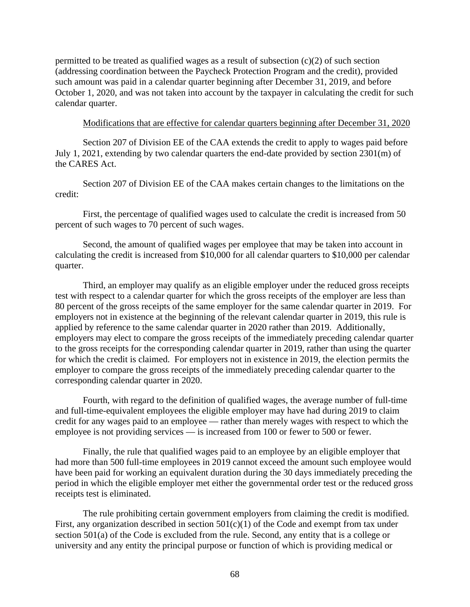permitted to be treated as qualified wages as a result of subsection  $(c)(2)$  of such section (addressing coordination between the Paycheck Protection Program and the credit), provided such amount was paid in a calendar quarter beginning after December 31, 2019, and before October 1, 2020, and was not taken into account by the taxpayer in calculating the credit for such calendar quarter.

#### Modifications that are effective for calendar quarters beginning after December 31, 2020

Section 207 of Division EE of the CAA extends the credit to apply to wages paid before July 1, 2021, extending by two calendar quarters the end-date provided by section 2301(m) of the CARES Act.

Section 207 of Division EE of the CAA makes certain changes to the limitations on the credit:

First, the percentage of qualified wages used to calculate the credit is increased from 50 percent of such wages to 70 percent of such wages.

Second, the amount of qualified wages per employee that may be taken into account in calculating the credit is increased from \$10,000 for all calendar quarters to \$10,000 per calendar quarter.

Third, an employer may qualify as an eligible employer under the reduced gross receipts test with respect to a calendar quarter for which the gross receipts of the employer are less than 80 percent of the gross receipts of the same employer for the same calendar quarter in 2019. For employers not in existence at the beginning of the relevant calendar quarter in 2019, this rule is applied by reference to the same calendar quarter in 2020 rather than 2019. Additionally, employers may elect to compare the gross receipts of the immediately preceding calendar quarter to the gross receipts for the corresponding calendar quarter in 2019, rather than using the quarter for which the credit is claimed. For employers not in existence in 2019, the election permits the employer to compare the gross receipts of the immediately preceding calendar quarter to the corresponding calendar quarter in 2020.

Fourth, with regard to the definition of qualified wages, the average number of full-time and full-time-equivalent employees the eligible employer may have had during 2019 to claim credit for any wages paid to an employee — rather than merely wages with respect to which the employee is not providing services — is increased from 100 or fewer to 500 or fewer.

Finally, the rule that qualified wages paid to an employee by an eligible employer that had more than 500 full-time employees in 2019 cannot exceed the amount such employee would have been paid for working an equivalent duration during the 30 days immediately preceding the period in which the eligible employer met either the governmental order test or the reduced gross receipts test is eliminated.

The rule prohibiting certain government employers from claiming the credit is modified. First, any organization described in section  $501(c)(1)$  of the Code and exempt from tax under section 501(a) of the Code is excluded from the rule. Second, any entity that is a college or university and any entity the principal purpose or function of which is providing medical or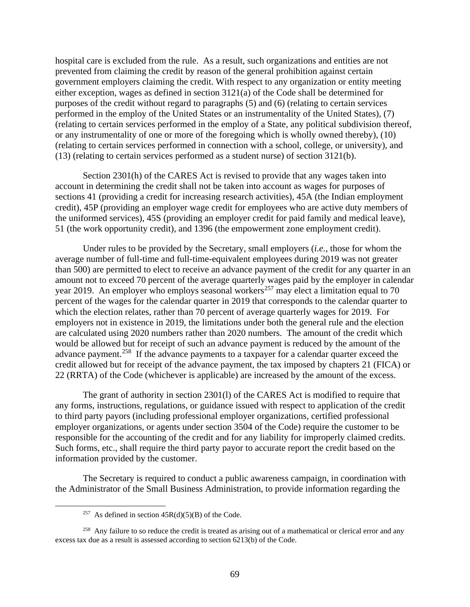hospital care is excluded from the rule. As a result, such organizations and entities are not prevented from claiming the credit by reason of the general prohibition against certain government employers claiming the credit. With respect to any organization or entity meeting either exception, wages as defined in section 3121(a) of the Code shall be determined for purposes of the credit without regard to paragraphs (5) and (6) (relating to certain services performed in the employ of the United States or an instrumentality of the United States), (7) (relating to certain services performed in the employ of a State, any political subdivision thereof, or any instrumentality of one or more of the foregoing which is wholly owned thereby), (10) (relating to certain services performed in connection with a school, college, or university), and (13) (relating to certain services performed as a student nurse) of section 3121(b).

Section 2301(h) of the CARES Act is revised to provide that any wages taken into account in determining the credit shall not be taken into account as wages for purposes of sections 41 (providing a credit for increasing research activities), 45A (the Indian employment credit), 45P (providing an employer wage credit for employees who are active duty members of the uniformed services), 45S (providing an employer credit for paid family and medical leave), 51 (the work opportunity credit), and 1396 (the empowerment zone employment credit).

Under rules to be provided by the Secretary, small employers (*i.e.*, those for whom the average number of full-time and full-time-equivalent employees during 2019 was not greater than 500) are permitted to elect to receive an advance payment of the credit for any quarter in an amount not to exceed 70 percent of the average quarterly wages paid by the employer in calendar year 2019. An employer who employs seasonal workers<sup>257</sup> may elect a limitation equal to 70 percent of the wages for the calendar quarter in 2019 that corresponds to the calendar quarter to which the election relates, rather than 70 percent of average quarterly wages for 2019. For employers not in existence in 2019, the limitations under both the general rule and the election are calculated using 2020 numbers rather than 2020 numbers. The amount of the credit which would be allowed but for receipt of such an advance payment is reduced by the amount of the advance payment.<sup>258</sup> If the advance payments to a taxpayer for a calendar quarter exceed the credit allowed but for receipt of the advance payment, the tax imposed by chapters 21 (FICA) or 22 (RRTA) of the Code (whichever is applicable) are increased by the amount of the excess.

The grant of authority in section 2301(l) of the CARES Act is modified to require that any forms, instructions, regulations, or guidance issued with respect to application of the credit to third party payors (including professional employer organizations, certified professional employer organizations, or agents under section 3504 of the Code) require the customer to be responsible for the accounting of the credit and for any liability for improperly claimed credits. Such forms, etc., shall require the third party payor to accurate report the credit based on the information provided by the customer.

The Secretary is required to conduct a public awareness campaign, in coordination with the Administrator of the Small Business Administration, to provide information regarding the

<sup>&</sup>lt;sup>257</sup> As defined in section  $45R(d)(5)(B)$  of the Code.

<sup>&</sup>lt;sup>258</sup> Any failure to so reduce the credit is treated as arising out of a mathematical or clerical error and any excess tax due as a result is assessed according to section 6213(b) of the Code.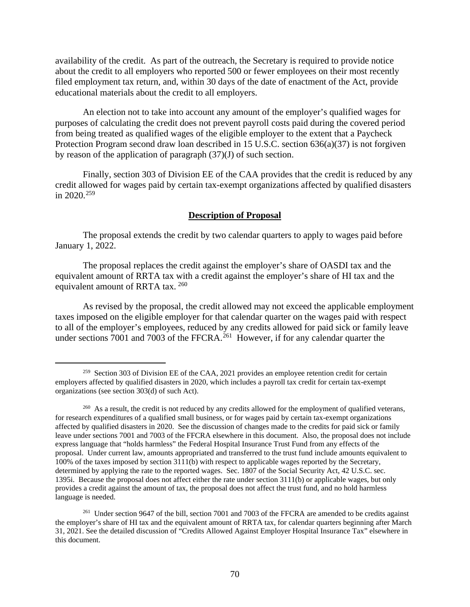availability of the credit. As part of the outreach, the Secretary is required to provide notice about the credit to all employers who reported 500 or fewer employees on their most recently filed employment tax return, and, within 30 days of the date of enactment of the Act, provide educational materials about the credit to all employers.

An election not to take into account any amount of the employer's qualified wages for purposes of calculating the credit does not prevent payroll costs paid during the covered period from being treated as qualified wages of the eligible employer to the extent that a Paycheck Protection Program second draw loan described in 15 U.S.C. section 636(a)(37) is not forgiven by reason of the application of paragraph (37)(J) of such section.

Finally, section 303 of Division EE of the CAA provides that the credit is reduced by any credit allowed for wages paid by certain tax-exempt organizations affected by qualified disasters in  $2020^{259}$ 

#### **Description of Proposal**

The proposal extends the credit by two calendar quarters to apply to wages paid before January 1, 2022.

The proposal replaces the credit against the employer's share of OASDI tax and the equivalent amount of RRTA tax with a credit against the employer's share of HI tax and the equivalent amount of RRTA tax. <sup>260</sup>

As revised by the proposal, the credit allowed may not exceed the applicable employment taxes imposed on the eligible employer for that calendar quarter on the wages paid with respect to all of the employer's employees, reduced by any credits allowed for paid sick or family leave under sections 7001 and 7003 of the FFCRA.<sup>261</sup> However, if for any calendar quarter the

<sup>&</sup>lt;sup>259</sup> Section 303 of Division EE of the CAA, 2021 provides an employee retention credit for certain employers affected by qualified disasters in 2020, which includes a payroll tax credit for certain tax-exempt organizations (see section 303(d) of such Act).

<sup>&</sup>lt;sup>260</sup> As a result, the credit is not reduced by any credits allowed for the employment of qualified veterans, for research expenditures of a qualified small business, or for wages paid by certain tax-exempt organizations affected by qualified disasters in 2020. See the discussion of changes made to the credits for paid sick or family leave under sections 7001 and 7003 of the FFCRA elsewhere in this document. Also, the proposal does not include express language that "holds harmless" the Federal Hospital Insurance Trust Fund from any effects of the proposal. Under current law, amounts appropriated and transferred to the trust fund include amounts equivalent to 100% of the taxes imposed by section 3111(b) with respect to applicable wages reported by the Secretary, determined by applying the rate to the reported wages. Sec. 1807 of the Social Security Act, 42 U.S.C. sec. 1395i. Because the proposal does not affect either the rate under section 3111(b) or applicable wages, but only provides a credit against the amount of tax, the proposal does not affect the trust fund, and no hold harmless language is needed.

<sup>&</sup>lt;sup>261</sup> Under section 9647 of the bill, section 7001 and 7003 of the FFCRA are amended to be credits against the employer's share of HI tax and the equivalent amount of RRTA tax, for calendar quarters beginning after March 31, 2021. See the detailed discussion of "Credits Allowed Against Employer Hospital Insurance Tax" elsewhere in this document.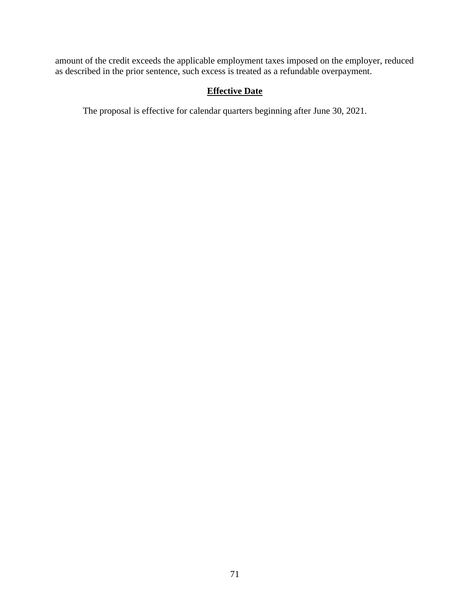amount of the credit exceeds the applicable employment taxes imposed on the employer, reduced as described in the prior sentence, such excess is treated as a refundable overpayment.

# **Effective Date**

The proposal is effective for calendar quarters beginning after June 30, 2021.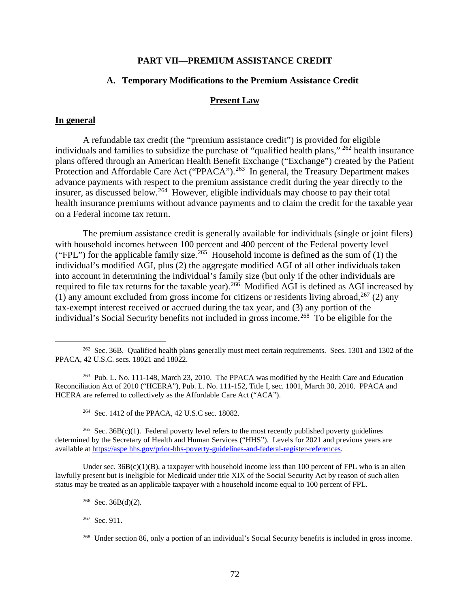#### **PART VII—PREMIUM ASSISTANCE CREDIT**

### **A. Temporary Modifications to the Premium Assistance Credit**

#### **Present Law**

#### **In general**

A refundable tax credit (the "premium assistance credit") is provided for eligible individuals and families to subsidize the purchase of "qualified health plans," 262 health insurance plans offered through an American Health Benefit Exchange ("Exchange") created by the Patient Protection and Affordable Care Act ("PPACA").<sup>263</sup> In general, the Treasury Department makes advance payments with respect to the premium assistance credit during the year directly to the insurer, as discussed below.<sup>264</sup> However, eligible individuals may choose to pay their total health insurance premiums without advance payments and to claim the credit for the taxable year on a Federal income tax return.

The premium assistance credit is generally available for individuals (single or joint filers) with household incomes between 100 percent and 400 percent of the Federal poverty level ("FPL") for the applicable family size.<sup>265</sup> Household income is defined as the sum of (1) the individual's modified AGI, plus (2) the aggregate modified AGI of all other individuals taken into account in determining the individual's family size (but only if the other individuals are required to file tax returns for the taxable year).<sup>266</sup> Modified AGI is defined as AGI increased by (1) any amount excluded from gross income for citizens or residents living abroad,  $^{267}$  (2) any tax-exempt interest received or accrued during the tax year, and (3) any portion of the individual's Social Security benefits not included in gross income.<sup>268</sup> To be eligible for the

264 Sec. 1412 of the PPACA, 42 U.S.C sec. 18082.

<sup>265</sup> Sec. 36B(c)(1). Federal poverty level refers to the most recently published poverty guidelines determined by the Secretary of Health and Human Services ("HHS"). Levels for 2021 and previous years are available at https://aspe hhs.gov/prior-hhs-poverty-guidelines-and-federal-register-references.

Under sec.  $36B(c)(1)(B)$ , a taxpayer with household income less than 100 percent of FPL who is an alien lawfully present but is ineligible for Medicaid under title XIX of the Social Security Act by reason of such alien status may be treated as an applicable taxpayer with a household income equal to 100 percent of FPL.

<sup>&</sup>lt;sup>262</sup> Sec. 36B. Qualified health plans generally must meet certain requirements. Secs. 1301 and 1302 of the PPACA, 42 U.S.C. secs. 18021 and 18022.

<sup>263</sup> Pub. L. No. 111-148, March 23, 2010. The PPACA was modified by the Health Care and Education Reconciliation Act of 2010 ("HCERA"), Pub. L. No. 111-152, Title I, sec. 1001, March 30, 2010. PPACA and HCERA are referred to collectively as the Affordable Care Act ("ACA").

 $266$  Sec. 36B(d)(2).

<sup>267</sup> Sec. 911.

<sup>268</sup> Under section 86, only a portion of an individual's Social Security benefits is included in gross income.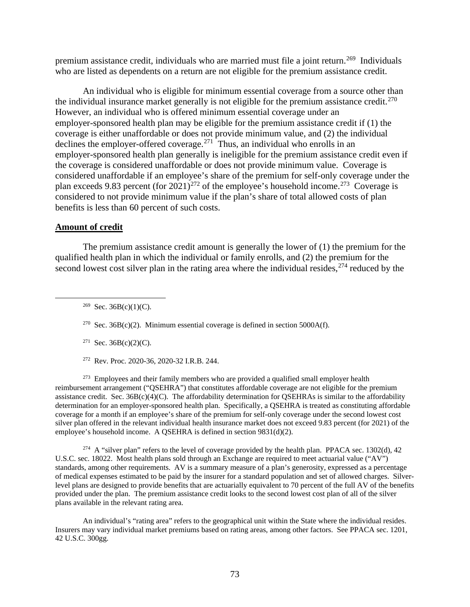premium assistance credit, individuals who are married must file a joint return.<sup>269</sup> Individuals who are listed as dependents on a return are not eligible for the premium assistance credit.

An individual who is eligible for minimum essential coverage from a source other than the individual insurance market generally is not eligible for the premium assistance credit.<sup>270</sup> However, an individual who is offered minimum essential coverage under an employer-sponsored health plan may be eligible for the premium assistance credit if (1) the coverage is either unaffordable or does not provide minimum value, and (2) the individual declines the employer-offered coverage.<sup>271</sup> Thus, an individual who enrolls in an employer-sponsored health plan generally is ineligible for the premium assistance credit even if the coverage is considered unaffordable or does not provide minimum value. Coverage is considered unaffordable if an employee's share of the premium for self-only coverage under the plan exceeds 9.83 percent (for  $2021$ )<sup>272</sup> of the employee's household income.<sup>273</sup> Coverage is considered to not provide minimum value if the plan's share of total allowed costs of plan benefits is less than 60 percent of such costs.

## **Amount of credit**

The premium assistance credit amount is generally the lower of (1) the premium for the qualified health plan in which the individual or family enrolls, and (2) the premium for the second lowest cost silver plan in the rating area where the individual resides,  $274$  reduced by the

<sup>269</sup> Sec. 36B(c)(1)(C).

<sup>270</sup> Sec. 36B(c)(2). Minimum essential coverage is defined in section 5000A(f).

- <sup>271</sup> Sec. 36B(c)(2)(C).
- 272 Rev. Proc. 2020-36, 2020-32 I.R.B. 244.

 $273$  Employees and their family members who are provided a qualified small employer health reimbursement arrangement ("QSEHRA") that constitutes affordable coverage are not eligible for the premium assistance credit. Sec.  $36B(c)(4)(C)$ . The affordability determination for OSEHRAs is similar to the affordability determination for an employer-sponsored health plan. Specifically, a QSEHRA is treated as constituting affordable coverage for a month if an employee's share of the premium for self-only coverage under the second lowest cost silver plan offered in the relevant individual health insurance market does not exceed 9.83 percent (for 2021) of the employee's household income. A QSEHRA is defined in section 9831(d)(2).

<sup>274</sup> A "silver plan" refers to the level of coverage provided by the health plan. PPACA sec. 1302(d), 42 U.S.C. sec. 18022. Most health plans sold through an Exchange are required to meet actuarial value ("AV") standards, among other requirements. AV is a summary measure of a plan's generosity, expressed as a percentage of medical expenses estimated to be paid by the insurer for a standard population and set of allowed charges. Silverlevel plans are designed to provide benefits that are actuarially equivalent to 70 percent of the full AV of the benefits provided under the plan. The premium assistance credit looks to the second lowest cost plan of all of the silver plans available in the relevant rating area.

An individual's "rating area" refers to the geographical unit within the State where the individual resides. Insurers may vary individual market premiums based on rating areas, among other factors. See PPACA sec. 1201, 42 U.S.C. 300gg.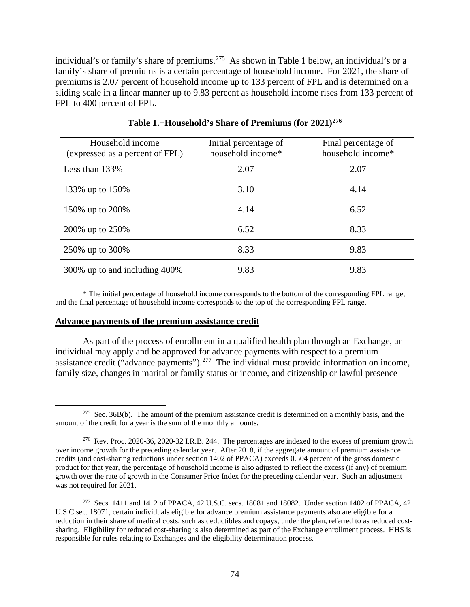individual's or family's share of premiums.<sup>275</sup> As shown in Table 1 below, an individual's or a family's share of premiums is a certain percentage of household income. For 2021, the share of premiums is 2.07 percent of household income up to 133 percent of FPL and is determined on a sliding scale in a linear manner up to 9.83 percent as household income rises from 133 percent of FPL to 400 percent of FPL.

| Household income<br>(expressed as a percent of FPL) | Initial percentage of<br>household income* | Final percentage of<br>household income* |
|-----------------------------------------------------|--------------------------------------------|------------------------------------------|
| Less than $133\%$                                   | 2.07                                       | 2.07                                     |
| 133% up to 150%                                     | 3.10                                       | 4.14                                     |
| 150% up to 200%                                     | 4.14                                       | 6.52                                     |
| 200% up to 250%                                     | 6.52                                       | 8.33                                     |
| 250\% up to 300\%                                   | 8.33                                       | 9.83                                     |
| 300% up to and including 400%                       | 9.83                                       | 9.83                                     |

**Table 1.−Household's Share of Premiums (for 2021)276**

\* The initial percentage of household income corresponds to the bottom of the corresponding FPL range, and the final percentage of household income corresponds to the top of the corresponding FPL range.

#### **Advance payments of the premium assistance credit**

As part of the process of enrollment in a qualified health plan through an Exchange, an individual may apply and be approved for advance payments with respect to a premium assistance credit ("advance payments").<sup>277</sup> The individual must provide information on income, family size, changes in marital or family status or income, and citizenship or lawful presence

<sup>&</sup>lt;sup>275</sup> Sec. 36B(b). The amount of the premium assistance credit is determined on a monthly basis, and the amount of the credit for a year is the sum of the monthly amounts.

<sup>276</sup> Rev. Proc. 2020-36, 2020-32 I.R.B. 244. The percentages are indexed to the excess of premium growth over income growth for the preceding calendar year. After 2018, if the aggregate amount of premium assistance credits (and cost-sharing reductions under section 1402 of PPACA) exceeds 0.504 percent of the gross domestic product for that year, the percentage of household income is also adjusted to reflect the excess (if any) of premium growth over the rate of growth in the Consumer Price Index for the preceding calendar year. Such an adjustment was not required for 2021.

<sup>277</sup> Secs. 1411 and 1412 of PPACA, 42 U.S.C. secs. 18081 and 18082. Under section 1402 of PPACA, 42 U.S.C sec. 18071, certain individuals eligible for advance premium assistance payments also are eligible for a reduction in their share of medical costs, such as deductibles and copays, under the plan, referred to as reduced costsharing. Eligibility for reduced cost-sharing is also determined as part of the Exchange enrollment process. HHS is responsible for rules relating to Exchanges and the eligibility determination process.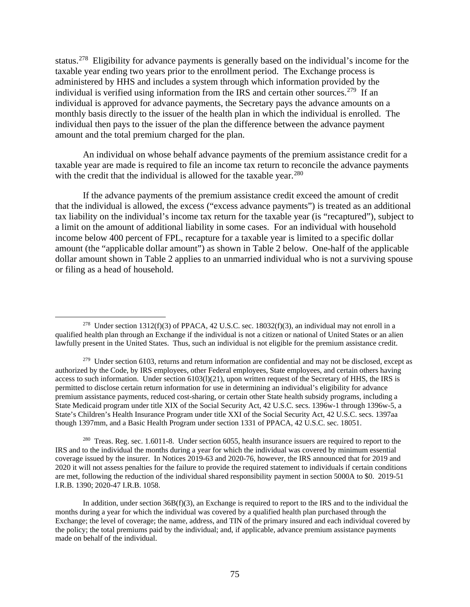status.278 Eligibility for advance payments is generally based on the individual's income for the taxable year ending two years prior to the enrollment period. The Exchange process is administered by HHS and includes a system through which information provided by the individual is verified using information from the IRS and certain other sources.<sup>279</sup> If an individual is approved for advance payments, the Secretary pays the advance amounts on a monthly basis directly to the issuer of the health plan in which the individual is enrolled. The individual then pays to the issuer of the plan the difference between the advance payment amount and the total premium charged for the plan.

An individual on whose behalf advance payments of the premium assistance credit for a taxable year are made is required to file an income tax return to reconcile the advance payments with the credit that the individual is allowed for the taxable year.<sup>280</sup>

If the advance payments of the premium assistance credit exceed the amount of credit that the individual is allowed, the excess ("excess advance payments") is treated as an additional tax liability on the individual's income tax return for the taxable year (is "recaptured"), subject to a limit on the amount of additional liability in some cases. For an individual with household income below 400 percent of FPL, recapture for a taxable year is limited to a specific dollar amount (the "applicable dollar amount") as shown in Table 2 below. One-half of the applicable dollar amount shown in Table 2 applies to an unmarried individual who is not a surviving spouse or filing as a head of household.

<sup>280</sup> Treas. Reg. sec. 1.6011-8. Under section 6055, health insurance issuers are required to report to the IRS and to the individual the months during a year for which the individual was covered by minimum essential coverage issued by the insurer. In Notices 2019-63 and 2020-76, however, the IRS announced that for 2019 and 2020 it will not assess penalties for the failure to provide the required statement to individuals if certain conditions are met, following the reduction of the individual shared responsibility payment in section 5000A to \$0. 2019-51 I.R.B. 1390; 2020-47 I.R.B. 1058.

In addition, under section 36B(f)(3), an Exchange is required to report to the IRS and to the individual the months during a year for which the individual was covered by a qualified health plan purchased through the Exchange; the level of coverage; the name, address, and TIN of the primary insured and each individual covered by the policy; the total premiums paid by the individual; and, if applicable, advance premium assistance payments made on behalf of the individual.

<sup>&</sup>lt;sup>278</sup> Under section 1312(f)(3) of PPACA, 42 U.S.C. sec. 18032(f)(3), an individual may not enroll in a qualified health plan through an Exchange if the individual is not a citizen or national of United States or an alien lawfully present in the United States. Thus, such an individual is not eligible for the premium assistance credit.

 $279$  Under section 6103, returns and return information are confidential and may not be disclosed, except as authorized by the Code, by IRS employees, other Federal employees, State employees, and certain others having access to such information. Under section 6103(l)(21), upon written request of the Secretary of HHS, the IRS is permitted to disclose certain return information for use in determining an individual's eligibility for advance premium assistance payments, reduced cost-sharing, or certain other State health subsidy programs, including a State Medicaid program under title XIX of the Social Security Act, 42 U.S.C. secs. 1396w-1 through 1396w-5, a State's Children's Health Insurance Program under title XXI of the Social Security Act, 42 U.S.C. secs. 1397aa though 1397mm, and a Basic Health Program under section 1331 of PPACA, 42 U.S.C. sec. 18051.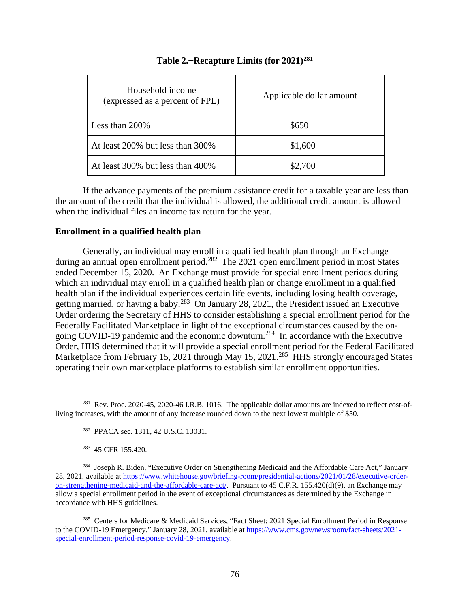| Household income<br>(expressed as a percent of FPL) | Applicable dollar amount |
|-----------------------------------------------------|--------------------------|
| Less than $200\%$                                   | \$650                    |
| At least 200% but less than 300%                    | \$1,600                  |
| At least 300% but less than 400%                    | \$2,700                  |

## **Table 2.−Recapture Limits (for 2021)281**

If the advance payments of the premium assistance credit for a taxable year are less than the amount of the credit that the individual is allowed, the additional credit amount is allowed when the individual files an income tax return for the year.

## **Enrollment in a qualified health plan**

Generally, an individual may enroll in a qualified health plan through an Exchange during an annual open enrollment period.<sup>282</sup> The 2021 open enrollment period in most States ended December 15, 2020. An Exchange must provide for special enrollment periods during which an individual may enroll in a qualified health plan or change enrollment in a qualified health plan if the individual experiences certain life events, including losing health coverage, getting married, or having a baby.283 On January 28, 2021, the President issued an Executive Order ordering the Secretary of HHS to consider establishing a special enrollment period for the Federally Facilitated Marketplace in light of the exceptional circumstances caused by the ongoing COVID-19 pandemic and the economic downturn.284 In accordance with the Executive Order, HHS determined that it will provide a special enrollment period for the Federal Facilitated Marketplace from February 15, 2021 through May 15, 2021.<sup>285</sup> HHS strongly encouraged States operating their own marketplace platforms to establish similar enrollment opportunities.

<sup>&</sup>lt;sup>281</sup> Rev. Proc. 2020-45, 2020-46 I.R.B. 1016. The applicable dollar amounts are indexed to reflect cost-ofliving increases, with the amount of any increase rounded down to the next lowest multiple of \$50.

<sup>282</sup> PPACA sec. 1311, 42 U.S.C. 13031.

<sup>283 45</sup> CFR 155.420.

<sup>&</sup>lt;sup>284</sup> Joseph R. Biden, "Executive Order on Strengthening Medicaid and the Affordable Care Act," January 28, 2021, available at https://www.whitehouse.gov/briefing-room/presidential-actions/2021/01/28/executive-orderon-strengthening-medicaid-and-the-affordable-care-act/. Pursuant to 45 C.F.R. 155.420(d)(9), an Exchange may allow a special enrollment period in the event of exceptional circumstances as determined by the Exchange in accordance with HHS guidelines.

<sup>285</sup> Centers for Medicare & Medicaid Services, "Fact Sheet: 2021 Special Enrollment Period in Response to the COVID-19 Emergency," January 28, 2021, available at https://www.cms.gov/newsroom/fact-sheets/2021special-enrollment-period-response-covid-19-emergency.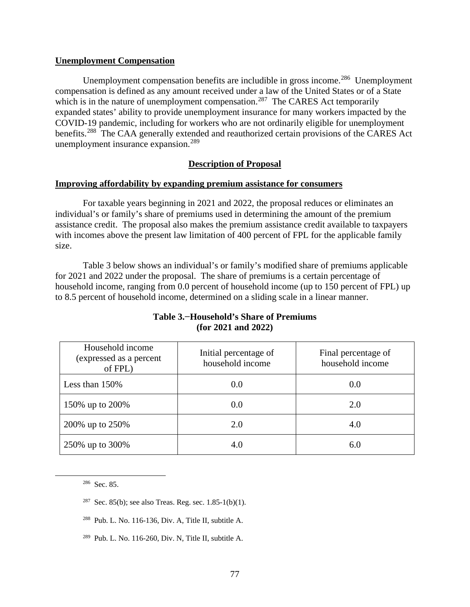#### **Unemployment Compensation**

Unemployment compensation benefits are includible in gross income.<sup>286</sup> Unemployment compensation is defined as any amount received under a law of the United States or of a State which is in the nature of unemployment compensation.<sup>287</sup> The CARES Act temporarily expanded states' ability to provide unemployment insurance for many workers impacted by the COVID-19 pandemic, including for workers who are not ordinarily eligible for unemployment benefits.<sup>288</sup> The CAA generally extended and reauthorized certain provisions of the CARES Act unemployment insurance expansion.<sup>289</sup>

### **Description of Proposal**

#### **Improving affordability by expanding premium assistance for consumers**

For taxable years beginning in 2021 and 2022, the proposal reduces or eliminates an individual's or family's share of premiums used in determining the amount of the premium assistance credit. The proposal also makes the premium assistance credit available to taxpayers with incomes above the present law limitation of 400 percent of FPL for the applicable family size.

Table 3 below shows an individual's or family's modified share of premiums applicable for 2021 and 2022 under the proposal. The share of premiums is a certain percentage of household income, ranging from 0.0 percent of household income (up to 150 percent of FPL) up to 8.5 percent of household income, determined on a sliding scale in a linear manner.

| Household income<br>(expressed as a percent<br>of FPL) | Initial percentage of<br>household income | Final percentage of<br>household income |
|--------------------------------------------------------|-------------------------------------------|-----------------------------------------|
| Less than $150\%$                                      | 0.0                                       | 0.0                                     |
| 150% up to 200%                                        | 0.0                                       | 2.0                                     |
| 200% up to 250%                                        | 2.0                                       | 4.0                                     |
| 250% up to 300%                                        | 4.0                                       | 6.0                                     |

## **Table 3.−Household's Share of Premiums (for 2021 and 2022)**

286 Sec. 85.

- <sup>287</sup> Sec. 85(b); see also Treas. Reg. sec.  $1.85-1(b)(1)$ .
- 288 Pub. L. No. 116-136, Div. A, Title II, subtitle A.
- $289$  Pub. L. No. 116-260, Div. N, Title II, subtitle A.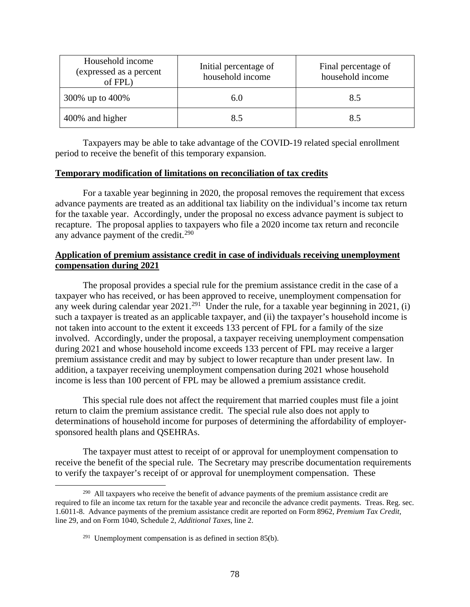| Household income<br>(expressed as a percent<br>of FPL) | Initial percentage of<br>household income | Final percentage of<br>household income |
|--------------------------------------------------------|-------------------------------------------|-----------------------------------------|
| 300\% up to 400\%                                      | 6.0                                       | 8.5                                     |
| 400% and higher                                        |                                           | 8.5                                     |

Taxpayers may be able to take advantage of the COVID-19 related special enrollment period to receive the benefit of this temporary expansion.

## **Temporary modification of limitations on reconciliation of tax credits**

For a taxable year beginning in 2020, the proposal removes the requirement that excess advance payments are treated as an additional tax liability on the individual's income tax return for the taxable year. Accordingly, under the proposal no excess advance payment is subject to recapture. The proposal applies to taxpayers who file a 2020 income tax return and reconcile any advance payment of the credit. $290$ 

## **Application of premium assistance credit in case of individuals receiving unemployment compensation during 2021**

The proposal provides a special rule for the premium assistance credit in the case of a taxpayer who has received, or has been approved to receive, unemployment compensation for any week during calendar year  $2021$ <sup>291</sup> Under the rule, for a taxable year beginning in 2021, (i) such a taxpayer is treated as an applicable taxpayer, and (ii) the taxpayer's household income is not taken into account to the extent it exceeds 133 percent of FPL for a family of the size involved. Accordingly, under the proposal, a taxpayer receiving unemployment compensation during 2021 and whose household income exceeds 133 percent of FPL may receive a larger premium assistance credit and may by subject to lower recapture than under present law. In addition, a taxpayer receiving unemployment compensation during 2021 whose household income is less than 100 percent of FPL may be allowed a premium assistance credit.

This special rule does not affect the requirement that married couples must file a joint return to claim the premium assistance credit. The special rule also does not apply to determinations of household income for purposes of determining the affordability of employersponsored health plans and QSEHRAs.

The taxpayer must attest to receipt of or approval for unemployment compensation to receive the benefit of the special rule. The Secretary may prescribe documentation requirements to verify the taxpayer's receipt of or approval for unemployment compensation. These

<sup>&</sup>lt;sup>290</sup> All taxpayers who receive the benefit of advance payments of the premium assistance credit are required to file an income tax return for the taxable year and reconcile the advance credit payments. Treas. Reg. sec. 1.6011-8. Advance payments of the premium assistance credit are reported on Form 8962, *Premium Tax Credit*, line 29, and on Form 1040, Schedule 2, *Additional Taxes*, line 2.

 $291$  Unemployment compensation is as defined in section 85(b).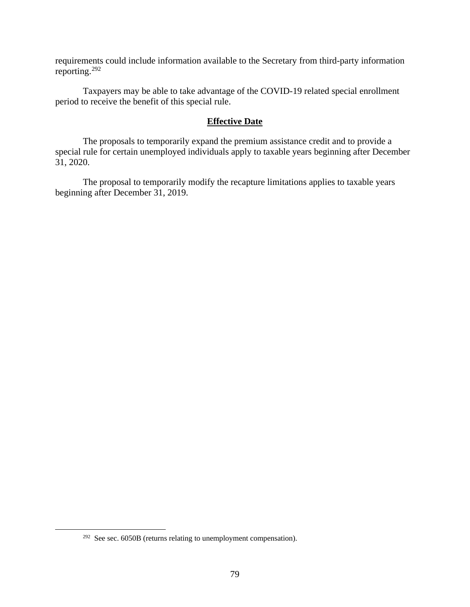requirements could include information available to the Secretary from third-party information reporting. $292$ 

Taxpayers may be able to take advantage of the COVID-19 related special enrollment period to receive the benefit of this special rule.

#### **Effective Date**

The proposals to temporarily expand the premium assistance credit and to provide a special rule for certain unemployed individuals apply to taxable years beginning after December 31, 2020.

The proposal to temporarily modify the recapture limitations applies to taxable years beginning after December 31, 2019.

<sup>&</sup>lt;sup>292</sup> See sec. 6050B (returns relating to unemployment compensation).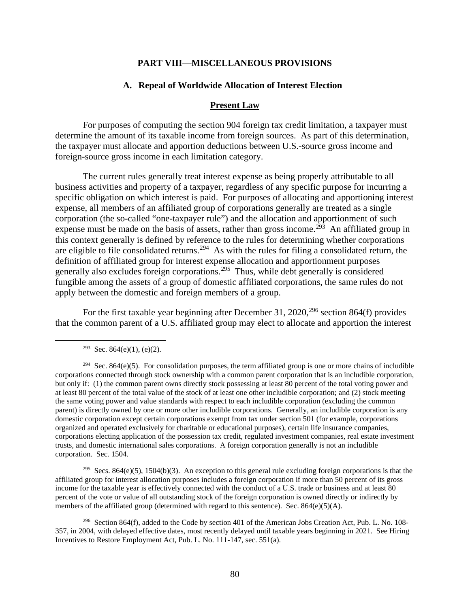#### **PART VIII—MISCELLANEOUS PROVISIONS**

#### **A. Repeal of Worldwide Allocation of Interest Election**

#### **Present Law**

For purposes of computing the section 904 foreign tax credit limitation, a taxpayer must determine the amount of its taxable income from foreign sources. As part of this determination, the taxpayer must allocate and apportion deductions between U.S.-source gross income and foreign-source gross income in each limitation category.

The current rules generally treat interest expense as being properly attributable to all business activities and property of a taxpayer, regardless of any specific purpose for incurring a specific obligation on which interest is paid. For purposes of allocating and apportioning interest expense, all members of an affiliated group of corporations generally are treated as a single corporation (the so-called "one-taxpayer rule") and the allocation and apportionment of such expense must be made on the basis of assets, rather than gross income.<sup>293</sup> An affiliated group in this context generally is defined by reference to the rules for determining whether corporations are eligible to file consolidated returns.<sup>294</sup> As with the rules for filing a consolidated return, the definition of affiliated group for interest expense allocation and apportionment purposes generally also excludes foreign corporations.295 Thus, while debt generally is considered fungible among the assets of a group of domestic affiliated corporations, the same rules do not apply between the domestic and foreign members of a group.

For the first taxable year beginning after December 31, 2020,<sup>296</sup> section 864(f) provides that the common parent of a U.S. affiliated group may elect to allocate and apportion the interest

<sup>293</sup> Sec. 864(e)(1), (e)(2).

 $294$  Sec. 864(e)(5). For consolidation purposes, the term affiliated group is one or more chains of includible corporations connected through stock ownership with a common parent corporation that is an includible corporation, but only if: (1) the common parent owns directly stock possessing at least 80 percent of the total voting power and at least 80 percent of the total value of the stock of at least one other includible corporation; and (2) stock meeting the same voting power and value standards with respect to each includible corporation (excluding the common parent) is directly owned by one or more other includible corporations. Generally, an includible corporation is any domestic corporation except certain corporations exempt from tax under section 501 (for example, corporations organized and operated exclusively for charitable or educational purposes), certain life insurance companies, corporations electing application of the possession tax credit, regulated investment companies, real estate investment trusts, and domestic international sales corporations. A foreign corporation generally is not an includible corporation. Sec. 1504.

<sup>295</sup> Secs. 864(e)(5), 1504(b)(3). An exception to this general rule excluding foreign corporations is that the affiliated group for interest allocation purposes includes a foreign corporation if more than 50 percent of its gross income for the taxable year is effectively connected with the conduct of a U.S. trade or business and at least 80 percent of the vote or value of all outstanding stock of the foreign corporation is owned directly or indirectly by members of the affiliated group (determined with regard to this sentence). Sec.  $864(e)(5)(A)$ .

<sup>296</sup> Section 864(f), added to the Code by section 401 of the American Jobs Creation Act, Pub. L. No. 108-357, in 2004, with delayed effective dates, most recently delayed until taxable years beginning in 2021. See Hiring Incentives to Restore Employment Act, Pub. L. No. 111-147, sec. 551(a).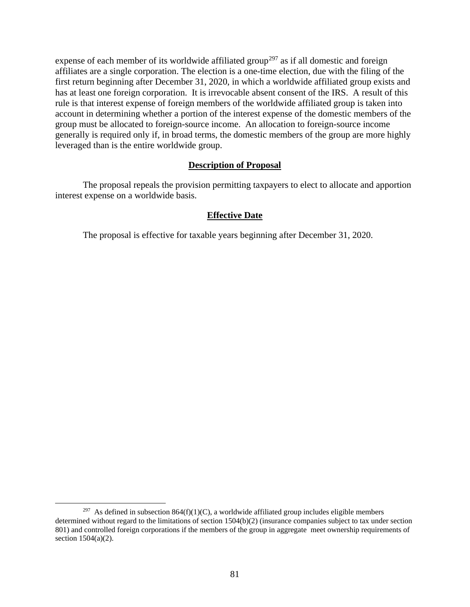expense of each member of its worldwide affiliated group<sup>297</sup> as if all domestic and foreign affiliates are a single corporation. The election is a one-time election, due with the filing of the first return beginning after December 31, 2020, in which a worldwide affiliated group exists and has at least one foreign corporation. It is irrevocable absent consent of the IRS. A result of this rule is that interest expense of foreign members of the worldwide affiliated group is taken into account in determining whether a portion of the interest expense of the domestic members of the group must be allocated to foreign-source income. An allocation to foreign-source income generally is required only if, in broad terms, the domestic members of the group are more highly leveraged than is the entire worldwide group.

### **Description of Proposal**

The proposal repeals the provision permitting taxpayers to elect to allocate and apportion interest expense on a worldwide basis.

## **Effective Date**

The proposal is effective for taxable years beginning after December 31, 2020.

<sup>&</sup>lt;sup>297</sup> As defined in subsection 864(f)(1)(C), a worldwide affiliated group includes eligible members determined without regard to the limitations of section 1504(b)(2) (insurance companies subject to tax under section 801) and controlled foreign corporations if the members of the group in aggregate meet ownership requirements of section 1504(a)(2).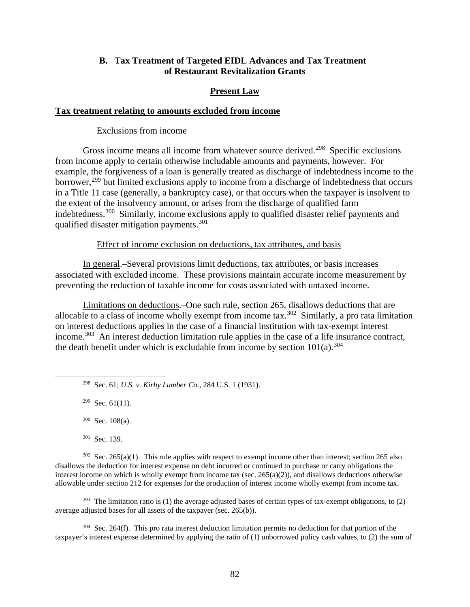## **B. Tax Treatment of Targeted EIDL Advances and Tax Treatment of Restaurant Revitalization Grants**

### **Present Law**

### **Tax treatment relating to amounts excluded from income**

#### Exclusions from income

Gross income means all income from whatever source derived.<sup>298</sup> Specific exclusions from income apply to certain otherwise includable amounts and payments, however. For example, the forgiveness of a loan is generally treated as discharge of indebtedness income to the borrower,<sup>299</sup> but limited exclusions apply to income from a discharge of indebtedness that occurs in a Title 11 case (generally, a bankruptcy case), or that occurs when the taxpayer is insolvent to the extent of the insolvency amount, or arises from the discharge of qualified farm indebtedness.<sup>300</sup> Similarly, income exclusions apply to qualified disaster relief payments and qualified disaster mitigation payments.<sup>301</sup>

### Effect of income exclusion on deductions, tax attributes, and basis

In general.–Several provisions limit deductions, tax attributes, or basis increases associated with excluded income. These provisions maintain accurate income measurement by preventing the reduction of taxable income for costs associated with untaxed income.

Limitations on deductions.–One such rule, section 265, disallows deductions that are allocable to a class of income wholly exempt from income tax.<sup>302</sup> Similarly, a pro rata limitation on interest deductions applies in the case of a financial institution with tax-exempt interest income.<sup>303</sup> An interest deduction limitation rule applies in the case of a life insurance contract, the death benefit under which is excludable from income by section  $101(a)$ .<sup>304</sup>

298 Sec. 61; *U.S. v. Kirby Lumber Co.*, 284 U.S. 1 (1931).

 $299$  Sec. 61(11).

 $300$  Sec. 108(a).

301 Sec. 139.

 $302$  Sec. 265(a)(1). This rule applies with respect to exempt income other than interest; section 265 also disallows the deduction for interest expense on debt incurred or continued to purchase or carry obligations the interest income on which is wholly exempt from income tax (sec.  $265(a)(2)$ ), and disallows deductions otherwise allowable under section 212 for expenses for the production of interest income wholly exempt from income tax.

 $303$  The limitation ratio is (1) the average adjusted bases of certain types of tax-exempt obligations, to (2) average adjusted bases for all assets of the taxpayer (sec. 265(b)).

 $304$  Sec. 264(f). This pro rata interest deduction limitation permits no deduction for that portion of the taxpayer's interest expense determined by applying the ratio of (1) unborrowed policy cash values, to (2) the sum of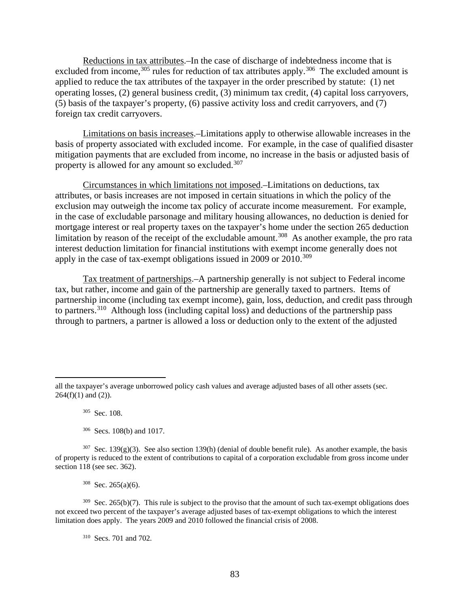Reductions in tax attributes.–In the case of discharge of indebtedness income that is excluded from income,  $305$  rules for reduction of tax attributes apply.  $306$  The excluded amount is applied to reduce the tax attributes of the taxpayer in the order prescribed by statute: (1) net operating losses, (2) general business credit, (3) minimum tax credit, (4) capital loss carryovers, (5) basis of the taxpayer's property, (6) passive activity loss and credit carryovers, and (7) foreign tax credit carryovers.

Limitations on basis increases.–Limitations apply to otherwise allowable increases in the basis of property associated with excluded income. For example, in the case of qualified disaster mitigation payments that are excluded from income, no increase in the basis or adjusted basis of property is allowed for any amount so excluded.<sup>307</sup>

Circumstances in which limitations not imposed.–Limitations on deductions, tax attributes, or basis increases are not imposed in certain situations in which the policy of the exclusion may outweigh the income tax policy of accurate income measurement. For example, in the case of excludable parsonage and military housing allowances, no deduction is denied for mortgage interest or real property taxes on the taxpayer's home under the section 265 deduction limitation by reason of the receipt of the excludable amount.<sup>308</sup> As another example, the pro rata interest deduction limitation for financial institutions with exempt income generally does not apply in the case of tax-exempt obligations issued in 2009 or 2010.<sup>309</sup>

Tax treatment of partnerships.–A partnership generally is not subject to Federal income tax, but rather, income and gain of the partnership are generally taxed to partners. Items of partnership income (including tax exempt income), gain, loss, deduction, and credit pass through to partners.<sup>310</sup> Although loss (including capital loss) and deductions of the partnership pass through to partners, a partner is allowed a loss or deduction only to the extent of the adjusted

 $309$  Sec. 265(b)(7). This rule is subject to the proviso that the amount of such tax-exempt obligations does not exceed two percent of the taxpayer's average adjusted bases of tax-exempt obligations to which the interest limitation does apply. The years 2009 and 2010 followed the financial crisis of 2008.

310 Secs. 701 and 702.

all the taxpayer's average unborrowed policy cash values and average adjusted bases of all other assets (sec.  $264(f)(1)$  and  $(2)$ ).

<sup>305</sup> Sec. 108.

<sup>306</sup> Secs. 108(b) and 1017.

<sup>&</sup>lt;sup>307</sup> Sec. 139(g)(3). See also section 139(h) (denial of double benefit rule). As another example, the basis of property is reduced to the extent of contributions to capital of a corporation excludable from gross income under section 118 (see sec. 362).

 $308$  Sec. 265(a)(6).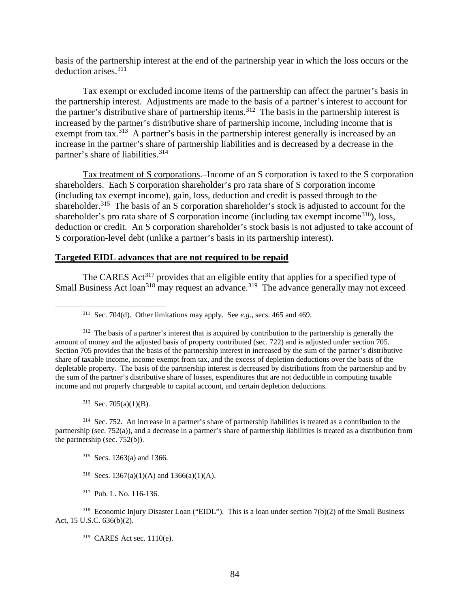basis of the partnership interest at the end of the partnership year in which the loss occurs or the deduction arises.<sup>311</sup>

Tax exempt or excluded income items of the partnership can affect the partner's basis in the partnership interest. Adjustments are made to the basis of a partner's interest to account for the partner's distributive share of partnership items.<sup>312</sup> The basis in the partnership interest is increased by the partner's distributive share of partnership income, including income that is exempt from tax.<sup>313</sup> A partner's basis in the partnership interest generally is increased by an increase in the partner's share of partnership liabilities and is decreased by a decrease in the partner's share of liabilities.<sup>314</sup>

Tax treatment of S corporations.–Income of an S corporation is taxed to the S corporation shareholders. Each S corporation shareholder's pro rata share of S corporation income (including tax exempt income), gain, loss, deduction and credit is passed through to the shareholder.<sup>315</sup> The basis of an S corporation shareholder's stock is adjusted to account for the shareholder's pro rata share of S corporation income (including tax exempt income<sup>316</sup>), loss, deduction or credit. An S corporation shareholder's stock basis is not adjusted to take account of S corporation-level debt (unlike a partner's basis in its partnership interest).

#### **Targeted EIDL advances that are not required to be repaid**

The CARES Act<sup>317</sup> provides that an eligible entity that applies for a specified type of Small Business Act loan<sup>318</sup> may request an advance.<sup>319</sup> The advance generally may not exceed

 $313$  Sec. 705(a)(1)(B).

314 Sec. 752. An increase in a partner's share of partnership liabilities is treated as a contribution to the partnership (sec. 752(a)), and a decrease in a partner's share of partnership liabilities is treated as a distribution from the partnership (sec. 752(b)).

- 315 Secs. 1363(a) and 1366.
- <sup>316</sup> Secs. 1367(a)(1)(A) and 1366(a)(1)(A).
- 317 Pub. L. No. 116-136.

<sup>311</sup> Sec. 704(d). Other limitations may apply. See *e.g*., secs. 465 and 469.

<sup>&</sup>lt;sup>312</sup> The basis of a partner's interest that is acquired by contribution to the partnership is generally the amount of money and the adjusted basis of property contributed (sec. 722) and is adjusted under section 705. Section 705 provides that the basis of the partnership interest in increased by the sum of the partner's distributive share of taxable income, income exempt from tax, and the excess of depletion deductions over the basis of the depletable property. The basis of the partnership interest is decreased by distributions from the partnership and by the sum of the partner's distributive share of losses, expenditures that are not deductible in computing taxable income and not properly chargeable to capital account, and certain depletion deductions.

<sup>318</sup> Economic Injury Disaster Loan ("EIDL"). This is a loan under section 7(b)(2) of the Small Business Act, 15 U.S.C. 636(b)(2).

<sup>319</sup> CARES Act sec. 1110(e).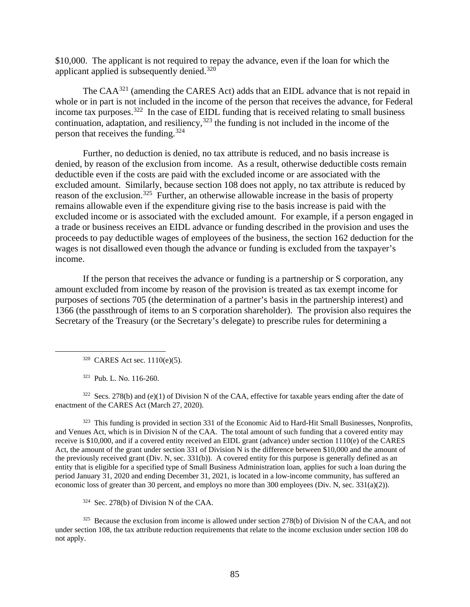\$10,000. The applicant is not required to repay the advance, even if the loan for which the applicant applied is subsequently denied.<sup>320</sup>

The CAA<sup>321</sup> (amending the CARES Act) adds that an EIDL advance that is not repaid in whole or in part is not included in the income of the person that receives the advance, for Federal income tax purposes.<sup>322</sup> In the case of EIDL funding that is received relating to small business continuation, adaptation, and resiliency,  $323$  the funding is not included in the income of the person that receives the funding.324

Further, no deduction is denied, no tax attribute is reduced, and no basis increase is denied, by reason of the exclusion from income. As a result, otherwise deductible costs remain deductible even if the costs are paid with the excluded income or are associated with the excluded amount. Similarly, because section 108 does not apply, no tax attribute is reduced by reason of the exclusion.<sup>325</sup> Further, an otherwise allowable increase in the basis of property remains allowable even if the expenditure giving rise to the basis increase is paid with the excluded income or is associated with the excluded amount. For example, if a person engaged in a trade or business receives an EIDL advance or funding described in the provision and uses the proceeds to pay deductible wages of employees of the business, the section 162 deduction for the wages is not disallowed even though the advance or funding is excluded from the taxpayer's income.

If the person that receives the advance or funding is a partnership or S corporation, any amount excluded from income by reason of the provision is treated as tax exempt income for purposes of sections 705 (the determination of a partner's basis in the partnership interest) and 1366 (the passthrough of items to an S corporation shareholder). The provision also requires the Secretary of the Treasury (or the Secretary's delegate) to prescribe rules for determining a

320 CARES Act sec. 1110(e)(5).

321 Pub. L. No. 116-260.

<sup>322</sup> Secs. 278(b) and (e)(1) of Division N of the CAA, effective for taxable years ending after the date of enactment of the CARES Act (March 27, 2020).

 $323$  This funding is provided in section 331 of the Economic Aid to Hard-Hit Small Businesses, Nonprofits, and Venues Act, which is in Division N of the CAA. The total amount of such funding that a covered entity may receive is \$10,000, and if a covered entity received an EIDL grant (advance) under section 1110(e) of the CARES Act, the amount of the grant under section 331 of Division N is the difference between \$10,000 and the amount of the previously received grant (Div. N, sec. 331(b)). A covered entity for this purpose is generally defined as an entity that is eligible for a specified type of Small Business Administration loan, applies for such a loan during the period January 31, 2020 and ending December 31, 2021, is located in a low-income community, has suffered an economic loss of greater than 30 percent, and employs no more than 300 employees (Div. N, sec. 331(a)(2)).

324 Sec. 278(b) of Division N of the CAA.

<sup>325</sup> Because the exclusion from income is allowed under section 278(b) of Division N of the CAA, and not under section 108, the tax attribute reduction requirements that relate to the income exclusion under section 108 do not apply.